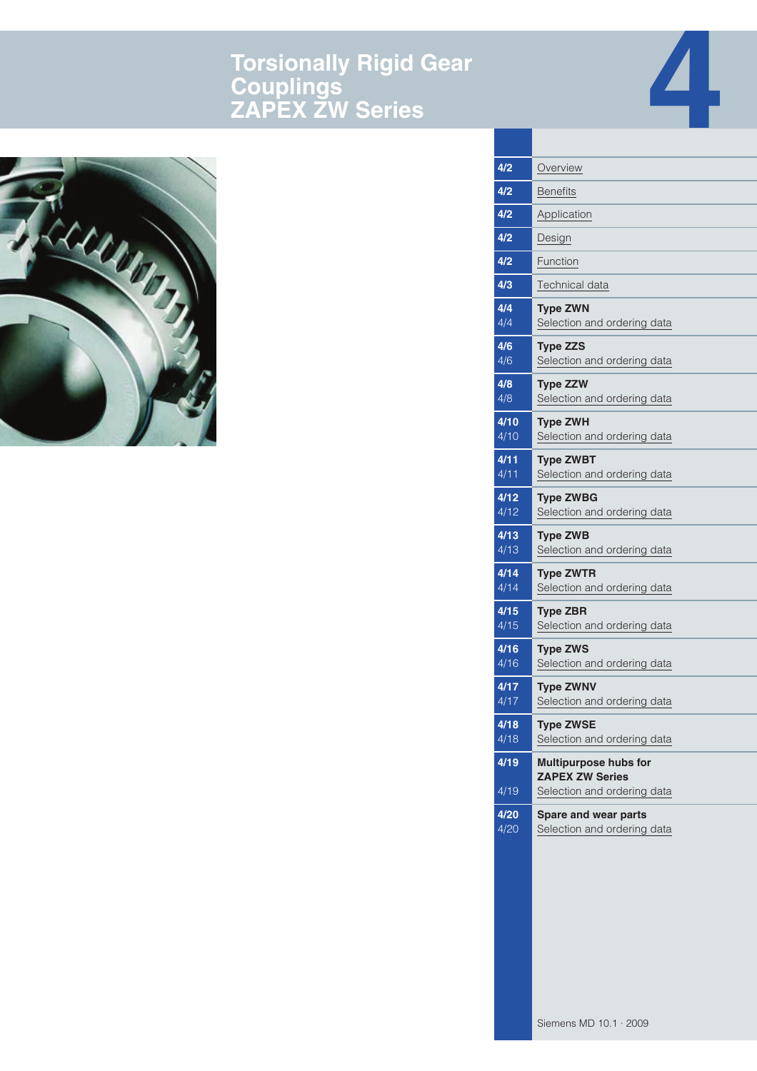# **Torsionally Rigid Gear Couplings ZAPEX ZW Series**





| Overview                                              |
|-------------------------------------------------------|
| <b>Benefits</b>                                       |
| Application                                           |
| Design                                                |
| Function                                              |
| Technical data                                        |
| <b>Type ZWN</b><br>Selection and ordering data        |
| <b>Type ZZS</b><br>Selection and ordering data        |
| <b>Type ZZW</b><br>Selection and ordering data        |
| <b>Type ZWH</b><br>Selection and ordering data        |
| <b>Type ZWBT</b><br>Selection and ordering data       |
| <b>Type ZWBG</b><br>Selection and ordering data       |
| <b>Type ZWB</b><br>Selection and ordering data        |
| <b>Type ZWTR</b><br>Selection and ordering data       |
| <b>Type ZBR</b><br>Selection and ordering data        |
| <b>Type ZWS</b><br>Selection and ordering data        |
| <b>Type ZWNV</b><br>Selection and ordering data       |
| <b>Type ZWSE</b><br>Selection and ordering data       |
| <b>Multipurpose hubs for</b>                          |
| <b>ZAPEX ZW Series</b><br>Selection and ordering data |
| Spare and wear parts<br>Selection and ordering data   |
|                                                       |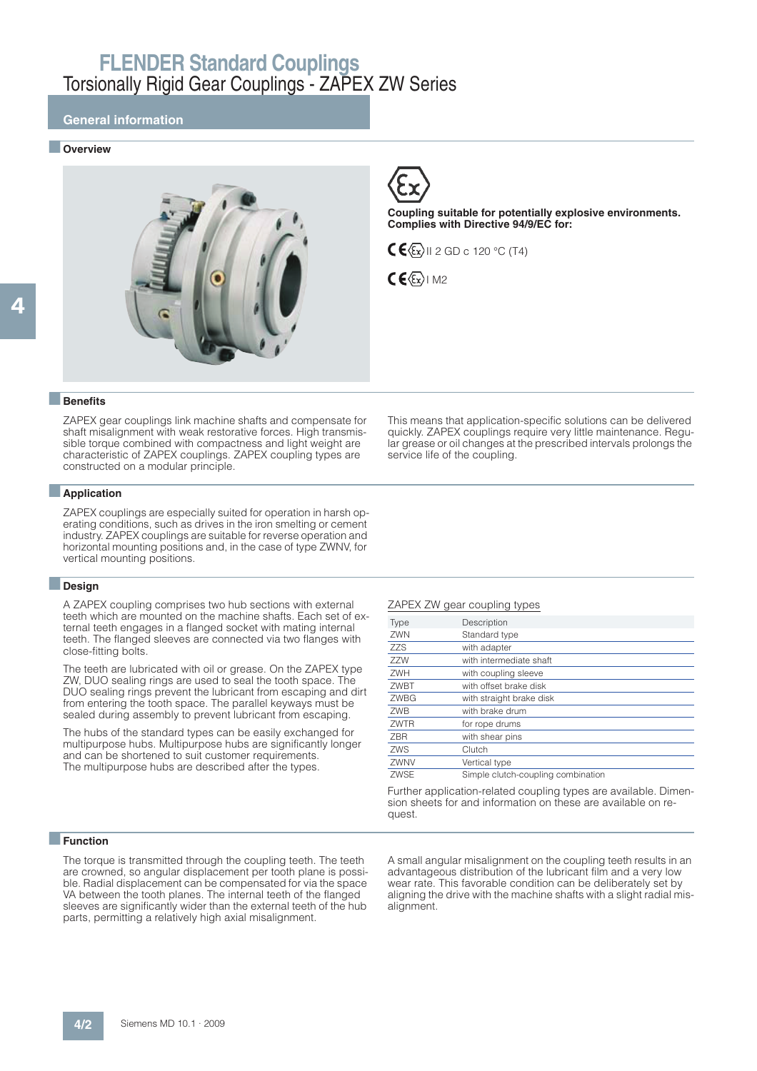### **General information**

#### ■ **Overview**





**Coupling suitable for potentially explosive environments. Complies with Directive 94/9/EC for:**

 $C \left( \frac{\mathcal{E}}{\mathcal{E}} \right)$ II 2 GD c 120 °C (T4)



#### ■**Benefits**

ZAPEX gear couplings link machine shafts and compensate for shaft misalignment with weak restorative forces. High transmissible torque combined with compactness and light weight are characteristic of ZAPEX couplings. ZAPEX coupling types are constructed on a modular principle.

#### ■**Application**

ZAPEX couplings are especially suited for operation in harsh operating conditions, such as drives in the iron smelting or cement industry. ZAPEX couplings are suitable for reverse operation and horizontal mounting positions and, in the case of type ZWNV, for vertical mounting positions.

#### ■**Design**

A ZAPEX coupling comprises two hub sections with external teeth which are mounted on the machine shafts. Each set of external teeth engages in a flanged socket with mating internal teeth. The flanged sleeves are connected via two flanges with close-fitting bolts.

The teeth are lubricated with oil or grease. On the ZAPEX type ZW, DUO sealing rings are used to seal the tooth space. The DUO sealing rings prevent the lubricant from escaping and dirt from entering the tooth space. The parallel keyways must be sealed during assembly to prevent lubricant from escaping.

The hubs of the standard types can be easily exchanged for multipurpose hubs. Multipurpose hubs are significantly longer and can be shortened to suit customer requirements. The multipurpose hubs are described after the types.

This means that application-specific solutions can be delivered quickly. ZAPEX couplings require very little maintenance. Regular grease or oil changes at the prescribed intervals prolongs the service life of the coupling.

#### ZAPEX ZW gear coupling types

| <b>Type</b> | Description                        |
|-------------|------------------------------------|
| ZWN         | Standard type                      |
| <b>ZZS</b>  | with adapter                       |
| ZZW         | with intermediate shaft            |
| ZWH         | with coupling sleeve               |
| ZWBT        | with offset brake disk             |
| ZWBG        | with straight brake disk           |
| <b>ZWB</b>  | with brake drum                    |
| ZWTR        | for rope drums                     |
| <b>ZBR</b>  | with shear pins                    |
| ZWS         | Clutch                             |
| ZWNV        | Vertical type                      |
| <b>ZWSE</b> | Simple clutch-coupling combination |
|             |                                    |

Further application-related coupling types are available. Dimension sheets for and information on these are available on request.

### ■**Function**

The torque is transmitted through the coupling teeth. The teeth are crowned, so angular displacement per tooth plane is possible. Radial displacement can be compensated for via the space VA between the tooth planes. The internal teeth of the flanged sleeves are significantly wider than the external teeth of the hub parts, permitting a relatively high axial misalignment.

A small angular misalignment on the coupling teeth results in an advantageous distribution of the lubricant film and a very low wear rate. This favorable condition can be deliberately set by aligning the drive with the machine shafts with a slight radial misalignment.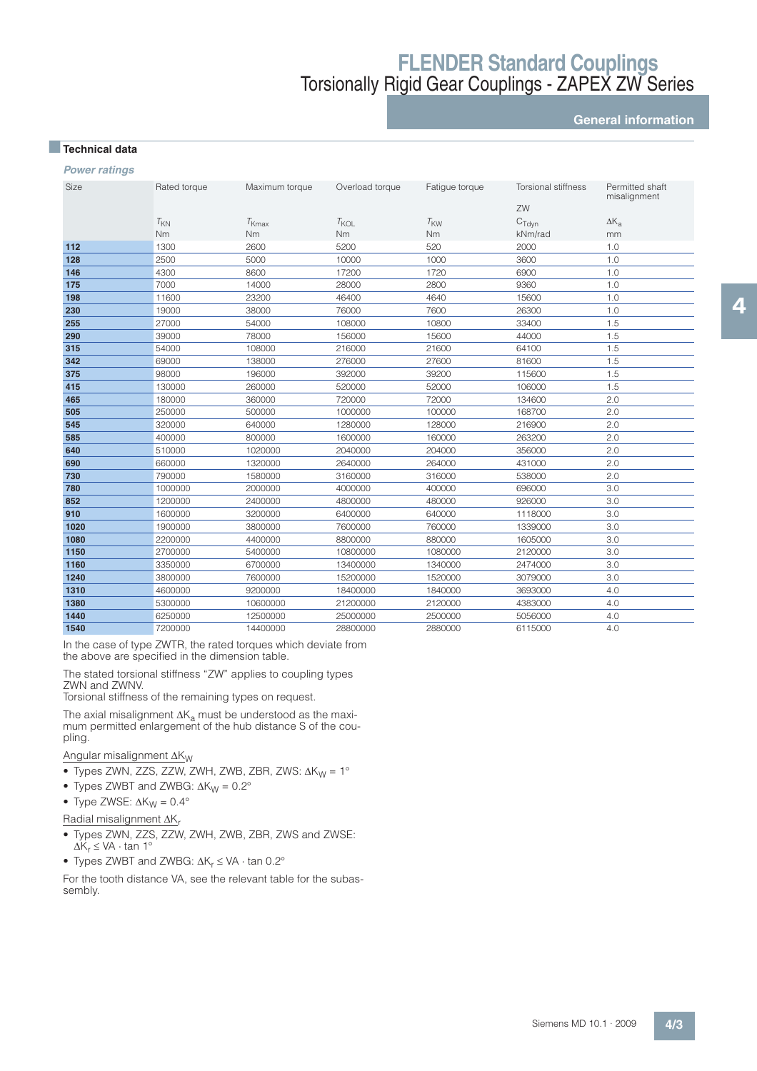**General information**

### ■**Technical data**

**Power ratings** 

| Size | Rated torque | Maximum torque | Overload torque | Fatigue torque  | Torsional stiffness | Permitted shaft<br>misalignment |
|------|--------------|----------------|-----------------|-----------------|---------------------|---------------------------------|
|      |              |                |                 |                 | ZW                  |                                 |
|      | $T_{KN}$     | $T_{\rm Kmax}$ | $T_{KOL}$       | $T_{\text{KW}}$ | $C_{\text{Tdvn}}$   | $\Delta K_{a}$                  |
|      | Nm           | Nm             | <b>Nm</b>       | <b>Nm</b>       | kNm/rad             | mm                              |
| 112  | 1300         | 2600           | 5200            | 520             | 2000                | 1.0                             |
| 128  | 2500         | 5000           | 10000           | 1000            | 3600                | 1.0                             |
| 146  | 4300         | 8600           | 17200           | 1720            | 6900                | 1.0                             |
| 175  | 7000         | 14000          | 28000           | 2800            | 9360                | 1.0                             |
| 198  | 11600        | 23200          | 46400           | 4640            | 15600               | 1.0                             |
| 230  | 19000        | 38000          | 76000           | 7600            | 26300               | 1.0                             |
| 255  | 27000        | 54000          | 108000          | 10800           | 33400               | 1.5                             |
| 290  | 39000        | 78000          | 156000          | 15600           | 44000               | 1.5                             |
| 315  | 54000        | 108000         | 216000          | 21600           | 64100               | 1.5                             |
| 342  | 69000        | 138000         | 276000          | 27600           | 81600               | 1.5                             |
| 375  | 98000        | 196000         | 392000          | 39200           | 115600              | 1.5                             |
| 415  | 130000       | 260000         | 520000          | 52000           | 106000              | 1.5                             |
| 465  | 180000       | 360000         | 720000          | 72000           | 134600              | 2.0                             |
| 505  | 250000       | 500000         | 1000000         | 100000          | 168700              | 2.0                             |
| 545  | 320000       | 640000         | 1280000         | 128000          | 216900              | 2.0                             |
| 585  | 400000       | 800000         | 1600000         | 160000          | 263200              | 2.0                             |
| 640  | 510000       | 1020000        | 2040000         | 204000          | 356000              | 2.0                             |
| 690  | 660000       | 1320000        | 2640000         | 264000          | 431000              | 2.0                             |
| 730  | 790000       | 1580000        | 3160000         | 316000          | 538000              | 2.0                             |
| 780  | 1000000      | 2000000        | 4000000         | 400000          | 696000              | 3.0                             |
| 852  | 1200000      | 2400000        | 4800000         | 480000          | 926000              | 3.0                             |
| 910  | 1600000      | 3200000        | 6400000         | 640000          | 1118000             | 3.0                             |
| 1020 | 1900000      | 3800000        | 7600000         | 760000          | 1339000             | 3.0                             |
| 1080 | 2200000      | 4400000        | 8800000         | 880000          | 1605000             | 3.0                             |
| 1150 | 2700000      | 5400000        | 10800000        | 1080000         | 2120000             | 3.0                             |
| 1160 | 3350000      | 6700000        | 13400000        | 1340000         | 2474000             | 3.0                             |
| 1240 | 3800000      | 7600000        | 15200000        | 1520000         | 3079000             | 3.0                             |
| 1310 | 4600000      | 9200000        | 18400000        | 1840000         | 3693000             | 4.0                             |
| 1380 | 5300000      | 10600000       | 21200000        | 2120000         | 4383000             | 4.0                             |
| 1440 | 6250000      | 12500000       | 25000000        | 2500000         | 5056000             | 4.0                             |
| 1540 | 7200000      | 14400000       | 28800000        | 2880000         | 6115000             | 4.0                             |

In the case of type ZWTR, the rated torques which deviate from the above are specified in the dimension table.

The stated torsional stiffness "ZW" applies to coupling types ZWN and ZWNV.

Torsional stiffness of the remaining types on request.

The axial misalignment  $\Delta K_\mathrm{a}$  must be understood as the maximum permitted enlargement of the hub distance S of the coupling.

Angular misalignment  $\Delta K_W$ 

- Types ZWN, ZZS, ZZW, ZWH, ZWB, ZBR, ZWS:  $\Delta K_W = 1^\circ$
- Types ZWBT and ZWBG:  $\Delta K_W = 0.2^\circ$
- Type ZWSE:  $\Delta K_W = 0.4^\circ$
- Radial misalignment  $\Delta K_r$
- Types ZWN, ZZS, ZZW, ZWH, ZWB, ZBR, ZWS and ZWSE:  $\Delta K_r \leq VA \cdot \tan 1^\circ$
- Types ZWBT and ZWBG:  $\Delta K_r \leq VA \cdot \tan 0.2^\circ$

For the tooth distance VA, see the relevant table for the subassembly.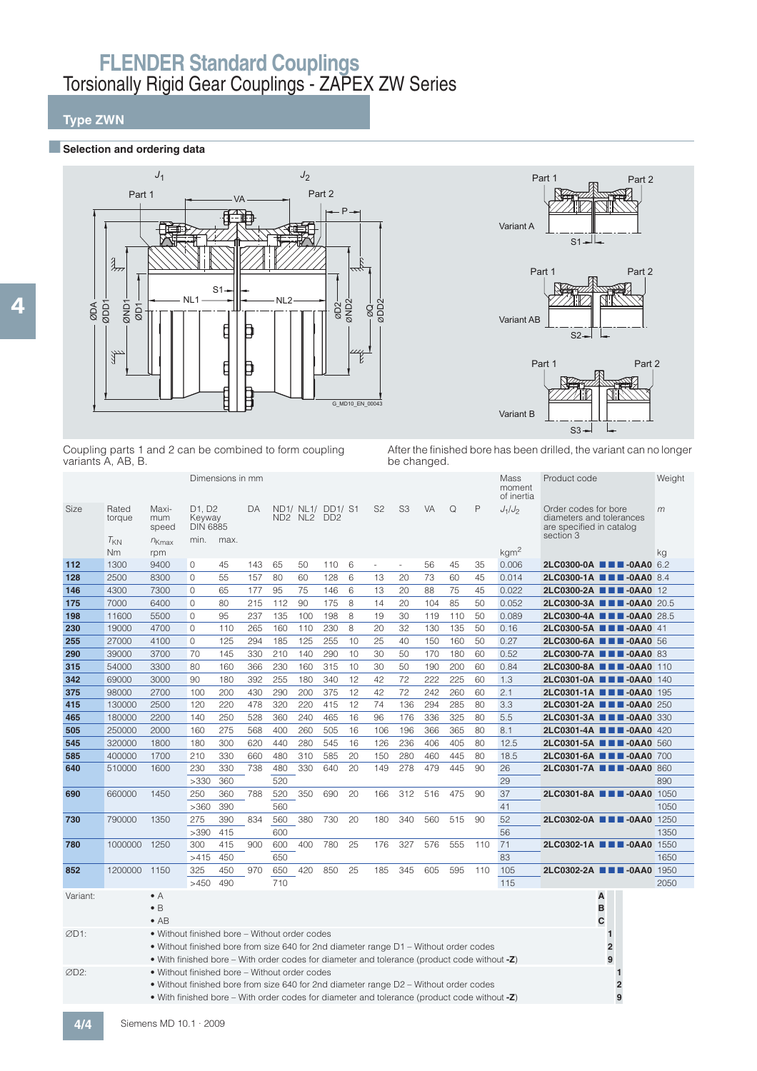## **Type ZWN**

### **BSelection and ordering data**





Coupling parts 1 and 2 can be combined to form coupling variants A, AB, B.

After the finished bore has been drilled, the variant can no longer be changed.

|          |                 |                                                                                                 |                                                              | Dimensions in mm |     |     |                                  |     |    |                |                |           |     |     | Mass<br>moment<br>of inertia | Product code                                                                              |                                  | Weight |
|----------|-----------------|-------------------------------------------------------------------------------------------------|--------------------------------------------------------------|------------------|-----|-----|----------------------------------|-----|----|----------------|----------------|-----------|-----|-----|------------------------------|-------------------------------------------------------------------------------------------|----------------------------------|--------|
| Size     | Rated<br>torque | Maxi-<br>mum<br>speed                                                                           | D <sub>1</sub> . D <sub>2</sub><br>Keyway<br><b>DIN 6885</b> |                  | DA  |     | ND1/ NL1/ DD1/ S1<br>ND2 NL2 DD2 |     |    | S <sub>2</sub> | S <sub>3</sub> | <b>VA</b> | Q   | P   | $J_1/J_2$                    | Order codes for bore<br>diameters and tolerances<br>are specified in catalog<br>section 3 |                                  | m      |
|          | $T_{KN}$<br>Nm  | $n_{Kmax}$                                                                                      | min. max.                                                    |                  |     |     |                                  |     |    |                |                |           |     |     | kgm <sup>2</sup>             |                                                                                           |                                  |        |
| 112      | 1300            | rpm<br>9400                                                                                     | 0                                                            | 45               | 143 | 65  | 50                               | 110 | 6  | $\sim$         | $\sim$         | 56        | 45  | 35  | 0.006                        |                                                                                           | 2LC0300-0A <b>III</b> -0AA0 6.2  | kg     |
| 128      | 2500            | 8300                                                                                            | $\mathbf{0}$                                                 | 55               | 157 | 80  | 60                               | 128 | 6  | 13             | 20             | 73        | 60  | 45  | 0.014                        |                                                                                           | 2LC0300-1A ■■■-0AA0 8.4          |        |
| 146      | 4300            | 7300                                                                                            | $\mathbf{0}$                                                 | 65               | 177 | 95  | 75                               | 146 | 6  | 13             | 20             | 88        | 75  | 45  | 0.022                        |                                                                                           | 2LC0300-2A <b>III</b> 0AA0 12    |        |
| 175      | 7000            | 6400                                                                                            | 0                                                            | 80               | 215 | 112 | 90                               | 175 | 8  | 14             | 20             | 104       | 85  | 50  | 0.052                        |                                                                                           | 2LC0300-3A ■■■-0AA0 20.5         |        |
| 198      | 11600           | 5500                                                                                            | $\mathbf{0}$                                                 | 95               | 237 | 135 | 100                              | 198 | 8  | 19             | 30             | 119       | 110 | 50  | 0.089                        |                                                                                           | 2LC0300-4A ■■■-0AA0 28.5         |        |
| 230      | 19000           | 4700                                                                                            | 0                                                            | 110              | 265 | 160 | 110                              | 230 | 8  | 20             | 32             | 130       | 135 | 50  | 0.16                         |                                                                                           | 2LC0300-5A <b>III</b> -0AA0 41   |        |
| 255      | 27000           | 4100                                                                                            | $\mathbf{0}$                                                 | 125              | 294 | 185 | 125                              | 255 | 10 | 25             | 40             | 150       | 160 | 50  | 0.27                         |                                                                                           | 2LC0300-6A ■■■-0AA0 56           |        |
| 290      | 39000           | 3700                                                                                            | 70                                                           | 145              | 330 | 210 | 140                              | 290 | 10 | 30             | 50             | 170       | 180 | 60  | 0.52                         |                                                                                           | 2LC0300-7A <b>III</b> -0AA0 83   |        |
| 315      | 54000           | 3300                                                                                            | 80                                                           | 160              | 366 | 230 | 160                              | 315 | 10 | 30             | 50             | 190       | 200 | 60  | 0.84                         |                                                                                           | 2LC0300-8A <b>III</b> -0AA0 110  |        |
| 342      | 69000           | 3000                                                                                            | 90                                                           | 180              | 392 | 255 | 180                              | 340 | 12 | 42             | 72             | 222       | 225 | 60  | 1.3                          |                                                                                           | 2LC0301-0A <b>III-0AA0</b> 140   |        |
| 375      | 98000           | 2700                                                                                            | 100                                                          | 200              | 430 | 290 | 200                              | 375 | 12 | 42             | 72             | 242       | 260 | 60  | 2.1                          |                                                                                           | 2LC0301-1A <b>III</b> -0AA0 195  |        |
| 415      | 130000          | 2500                                                                                            | 120                                                          | 220              | 478 | 320 | 220                              | 415 | 12 | 74             | 136            | 294       | 285 | 80  | 3.3                          |                                                                                           | 2LC0301-2A ■■■-0AA0 250          |        |
| 465      | 180000          | 2200                                                                                            | 140                                                          | 250              | 528 | 360 | 240                              | 465 | 16 | 96             | 176            | 336       | 325 | 80  | 5.5                          |                                                                                           | 2LC0301-3A ■■■-0AA0 330          |        |
| 505      | 250000          | 2000                                                                                            | 160                                                          | 275              | 568 | 400 | 260                              | 505 | 16 | 106            | 196            | 366       | 365 | 80  | 8.1                          |                                                                                           | 2LC0301-4A <b>III</b> -0AA0 420  |        |
| 545      | 320000          | 1800                                                                                            | 180                                                          | 300              | 620 | 440 | 280                              | 545 | 16 | 126            | 236            | 406       | 405 | 80  | 12.5                         |                                                                                           | 2LC0301-5A <b>III</b> -0AA0 560  |        |
| 585      | 400000          | 1700                                                                                            | 210                                                          | 330              | 660 | 480 | 310                              | 585 | 20 | 150            | 280            | 460       | 445 | 80  | 18.5                         |                                                                                           | 2LC0301-6A ■■■-0AA0 700          |        |
| 640      | 510000          | 1600                                                                                            | 230                                                          | 330              | 738 | 480 | 330                              | 640 | 20 | 149            | 278            | 479       | 445 | 90  | 26                           |                                                                                           | 2LC0301-7A <b>III</b> -0AA0 860  |        |
|          |                 |                                                                                                 | >330                                                         | 360              |     | 520 |                                  |     |    |                |                |           |     |     | 29                           |                                                                                           |                                  | 890    |
| 690      | 660000          | 1450                                                                                            | 250                                                          | 360              | 788 | 520 | 350                              | 690 | 20 | 166            | 312            | 516       | 475 | 90  | 37                           |                                                                                           | 2LC0301-8A <b>THE-0AA0</b> 1050  |        |
|          |                 |                                                                                                 | >360                                                         | 390              |     | 560 |                                  |     |    |                |                |           |     |     | 41                           |                                                                                           |                                  | 1050   |
| 730      | 790000          | 1350                                                                                            | 275                                                          | 390              | 834 | 560 | 380                              | 730 | 20 | 180            | 340            | 560       | 515 | 90  | 52                           |                                                                                           | 2LC0302-0A <b>EXEL-0AA0</b> 1250 |        |
|          |                 |                                                                                                 | >390                                                         | 415              |     | 600 |                                  |     |    |                |                |           |     |     | 56                           |                                                                                           |                                  | 1350   |
| 780      | 1000000         | 1250                                                                                            | 300                                                          | 415              | 900 | 600 | 400                              | 780 | 25 | 176            | 327            | 576       | 555 | 110 | 71                           |                                                                                           | 2LC0302-1A <b>III</b> -0AA0 1550 |        |
|          |                 |                                                                                                 | >415                                                         | 450              |     | 650 |                                  |     |    |                |                |           |     |     | 83                           |                                                                                           |                                  | 1650   |
| 852      | 1200000         | 1150                                                                                            | 325                                                          | 450              | 970 | 650 | 420                              | 850 | 25 | 185            | 345            | 605       | 595 | 110 | 105                          |                                                                                           | 2LC0302-2A <b>III</b> -0AA0 1950 |        |
|          |                 |                                                                                                 | >450                                                         | 490              |     | 710 |                                  |     |    |                |                |           |     |     | 115                          |                                                                                           |                                  | 2050   |
| Variant: |                 | $\bullet$ A                                                                                     |                                                              |                  |     |     |                                  |     |    |                |                |           |     |     |                              |                                                                                           | Α                                |        |
|          |                 | $\bullet$ B                                                                                     |                                                              |                  |     |     |                                  |     |    |                |                |           |     |     |                              |                                                                                           | B                                |        |
|          |                 | $\bullet$ AB                                                                                    |                                                              |                  |     |     |                                  |     |    |                |                |           |     |     |                              |                                                                                           | Ċ                                |        |
| ØD1:     |                 | • Without finished bore – Without order codes                                                   |                                                              |                  |     |     |                                  |     |    |                |                |           |     |     |                              |                                                                                           | $\mathbf{1}$                     |        |
|          |                 | • Without finished bore from size 640 for 2nd diameter range D1 - Without order codes           |                                                              |                  |     |     |                                  |     |    |                |                |           |     |     |                              |                                                                                           | $\overline{2}$                   |        |
|          |                 | • With finished bore – With order codes for diameter and tolerance (product code without -Z)    |                                                              |                  |     |     |                                  |     |    |                |                |           |     |     |                              |                                                                                           | 9                                |        |
| ØD2:     |                 | • Without finished bore – Without order codes                                                   |                                                              |                  |     |     |                                  |     |    |                |                |           |     |     |                              |                                                                                           | 1                                |        |
|          |                 | • Without finished bore from size 640 for 2nd diameter range D2 – Without order codes           |                                                              |                  |     |     |                                  |     |    |                |                |           |     |     |                              |                                                                                           | 2                                |        |
|          |                 | • With finished bore – With order codes for diameter and tolerance (product code without $-Z$ ) |                                                              |                  |     |     |                                  |     |    |                |                |           |     |     |                              |                                                                                           | 9                                |        |
| 414      | $\bigcap$       | $-MD A0 A 0000$                                                                                 |                                                              |                  |     |     |                                  |     |    |                |                |           |     |     |                              |                                                                                           |                                  |        |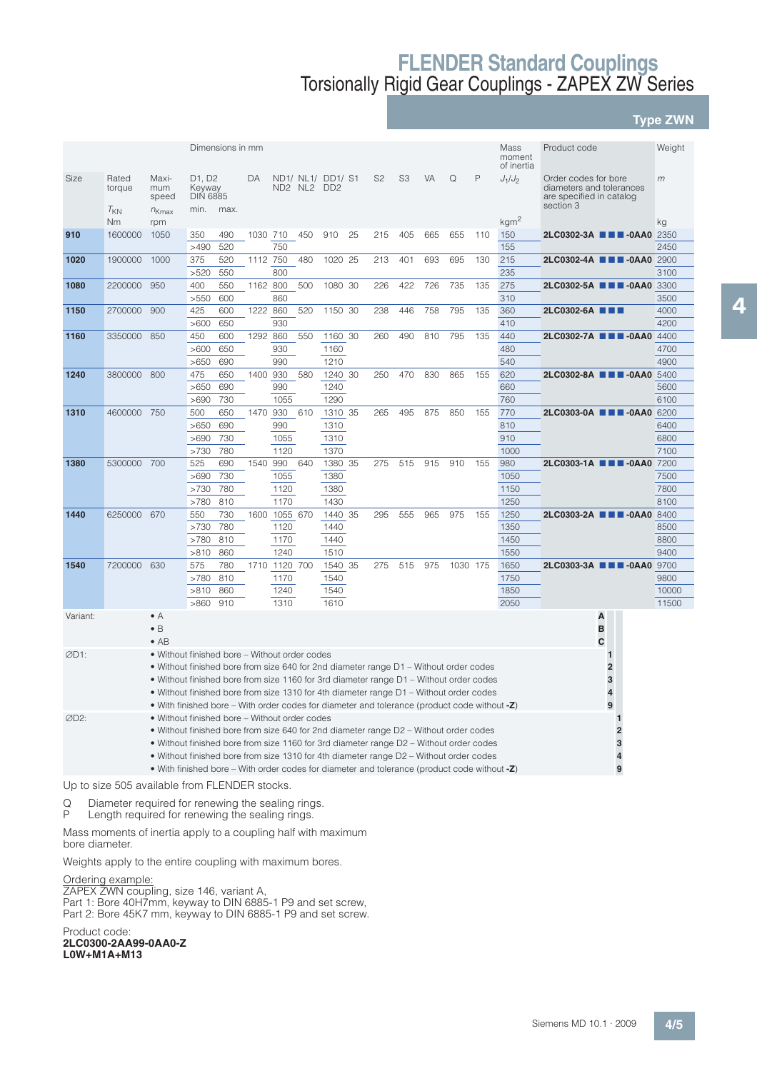### **Type ZWN**

|          |                             |                                                                                                 |                                             | Dimensions in mm |          |             |     |                                      |    |                |                |     |          |     | Mass<br>moment<br>of inertia | Product code                                                                              |                         | Weight       |
|----------|-----------------------------|-------------------------------------------------------------------------------------------------|---------------------------------------------|------------------|----------|-------------|-----|--------------------------------------|----|----------------|----------------|-----|----------|-----|------------------------------|-------------------------------------------------------------------------------------------|-------------------------|--------------|
| Size     | Rated<br>torque<br>$T_{KN}$ | Maxi-<br>mum<br>speed                                                                           | D1, D2<br>Keyway<br><b>DIN 6885</b><br>min. | max.             | DA       | ND2 NL2     |     | ND1/ NL1/ DD1/ S1<br>DD <sub>2</sub> |    | S <sub>2</sub> | S <sub>3</sub> | VA  | Q        | P   | $J_1/J_2$                    | Order codes for bore<br>diameters and tolerances<br>are specified in catalog<br>section 3 |                         | m            |
|          | Nm                          | $n_{Kmax}$<br>rpm                                                                               |                                             |                  |          |             |     |                                      |    |                |                |     |          |     | kgm <sup>2</sup>             |                                                                                           |                         | kg           |
| 910      | 1600000                     | 1050                                                                                            | 350                                         | 490              | 1030 710 |             | 450 | 910                                  | 25 | 215            | 405            | 665 | 655      | 110 | 150                          | 2LC0302-3A <b>III</b> -0AA0 2350                                                          |                         |              |
|          |                             |                                                                                                 | >490                                        | 520              |          | 750         |     |                                      |    |                |                |     |          |     | 155                          |                                                                                           |                         | 2450         |
| 1020     | 1900000                     | 1000                                                                                            | 375                                         | 520              | 1112 750 |             | 480 | 1020 25                              |    | 213            | 401            | 693 | 695      | 130 | 215                          | 2LC0302-4A <b>III</b> -0AA0 2900                                                          |                         |              |
|          |                             |                                                                                                 | >520                                        | 550              |          | 800         |     |                                      |    |                |                |     |          |     | 235                          |                                                                                           |                         | 3100         |
| 1080     | 2200000                     | 950                                                                                             | 400                                         | 550              | 1162 800 |             | 500 | 1080 30                              |    | 226            | 422            | 726 | 735      | 135 | 275                          | 2LC0302-5A ■■■-0AA0                                                                       |                         | 3300         |
|          |                             |                                                                                                 | >550                                        | 600              |          | 860         |     |                                      |    |                |                |     |          |     | 310                          |                                                                                           |                         | 3500         |
| 1150     | 2700000                     | 900                                                                                             | 425                                         | 600              | 1222 860 |             | 520 | 1150 30                              |    | 238            | 446            | 758 | 795      | 135 | 360                          | 2LC0302-6A ■■■                                                                            |                         | 4000         |
|          |                             |                                                                                                 | >600                                        | 650              |          | 930         |     |                                      |    |                |                |     |          |     | 410                          |                                                                                           |                         | 4200         |
| 1160     | 3350000                     | 850                                                                                             | 450                                         | 600              | 1292     | 860         | 550 | 1160 30                              |    | 260            | 490            | 810 | 795      | 135 | 440                          | 2LC0302-7A ■■■-0AA0                                                                       |                         | 4400         |
|          |                             |                                                                                                 | >600                                        | 650              |          | 930         |     | 1160                                 |    |                |                |     |          |     | 480                          |                                                                                           |                         | 4700         |
|          |                             |                                                                                                 | >650                                        | 690              |          | 990         |     | 1210                                 |    |                |                |     |          |     | 540                          |                                                                                           |                         | 4900         |
| 1240     | 3800000                     | 800                                                                                             | 475                                         | 650              | 1400     | 930         | 580 | 1240                                 | 30 | 250            | 470            | 830 | 865      | 155 | 620                          | 2LC0302-8A ■■■-0AA0                                                                       |                         | 5400         |
|          |                             |                                                                                                 | >650                                        | 690              |          | 990         |     | 1240                                 |    |                |                |     |          |     | 660                          |                                                                                           |                         | 5600         |
| 1310     | 4600000 750                 |                                                                                                 | >690<br>500                                 | 730<br>650       | 1470     | 1055<br>930 | 610 | 1290<br>1310 35                      |    | 265            | 495            | 875 | 850      | 155 | 760<br>770                   | 2LC0303-0A ■■■-0AA0                                                                       |                         | 6100<br>6200 |
|          |                             |                                                                                                 | >650                                        | 690              |          | 990         |     | 1310                                 |    |                |                |     |          |     | 810                          |                                                                                           |                         | 6400         |
|          |                             |                                                                                                 | >690                                        | 730              |          | 1055        |     | 1310                                 |    |                |                |     |          |     | 910                          |                                                                                           |                         | 6800         |
|          |                             |                                                                                                 | >730                                        | 780              |          | 1120        |     | 1370                                 |    |                |                |     |          |     | 1000                         |                                                                                           |                         | 7100         |
| 1380     | 5300000 700                 |                                                                                                 | 525                                         | 690              | 1540     | 990         | 640 | 1380 35                              |    | 275            | 515            | 915 | 910      | 155 | 980                          | 2LC0303-1A ■■■-0AA0                                                                       |                         | 7200         |
|          |                             |                                                                                                 | >690                                        | 730              |          | 1055        |     | 1380                                 |    |                |                |     |          |     | 1050                         |                                                                                           |                         | 7500         |
|          |                             |                                                                                                 | >730                                        | 780              |          | 1120        |     | 1380                                 |    |                |                |     |          |     | 1150                         |                                                                                           |                         | 7800         |
|          |                             |                                                                                                 | >780                                        | 810              |          | 1170        |     | 1430                                 |    |                |                |     |          |     | 1250                         |                                                                                           |                         | 8100         |
| 1440     | 6250000 670                 |                                                                                                 | 550                                         | 730              | 1600     | 1055 670    |     | 1440 35                              |    | 295            | 555            | 965 | 975      | 155 | 1250                         | 2LC0303-2A ■■■-0AA0                                                                       |                         | 8400         |
|          |                             |                                                                                                 | >730                                        | 780              |          | 1120        |     | 1440                                 |    |                |                |     |          |     | 1350                         |                                                                                           |                         | 8500         |
|          |                             |                                                                                                 | >780                                        | 810              |          | 1170        |     | 1440                                 |    |                |                |     |          |     | 1450                         |                                                                                           |                         | 8800         |
|          |                             |                                                                                                 | >810                                        | 860              |          | 1240        |     | 1510                                 |    |                |                |     |          |     | 1550                         |                                                                                           |                         | 9400         |
| 1540     | 7200000                     | 630                                                                                             | 575                                         | 780              | 1710     | 1120 700    |     | 1540 35                              |    | 275            | 515            | 975 | 1030 175 |     | 1650                         | 2LC0303-3A ■■■-0AA0                                                                       |                         | 9700         |
|          |                             |                                                                                                 | >780                                        | 810              |          | 1170        |     | 1540                                 |    |                |                |     |          |     | 1750                         |                                                                                           |                         | 9800         |
|          |                             |                                                                                                 | >810                                        | 860              |          | 1240        |     | 1540                                 |    |                |                |     |          |     | 1850                         |                                                                                           |                         | 10000        |
|          |                             |                                                                                                 | >860                                        | 910              |          | 1310        |     | 1610                                 |    |                |                |     |          |     | 2050                         |                                                                                           |                         | 11500        |
| Variant: |                             | $\bullet$ A<br>$\bullet$ B<br>$\bullet$ AB                                                      |                                             |                  |          |             |     |                                      |    |                |                |     |          |     |                              | Α<br>B<br>C                                                                               |                         |              |
| ØD1:     |                             | . Without finished bore - Without order codes                                                   |                                             |                  |          |             |     |                                      |    |                |                |     |          |     |                              |                                                                                           | 1                       |              |
|          |                             | • Without finished bore from size 640 for 2nd diameter range D1 - Without order codes           |                                             |                  |          |             |     |                                      |    |                |                |     |          |     |                              |                                                                                           | $\overline{\mathbf{2}}$ |              |
|          |                             | • Without finished bore from size 1160 for 3rd diameter range D1 – Without order codes          |                                             |                  |          |             |     |                                      |    |                |                |     |          |     |                              |                                                                                           | 3                       |              |
|          |                             | • Without finished bore from size 1310 for 4th diameter range D1 – Without order codes          |                                             |                  |          |             |     |                                      |    |                |                |     |          |     |                              |                                                                                           | $\overline{\mathbf{4}}$ |              |
|          |                             | • With finished bore – With order codes for diameter and tolerance (product code without $-Z$ ) |                                             |                  |          |             |     |                                      |    |                |                |     |          |     |                              |                                                                                           | 9                       |              |
| ØD2:     |                             | • Without finished bore - Without order codes                                                   |                                             |                  |          |             |     |                                      |    |                |                |     |          |     |                              |                                                                                           |                         |              |
|          |                             | • Without finished bore from size 640 for 2nd diameter range D2 - Without order codes           |                                             |                  |          |             |     |                                      |    |                |                |     |          |     |                              |                                                                                           | $\overline{2}$          |              |
|          |                             | • Without finished bore from size 1160 for 3rd diameter range D2 - Without order codes          |                                             |                  |          |             |     |                                      |    |                |                |     |          |     |                              |                                                                                           | 3                       |              |
|          |                             | • Without finished bore from size 1310 for 4th diameter range D2 – Without order codes          |                                             |                  |          |             |     |                                      |    |                |                |     |          |     |                              |                                                                                           |                         |              |
|          |                             | • With finished bore – With order codes for diameter and tolerance (product code without -Z)    |                                             |                  |          |             |     |                                      |    |                |                |     |          |     |                              |                                                                                           | 9                       |              |

Up to size 505 available from FLENDER stocks.

Q Diameter required for renewing the sealing rings.<br>P Length required for renewing the sealing rings

P Length required for renewing the sealing rings.

Mass moments of inertia apply to a coupling half with maximum bore diameter.

Weights apply to the entire coupling with maximum bores.

Ordering example:

ZAPEX ZWN coupling, size 146, variant A,

Part 1: Bore 40H7mm, keyway to DIN 6885-1 P9 and set screw, Part 2: Bore 45K7 mm, keyway to DIN 6885-1 P9 and set screw.

Product code: **2LC0300-2AA99-0AA0-Z L0W+M1A+M13**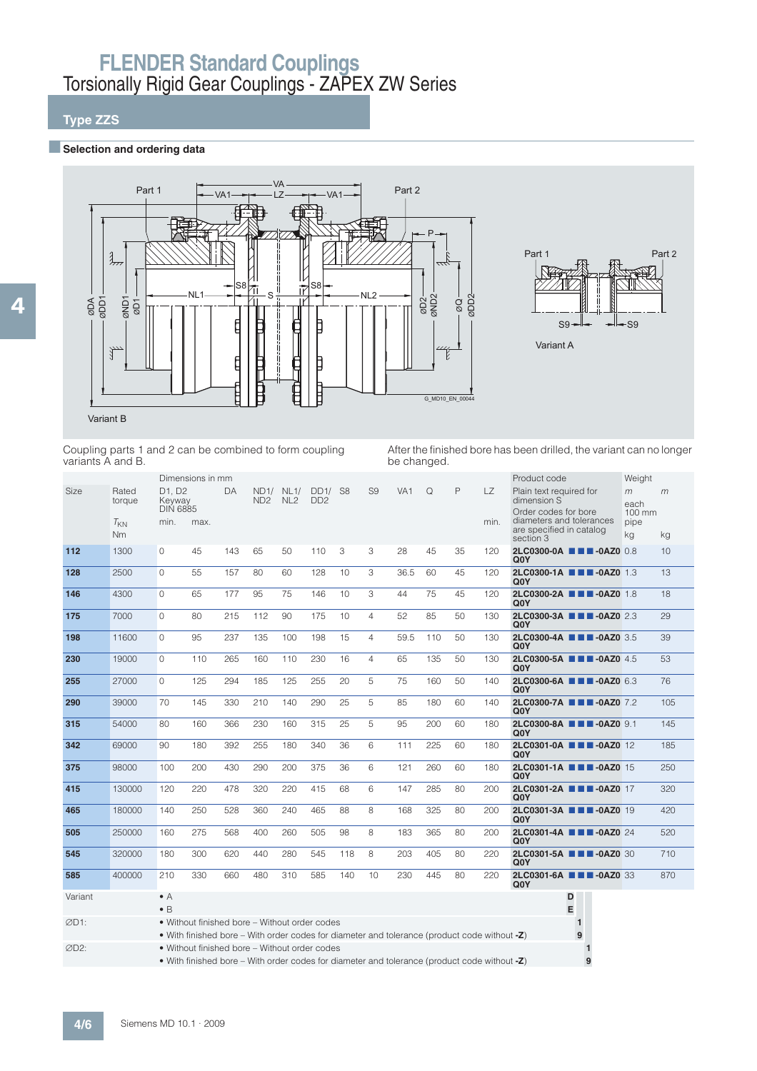## **Type ZZS**

### **BSelection and ordering data**



Coupling parts 1 and 2 can be combined to form coupling variants A and B.

After the finished bore has been drilled, the variant can no longer be changed.

|         |                       |                                             | Dimensions in mm                                                                                                                              |     |                         |                         |                         |     |                |                 |     |    |             | Product code                                                                               | Weight                      |     |
|---------|-----------------------|---------------------------------------------|-----------------------------------------------------------------------------------------------------------------------------------------------|-----|-------------------------|-------------------------|-------------------------|-----|----------------|-----------------|-----|----|-------------|--------------------------------------------------------------------------------------------|-----------------------------|-----|
| Size    | Rated<br>torque       | D1. D2<br>Keyway<br><b>DIN 6885</b><br>min. | max.                                                                                                                                          | DA  | ND1/<br>ND <sub>2</sub> | NL1/<br>NL <sub>2</sub> | DD1/<br>DD <sub>2</sub> | S8  | S <sub>9</sub> | VA <sub>1</sub> | Q   | P  | LZ.<br>min. | Plain text required for<br>dimension S<br>Order codes for bore<br>diameters and tolerances | m<br>each<br>100 mm<br>pipe | m   |
|         | $T_{KN}$<br><b>Nm</b> |                                             |                                                                                                                                               |     |                         |                         |                         |     |                |                 |     |    |             | are specified in catalog<br>section 3                                                      | kg                          | kg  |
| 112     | 1300                  | 0                                           | 45                                                                                                                                            | 143 | 65                      | 50                      | 110                     | 3   | 3              | 28              | 45  | 35 | 120         | 2LC0300-0A <b>III</b> -0AZ0 0.8<br>Q <sub>0</sub> Y                                        |                             | 10  |
| 128     | 2500                  | $\Omega$                                    | 55                                                                                                                                            | 157 | 80                      | 60                      | 128                     | 10  | 3              | 36.5            | 60  | 45 | 120         | 2LC0300-1A <b>III</b> -0AZ0 1.3<br>Q <sub>0</sub> Y                                        |                             | 13  |
| 146     | 4300                  | $\Omega$                                    | 65                                                                                                                                            | 177 | 95                      | 75                      | 146                     | 10  | 3              | 44              | 75  | 45 | 120         | 2LC0300-2A <b>III</b> -0AZ0 1.8<br>Q <sub>0</sub> Y                                        |                             | 18  |
| 175     | 7000                  | $\Omega$                                    | 80                                                                                                                                            | 215 | 112                     | 90                      | 175                     | 10  | $\overline{4}$ | 52              | 85  | 50 | 130         | 2LC0300-3A <b>III</b> -0AZ0 2.3<br>00Y                                                     |                             | 29  |
| 198     | 11600                 | $\Omega$                                    | 95                                                                                                                                            | 237 | 135                     | 100                     | 198                     | 15  | $\overline{4}$ | 59.5            | 110 | 50 | 130         | 2LC0300-4A ■■■-0AZ0 3.5<br>Q <sub>0</sub> Y                                                |                             | 39  |
| 230     | 19000                 | $\Omega$                                    | 110                                                                                                                                           | 265 | 160                     | 110                     | 230                     | 16  | $\overline{4}$ | 65              | 135 | 50 | 130         | 2LC0300-5A <b>III</b> -0AZ0 4.5<br>Q <sub>0</sub> Y                                        |                             | 53  |
| 255     | 27000                 | $\Omega$                                    | 125                                                                                                                                           | 294 | 185                     | 125                     | 255                     | 20  | 5              | 75              | 160 | 50 | 140         | 2LC0300-6A ■■■-0AZ0 6.3<br>00Y                                                             |                             | 76  |
| 290     | 39000                 | 70                                          | 145                                                                                                                                           | 330 | 210                     | 140                     | 290                     | 25  | 5              | 85              | 180 | 60 | 140         | 2LC0300-7A <b>III</b> -0AZ0 7.2<br>Q <sub>0</sub> Y                                        |                             | 105 |
| 315     | 54000                 | 80                                          | 160                                                                                                                                           | 366 | 230                     | 160                     | 315                     | 25  | 5              | 95              | 200 | 60 | 180         | 2LC0300-8A <b>III</b> -0AZ0 9.1<br>Q <sub>0</sub> Y                                        |                             | 145 |
| 342     | 69000                 | 90                                          | 180                                                                                                                                           | 392 | 255                     | 180                     | 340                     | 36  | 6              | 111             | 225 | 60 | 180         | 2LC0301-0A <b>NN</b> -0AZ0 12<br>Q <sub>0</sub> Y                                          |                             | 185 |
| 375     | 98000                 | 100                                         | 200                                                                                                                                           | 430 | 290                     | 200                     | 375                     | 36  | 6              | 121             | 260 | 60 | 180         | 2LC0301-1A <b>III</b> -0AZ0 15<br>Q <sub>0</sub> Y                                         |                             | 250 |
| 415     | 130000                | 120                                         | 220                                                                                                                                           | 478 | 320                     | 220                     | 415                     | 68  | 6              | 147             | 285 | 80 | 200         | 2LC0301-2A <b>III</b> -0AZ0 17<br>Q <sub>0</sub> Y                                         |                             | 320 |
| 465     | 180000                | 140                                         | 250                                                                                                                                           | 528 | 360                     | 240                     | 465                     | 88  | 8              | 168             | 325 | 80 | 200         | 2LC0301-3A <b>III</b> -0AZ0 19<br>Q <sub>0</sub> Y                                         |                             | 420 |
| 505     | 250000                | 160                                         | 275                                                                                                                                           | 568 | 400                     | 260                     | 505                     | 98  | 8              | 183             | 365 | 80 | 200         | 2LC0301-4A <b>III</b> -0AZ0 24<br>Q <sub>0</sub> Y                                         |                             | 520 |
| 545     | 320000                | 180                                         | 300                                                                                                                                           | 620 | 440                     | 280                     | 545                     | 118 | 8              | 203             | 405 | 80 | 220         | 2LC0301-5A <b>III</b> -0AZ0 30<br>Q <sub>0</sub> Y                                         |                             | 710 |
| 585     | 400000                | 210                                         | 330                                                                                                                                           | 660 | 480                     | 310                     | 585                     | 140 | 10             | 230             | 445 | 80 | 220         | 2LC0301-6A <b>III</b> -0AZ0 33<br>Q <sub>0</sub> Y                                         |                             | 870 |
| Variant |                       | $\bullet$ A<br>$\bullet$ B                  |                                                                                                                                               |     |                         |                         |                         |     |                |                 |     |    |             | D<br>E                                                                                     |                             |     |
| ØD1:    |                       |                                             | • Without finished bore – Without order codes<br>• With finished bore – With order codes for diameter and tolerance (product code without -Z) |     |                         |                         |                         |     |                |                 |     |    |             | $\mathbf{1}$<br>9                                                                          |                             |     |
| ØD2:    |                       |                                             | • Without finished bore – Without order codes<br>• With finished bore – With order codes for diameter and tolerance (product code without -Z) |     |                         |                         |                         |     |                |                 |     |    |             | -1                                                                                         |                             |     |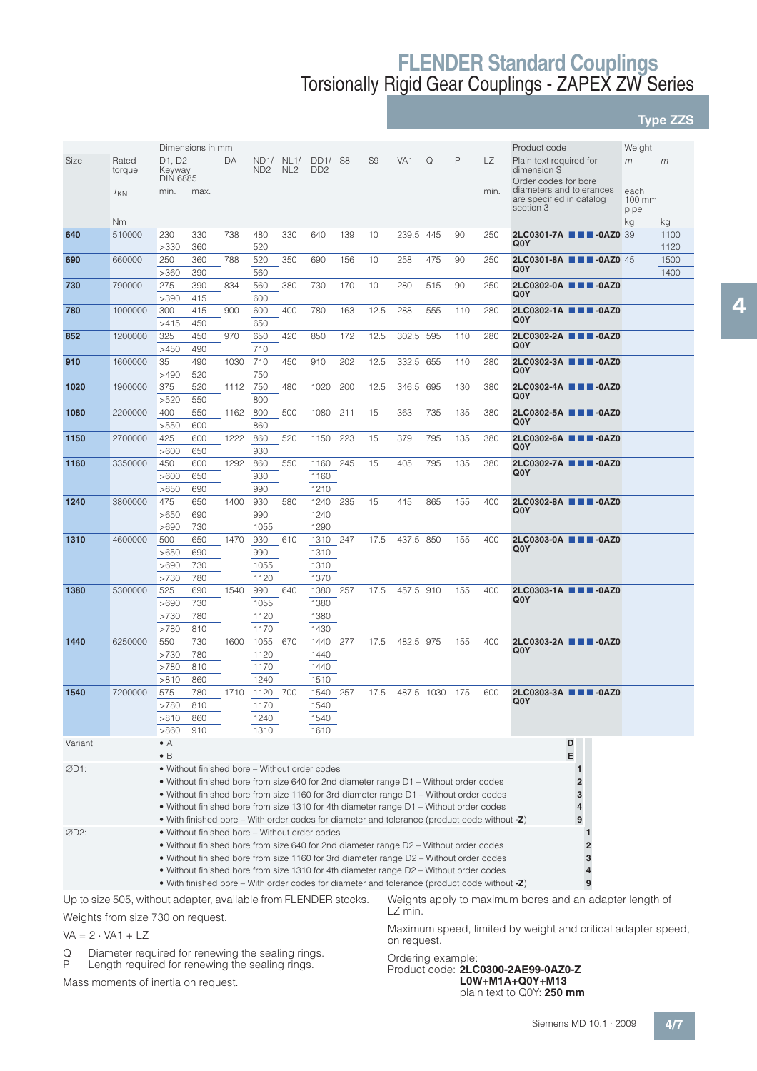**Type ZZS**

|         |                                                                 |                                 | Dimensions in mm                                                                                |      |                 |                 |                 |                |                |                 |      |     |      | Product code                                            | Weight                   |      |
|---------|-----------------------------------------------------------------|---------------------------------|-------------------------------------------------------------------------------------------------|------|-----------------|-----------------|-----------------|----------------|----------------|-----------------|------|-----|------|---------------------------------------------------------|--------------------------|------|
| Size    | Rated                                                           | D <sub>1</sub> , D <sub>2</sub> |                                                                                                 | DA   | ND1/            | NL1/            | DD1/            | S <sub>8</sub> | S <sub>9</sub> | VA <sub>1</sub> | Q    | P   | LZ   | Plain text required for                                 | m                        | m    |
|         | torque                                                          | Keyway                          |                                                                                                 |      | ND <sub>2</sub> | NL <sub>2</sub> | DD <sub>2</sub> |                |                |                 |      |     |      | dimension S                                             |                          |      |
|         |                                                                 | <b>DIN 6885</b>                 |                                                                                                 |      |                 |                 |                 |                |                |                 |      |     |      | Order codes for bore                                    |                          |      |
|         | $T_{KN}$                                                        | min.                            | max.                                                                                            |      |                 |                 |                 |                |                |                 |      |     | min. | diameters and tolerances                                | each                     |      |
|         |                                                                 |                                 |                                                                                                 |      |                 |                 |                 |                |                |                 |      |     |      | are specified in catalog<br>section 3                   | $100 \text{ mm}$<br>pipe |      |
|         | <b>Nm</b>                                                       |                                 |                                                                                                 |      |                 |                 |                 |                |                |                 |      |     |      |                                                         | kg                       | kg   |
| 640     | 510000                                                          | 230                             | 330                                                                                             | 738  | 480             | 330             | 640             | 139            | 10             | 239.5           | 445  | 90  | 250  | 2LC0301-7A <b>THE -0AZ0</b> 39                          |                          | 1100 |
|         |                                                                 | >330                            | 360                                                                                             |      | 520             |                 |                 |                |                |                 |      |     |      | Q0Y                                                     |                          | 1120 |
| 690     | 660000                                                          | 250                             | 360                                                                                             | 788  | 520             | 350             | 690             | 156            | 10             | 258             | 475  | 90  | 250  | 2LC0301-8A <b>III</b> -0AZ0 45                          |                          | 1500 |
|         |                                                                 | >360                            | 390                                                                                             |      | 560             |                 |                 |                |                |                 |      |     |      | Q <sub>0</sub> Y                                        |                          | 1400 |
| 730     | 790000                                                          | 275                             | 390                                                                                             | 834  | 560             | 380             | 730             | 170            | 10             | 280             | 515  | 90  | 250  | 2LC0302-0A <b>1 4</b> -0AZ0                             |                          |      |
|         |                                                                 | >390                            | 415                                                                                             |      | 600             |                 |                 |                |                |                 |      |     |      | Q <sub>0</sub> Y                                        |                          |      |
| 780     | 1000000                                                         | 300                             | 415                                                                                             | 900  | 600             | 400             | 780             | 163            | 12.5           | 288             | 555  | 110 | 280  | 2LC0302-1A <b>III</b> -0AZ0                             |                          |      |
|         |                                                                 | >415                            | 450                                                                                             |      | 650             |                 |                 |                |                |                 |      |     |      | Q <sub>0</sub> Y                                        |                          |      |
| 852     | 1200000                                                         | 325                             | 450                                                                                             | 970  | 650             | 420             | 850             | 172            | 12.5           | 302.5           | 595  | 110 | 280  | 2LC0302-2A ■■■-0AZ0                                     |                          |      |
|         |                                                                 | >450                            | 490                                                                                             |      | 710             |                 |                 |                |                |                 |      |     |      | Q <sub>0</sub> Y                                        |                          |      |
| 910     | 1600000                                                         | 35                              | 490                                                                                             | 1030 | 710             | 450             | 910             | 202            | 12.5           | 332.5           | 655  | 110 | 280  | 2LC0302-3A <b>III II</b> -0AZ0                          |                          |      |
|         |                                                                 | >490                            | 520                                                                                             |      | 750             |                 |                 |                |                |                 |      |     |      | Q <sub>0</sub> Y                                        |                          |      |
| 1020    | 1900000                                                         | 375                             | 520                                                                                             | 1112 | 750             | 480             | 1020            | 200            | 12.5           | 346.5           | 695  | 130 | 380  | 2LC0302-4A <b>III</b> -0AZ0                             |                          |      |
|         |                                                                 | >520                            | 550                                                                                             |      | 800             |                 |                 |                |                |                 |      |     |      | Q <sub>0</sub> Y                                        |                          |      |
| 1080    | 2200000                                                         | 400                             | 550                                                                                             | 1162 | 800             | 500             | 1080            | 211            | 15             | 363             | 735  | 135 | 380  | 2LC0302-5A <b>III</b> III -0AZ0                         |                          |      |
|         |                                                                 | >550                            | 600                                                                                             |      | 860             |                 |                 |                |                |                 |      |     |      | Q <sub>0</sub> Y                                        |                          |      |
| 1150    | 2700000                                                         | 425                             | 600                                                                                             | 1222 | 860             | 520             | 1150            | 223            | 15             | 379             | 795  | 135 | 380  | 2LC0302-6A <b>III</b> -0AZ0                             |                          |      |
|         |                                                                 | >600                            | 650                                                                                             |      | 930             |                 |                 |                |                |                 |      |     |      | Q <sub>0</sub> Y                                        |                          |      |
| 1160    | 3350000                                                         | 450                             | 600                                                                                             | 1292 | 860             | 550             | 1160            | 245            | 15             | 405             | 795  | 135 | 380  | 2LC0302-7A <b>III</b> -0AZ0                             |                          |      |
|         |                                                                 | >600                            | 650                                                                                             |      | 930             |                 | 1160            |                |                |                 |      |     |      | Q <sub>0</sub> Y                                        |                          |      |
|         |                                                                 | >650                            | 690                                                                                             |      | 990             |                 | 1210            |                |                |                 |      |     |      |                                                         |                          |      |
| 1240    | 3800000                                                         | 475                             | 650                                                                                             | 1400 | 930             | 580             | 1240            | 235            | 15             | 415             | 865  | 155 | 400  | 2LC0302-8A <b>III</b> -0AZ0                             |                          |      |
|         |                                                                 | >650                            | 690                                                                                             |      | 990             |                 | 1240            |                |                |                 |      |     |      | Q0Y                                                     |                          |      |
|         |                                                                 | >690                            | 730                                                                                             |      | 1055            |                 | 1290            |                |                |                 |      |     |      |                                                         |                          |      |
| 1310    | 4600000                                                         | 500                             | 650                                                                                             | 1470 | 930             | 610             | 1310            | 247            | 17.5           | 437.5           | 850  | 155 | 400  | 2LC0303-0A <b>III</b> -0AZ0                             |                          |      |
|         |                                                                 | >650                            | 690                                                                                             |      | 990             |                 | 1310            |                |                |                 |      |     |      | Q <sub>0</sub> Y                                        |                          |      |
|         |                                                                 | >690                            | 730                                                                                             |      | 1055            |                 | 1310            |                |                |                 |      |     |      |                                                         |                          |      |
|         |                                                                 | >730                            | 780                                                                                             |      | 1120            |                 | 1370            |                |                |                 |      |     |      |                                                         |                          |      |
| 1380    | 5300000                                                         | 525                             | 690                                                                                             | 1540 | 990             | 640             | 1380            | 257            | 17.5           | 457.5 910       |      | 155 | 400  | 2LC0303-1A <b>III</b> -0AZ0<br>Q0Y                      |                          |      |
|         |                                                                 | >690                            | 730                                                                                             |      | 1055            |                 | 1380            |                |                |                 |      |     |      |                                                         |                          |      |
|         |                                                                 | >730                            | 780                                                                                             |      | 1120            |                 | 1380            |                |                |                 |      |     |      |                                                         |                          |      |
|         |                                                                 | >780                            | 810                                                                                             |      | 1170            |                 | 1430            |                |                |                 |      |     |      |                                                         |                          |      |
| 1440    | 6250000                                                         | 550                             | 730                                                                                             | 1600 | 1055            | 670             | 1440            | 277            | 17.5           | 482.5 975       |      | 155 | 400  | 2LC0303-2A ■■■-0AZ0<br>Q <sub>0</sub> Y                 |                          |      |
|         |                                                                 | >730                            | 780                                                                                             |      | 1120            |                 | 1440            |                |                |                 |      |     |      |                                                         |                          |      |
|         |                                                                 | >780                            | 810                                                                                             |      | 1170            |                 | 1440            |                |                |                 |      |     |      |                                                         |                          |      |
|         |                                                                 | >810                            | 860                                                                                             |      | 1240            |                 | 1510            |                |                |                 |      |     |      |                                                         |                          |      |
| 1540    | 7200000                                                         | 575                             | 780                                                                                             | 1710 | 1120 700        |                 | 1540            | 257            | 17.5           | 487.5           | 1030 | 175 | 600  | 2LC0303-3A <b>III</b> -0AZ0<br>Q <sub>0</sub> Y         |                          |      |
|         |                                                                 | >780<br>>810                    | 810<br>860                                                                                      |      | 1170<br>1240    |                 | 1540            |                |                |                 |      |     |      |                                                         |                          |      |
|         |                                                                 | >860                            | 910                                                                                             |      | 1310            |                 | 1540<br>1610    |                |                |                 |      |     |      |                                                         |                          |      |
| Variant |                                                                 | $\bullet$ A                     |                                                                                                 |      |                 |                 |                 |                |                |                 |      |     |      | D                                                       |                          |      |
|         |                                                                 | $\bullet$ B                     |                                                                                                 |      |                 |                 |                 |                |                |                 |      |     |      | E                                                       |                          |      |
| ØD1:    |                                                                 |                                 | • Without finished bore – Without order codes                                                   |      |                 |                 |                 |                |                |                 |      |     |      | $\mathbf{1}$                                            |                          |      |
|         |                                                                 |                                 | • Without finished bore from size 640 for 2nd diameter range D1 – Without order codes           |      |                 |                 |                 |                |                |                 |      |     |      | $\overline{\mathbf{c}}$                                 |                          |      |
|         |                                                                 |                                 | • Without finished bore from size 1160 for 3rd diameter range D1 – Without order codes          |      |                 |                 |                 |                |                |                 |      |     |      | 3                                                       |                          |      |
|         |                                                                 |                                 | • Without finished bore from size 1310 for 4th diameter range D1 – Without order codes          |      |                 |                 |                 |                |                |                 |      |     |      | 4                                                       |                          |      |
|         |                                                                 |                                 | • With finished bore – With order codes for diameter and tolerance (product code without $-Z$ ) |      |                 |                 |                 |                |                |                 |      |     |      | 9                                                       |                          |      |
| ØD2:    |                                                                 |                                 | • Without finished bore – Without order codes                                                   |      |                 |                 |                 |                |                |                 |      |     |      |                                                         |                          |      |
|         |                                                                 |                                 | • Without finished bore from size 640 for 2nd diameter range D2 – Without order codes           |      |                 |                 |                 |                |                |                 |      |     |      | $\overline{2}$                                          |                          |      |
|         |                                                                 |                                 | • Without finished bore from size 1160 for 3rd diameter range D2 – Without order codes          |      |                 |                 |                 |                |                |                 |      |     |      | 3                                                       |                          |      |
|         |                                                                 |                                 | • Without finished bore from size 1310 for 4th diameter range D2 – Without order codes          |      |                 |                 |                 |                |                |                 |      |     |      | 4                                                       |                          |      |
|         |                                                                 |                                 | • With finished bore – With order codes for diameter and tolerance (product code without -Z)    |      |                 |                 |                 |                |                |                 |      |     |      | 9                                                       |                          |      |
|         | Up to size 505, without adapter, available from FLENDER stocks. |                                 |                                                                                                 |      |                 |                 |                 |                |                |                 |      |     |      | Weights apply to maximum bores and an adapter length of |                          |      |
|         |                                                                 |                                 |                                                                                                 |      |                 |                 |                 |                |                |                 |      |     |      |                                                         |                          |      |

Weights from size 730 on request.

 $VA = 2 \cdot VA1 + LZ$ 

Q Diameter required for renewing the sealing rings.<br>P Length required for renewing the sealing rings.

Length required for renewing the sealing rings.

Mass moments of inertia on request.

LZ min.

Maximum speed, limited by weight and critical adapter speed, on request.

#### Ordering example:

Product code: **2LC0300-2AE99-0AZ0-Z L0W+M1A+Q0Y+M13** plain text to Q0Y: **250 mm**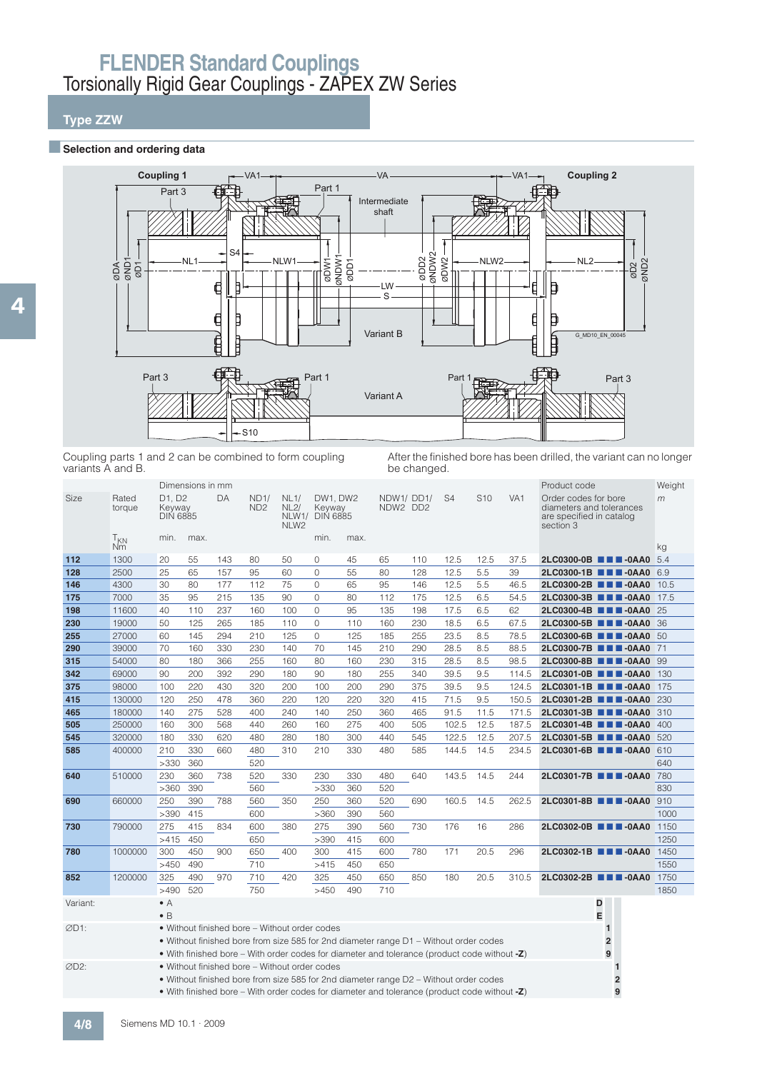## **Type ZZW**

#### **Exercise Selection and ordering data**



Coupling parts 1 and 2 can be combined to form coupling variants A and B.

After the finished bore has been drilled, the variant can no longer be changed.

|                  |                       |                                     | Dimensions in mm |     |                         |                                                  |                                       |      |     |                                                                                              |                |                 |                 | Product code                                                                              |                                  | Weight |
|------------------|-----------------------|-------------------------------------|------------------|-----|-------------------------|--------------------------------------------------|---------------------------------------|------|-----|----------------------------------------------------------------------------------------------|----------------|-----------------|-----------------|-------------------------------------------------------------------------------------------|----------------------------------|--------|
| Size             | Rated<br>torque       | D1. D2<br>Keyway<br><b>DIN 6885</b> |                  | DA  | ND1/<br>ND <sub>2</sub> | <b>NL1/</b><br>NL2/<br>NLW1/<br>NLW <sub>2</sub> | DW1, DW2<br>Keyway<br><b>DIN 6885</b> |      |     | NDW1/DD1/<br>NDW2 DD2                                                                        | S <sub>4</sub> | S <sub>10</sub> | VA <sub>1</sub> | Order codes for bore<br>diameters and tolerances<br>are specified in catalog<br>section 3 |                                  | m      |
|                  | T <sub>KN</sub><br>Nm | min.                                | max.             |     |                         |                                                  | min.                                  | max. |     |                                                                                              |                |                 |                 |                                                                                           |                                  | kg     |
| 112              | 1300                  | 20                                  | 55               | 143 | 80                      | 50                                               | 0                                     | 45   | 65  | 110                                                                                          | 12.5           | 12.5            | 37.5            |                                                                                           | 2LC0300-0B <b>THE-0AA0</b> 5.4   |        |
| 128              | 2500                  | 25                                  | 65               | 157 | 95                      | 60                                               | $\overline{O}$                        | 55   | 80  | 128                                                                                          | 12.5           | 5.5             | 39              |                                                                                           | 2LC0300-1B <b>THE-0AA0</b> 6.9   |        |
| 146              | 4300                  | 30                                  | 80               | 177 | 112                     | 75                                               | $\mathbf{0}$                          | 65   | 95  | 146                                                                                          | 12.5           | 5.5             | 46.5            |                                                                                           | 2LC0300-2B ■■■-0AA0              | 10.5   |
| 175              | 7000                  | 35                                  | 95               | 215 | 135                     | 90                                               | $\overline{O}$                        | 80   | 112 | 175                                                                                          | 12.5           | 6.5             | 54.5            |                                                                                           | 2LC0300-3B ■■■-0AA0              | 17.5   |
| 198              | 11600                 | 40                                  | 110              | 237 | 160                     | 100                                              | $\mathbf{0}$                          | 95   | 135 | 198                                                                                          | 17.5           | 6.5             | 62              |                                                                                           | 2LC0300-4B <b>III</b> -0AA0 25   |        |
| 230              | 19000                 | 50                                  | 125              | 265 | 185                     | 110                                              | $\Omega$                              | 110  | 160 | 230                                                                                          | 18.5           | 6.5             | 67.5            |                                                                                           | 2LC0300-5B <b>THE-0AA0</b> 36    |        |
| 255              | 27000                 | 60                                  | 145              | 294 | 210                     | 125                                              | $\Omega$                              | 125  | 185 | 255                                                                                          | 23.5           | 8.5             | 78.5            |                                                                                           | 2LC0300-6B <b>THE-0AA0</b> 50    |        |
| 290              | 39000                 | 70                                  | 160              | 330 | 230                     | 140                                              | 70                                    | 145  | 210 | 290                                                                                          | 28.5           | 8.5             | 88.5            |                                                                                           | 2LC0300-7B <b>III</b> -0AA0 71   |        |
| 315              | 54000                 | 80                                  | 180              | 366 | 255                     | 160                                              | 80                                    | 160  | 230 | 315                                                                                          | 28.5           | 8.5             | 98.5            |                                                                                           | 2LC0300-8B <b>III</b> -0AA0 99   |        |
| 342              | 69000                 | 90                                  | 200              | 392 | 290                     | 180                                              | 90                                    | 180  | 255 | 340                                                                                          | 39.5           | 9.5             | 114.5           |                                                                                           | 2LC0301-0B <b>THE-0AA0</b> 130   |        |
| 375              | 98000                 | 100                                 | 220              | 430 | 320                     | 200                                              | 100                                   | 200  | 290 | 375                                                                                          | 39.5           | 9.5             | 124.5           |                                                                                           | 2LC0301-1B ■■■-0AA0              | 175    |
| 415              | 130000                | 120                                 | 250              | 478 | 360                     | 220                                              | 120                                   | 220  | 320 | 415                                                                                          | 71.5           | 9.5             | 150.5           |                                                                                           | 2LC0301-2B <b>III</b> -0AA0 230  |        |
| 465              | 180000                | 140                                 | 275              | 528 | 400                     | 240                                              | 140                                   | 250  | 360 | 465                                                                                          | 91.5           | 11.5            | 171.5           |                                                                                           | 2LC0301-3B ■■■-0AA0              | 310    |
| 505              | 250000                | 160                                 | 300              | 568 | 440                     | 260                                              | 160                                   | 275  | 400 | 505                                                                                          | 102.5          | 12.5            | 187.5           |                                                                                           | 2LC0301-4B <b>III</b> -0AA0      | 400    |
| 545              | 320000                | 180                                 | 330              | 620 | 480                     | 280                                              | 180                                   | 300  | 440 | 545                                                                                          | 122.5          | 12.5            | 207.5           |                                                                                           | 2LC0301-5B ■■■-0AA0              | 520    |
| 585              | 400000                | 210                                 | 330              | 660 | 480                     | 310                                              | 210                                   | 330  | 480 | 585                                                                                          | 144.5          | 14.5            | 234.5           |                                                                                           | 2LC0301-6B <b>III</b> -0AA0 610  |        |
|                  |                       | >330                                | 360              |     | 520                     |                                                  |                                       |      |     |                                                                                              |                |                 |                 |                                                                                           |                                  | 640    |
| 640              | 510000                | 230                                 | 360              | 738 | 520                     | 330                                              | 230                                   | 330  | 480 | 640                                                                                          | 143.5          | 14.5            | 244             |                                                                                           | 2LC0301-7B <b>III</b> -0AA0 780  |        |
|                  |                       | >360                                | 390              |     | 560                     |                                                  | >330                                  | 360  | 520 |                                                                                              |                |                 |                 |                                                                                           |                                  | 830    |
| 690              | 660000                | 250                                 | 390              | 788 | 560                     | 350                                              | 250                                   | 360  | 520 | 690                                                                                          | 160.5          | 14.5            | 262.5           |                                                                                           | 2LC0301-8B <b>THE-0AA0</b> 910   |        |
|                  |                       | >390                                | 415              |     | 600                     |                                                  | >360                                  | 390  | 560 |                                                                                              |                |                 |                 |                                                                                           |                                  | 1000   |
| 730              | 790000                | 275                                 | 415              | 834 | 600                     | 380                                              | 275                                   | 390  | 560 | 730                                                                                          | 176            | 16              | 286             |                                                                                           | 2LC0302-0B <b>III</b> -0AA0 1150 |        |
|                  |                       | >415                                | 450              |     | 650                     |                                                  | >390                                  | 415  | 600 |                                                                                              |                |                 |                 |                                                                                           |                                  | 1250   |
| 780              | 1000000               | 300                                 | 450              | 900 | 650                     | 400                                              | 300                                   | 415  | 600 | 780                                                                                          | 171            | 20.5            | 296             |                                                                                           | 2LC0302-1B <b>III</b> -0AA0      | 1450   |
|                  |                       | >450                                | 490              |     | 710                     |                                                  | >415                                  | 450  | 650 |                                                                                              |                |                 |                 |                                                                                           |                                  | 1550   |
| 852              | 1200000               | 325                                 | 490              | 970 | 710                     | 420                                              | 325                                   | 450  | 650 | 850                                                                                          | 180            | 20.5            | 310.5           |                                                                                           | 2LC0302-2B <b>III</b> -0AA0      | 1750   |
|                  |                       | >490                                | 520              |     | 750                     |                                                  | >450                                  | 490  | 710 |                                                                                              |                |                 |                 |                                                                                           |                                  | 1850   |
| Variant:         |                       | $\bullet$ A                         |                  |     |                         |                                                  |                                       |      |     |                                                                                              |                |                 |                 |                                                                                           | D                                |        |
|                  |                       | $\bullet$ B                         |                  |     |                         |                                                  |                                       |      |     |                                                                                              |                |                 |                 |                                                                                           | E                                |        |
| ØD1:             |                       |                                     |                  |     |                         | • Without finished bore - Without order codes    |                                       |      |     |                                                                                              |                |                 |                 |                                                                                           | 1                                |        |
|                  |                       |                                     |                  |     |                         |                                                  |                                       |      |     | • Without finished bore from size 585 for 2nd diameter range D1 – Without order codes        |                |                 |                 |                                                                                           | $\overline{\mathbf{2}}$          |        |
|                  |                       |                                     |                  |     |                         |                                                  |                                       |      |     | • With finished bore – With order codes for diameter and tolerance (product code without -Z) |                |                 |                 |                                                                                           | 9                                |        |
| ØD <sub>2:</sub> |                       |                                     |                  |     |                         | • Without finished bore - Without order codes    |                                       |      |     |                                                                                              |                |                 |                 |                                                                                           | $\mathbf{1}$                     |        |
|                  |                       |                                     |                  |     |                         |                                                  |                                       |      |     | • Without finished bore from size 585 for 2nd diameter range D2 - Without order codes        |                |                 |                 |                                                                                           | $\overline{2}$                   |        |
|                  |                       |                                     |                  |     |                         |                                                  |                                       |      |     | • With finished bore – With order codes for diameter and tolerance (product code without -Z) |                |                 |                 |                                                                                           | 9                                |        |
|                  |                       |                                     |                  |     |                         |                                                  |                                       |      |     |                                                                                              |                |                 |                 |                                                                                           |                                  |        |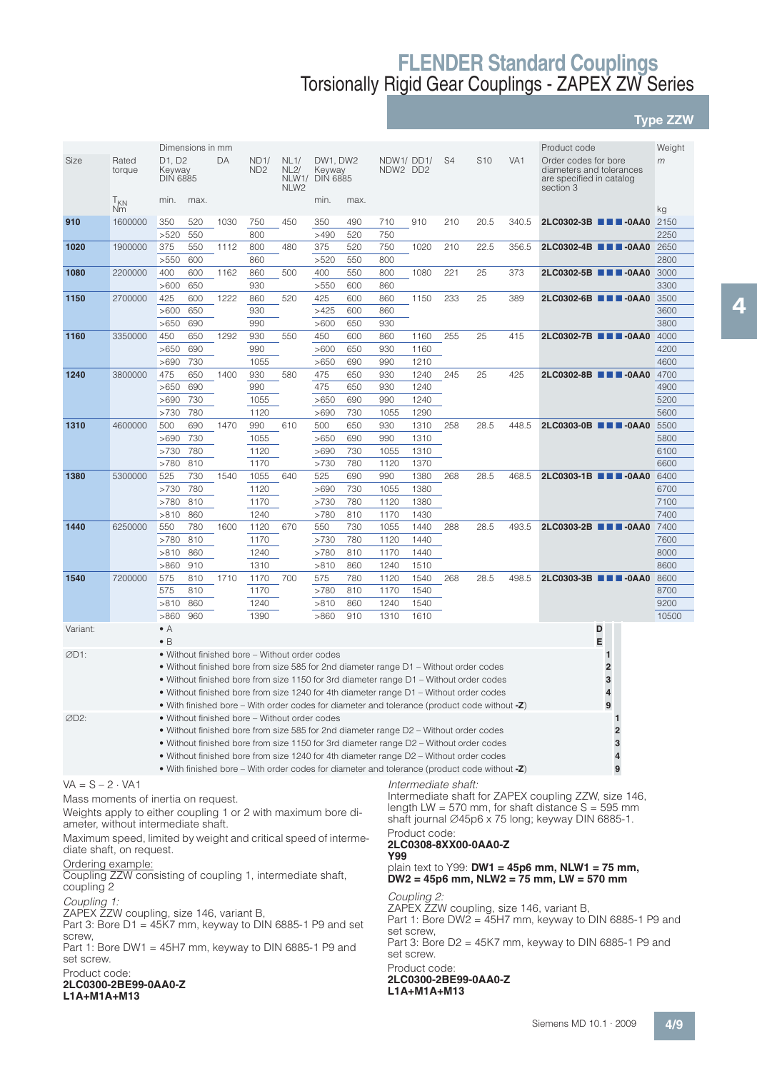## **Type ZZW**

|                                                                                                                                                                                                                                                     |                       |                                     | Dimensions in mm |      |                                                                                                                                                                                  |                                  |                                      |            |                       |               |                     |                      |                 | Product code                                                                                             |                     |                    |
|-----------------------------------------------------------------------------------------------------------------------------------------------------------------------------------------------------------------------------------------------------|-----------------------|-------------------------------------|------------------|------|----------------------------------------------------------------------------------------------------------------------------------------------------------------------------------|----------------------------------|--------------------------------------|------------|-----------------------|---------------|---------------------|----------------------|-----------------|----------------------------------------------------------------------------------------------------------|---------------------|--------------------|
| Size                                                                                                                                                                                                                                                | Rated<br>torque       | D1, D2<br>Keyway<br><b>DIN 6885</b> |                  | DA   | ND1/<br>ND <sub>2</sub>                                                                                                                                                          | NL1/<br>NL2/<br>NLW <sub>2</sub> | DW1, DW2<br>Keyway<br>NLW1/ DIN 6885 |            | NDW1/DD1/<br>NDW2 DD2 |               | S <sub>4</sub>      | S <sub>10</sub>      | VA <sub>1</sub> | Order codes for bore<br>diameters and tolerances<br>are specified in catalog<br>section 3                |                     | Weight<br>m        |
|                                                                                                                                                                                                                                                     | T <sub>KN</sub><br>Nm | min.                                | max.             |      |                                                                                                                                                                                  |                                  | min.                                 | max.       |                       |               |                     |                      |                 |                                                                                                          |                     |                    |
| 910                                                                                                                                                                                                                                                 | 1600000               | 350<br>>520                         | 520<br>550       | 1030 | 750<br>800                                                                                                                                                                       | 450                              | 350<br>>490                          | 490<br>520 | 710<br>750            | 910           | 210                 | 20.5                 | 340.5           | 2LC0302-3B ■■■-0AA0                                                                                      |                     | kg<br>2150<br>2250 |
| 1020                                                                                                                                                                                                                                                | 1900000               | 375<br>>550                         | 550<br>600       | 1112 | 800<br>860                                                                                                                                                                       | 480                              | 375<br>>520                          | 520<br>550 | 750<br>800            | 1020          | 210                 | 22.5                 | 356.5           | 2LC0302-4B <b>III</b> -0AA0 2650                                                                         |                     | 2800               |
| 1080                                                                                                                                                                                                                                                | 2200000               | 400                                 | 600              | 1162 | 860                                                                                                                                                                              | 500                              | 400                                  | 550        | 800                   | 1080          | 221                 | 25                   | 373             | 2LC0302-5B <b>III</b> -0AA0 3000                                                                         |                     |                    |
| 1150                                                                                                                                                                                                                                                | 2700000               | >600<br>425                         | 650<br>600       | 1222 | 930<br>860                                                                                                                                                                       | 520                              | >550<br>425                          | 600<br>600 | 860<br>860            | 1150          | 233                 | 25                   | 389             | 2LC0302-6B <b>III</b> -0AA0                                                                              |                     | 3300<br>3500       |
|                                                                                                                                                                                                                                                     |                       | >600<br>>650                        | 650<br>690       |      | 930<br>990                                                                                                                                                                       |                                  | >425<br>>600                         | 600<br>650 | 860<br>930            |               |                     |                      |                 |                                                                                                          |                     | 3600<br>3800       |
| 1160                                                                                                                                                                                                                                                | 3350000               | 450                                 | 650              | 1292 | 930                                                                                                                                                                              | 550                              | 450                                  | 600        | 860                   | 1160          | 255                 | 25                   | 415             | 2LC0302-7B <b>III</b> -0AA0                                                                              |                     | 4000               |
|                                                                                                                                                                                                                                                     |                       | >650<br>>690                        | 690<br>730       |      | 990<br>1055                                                                                                                                                                      |                                  | >600<br>>650                         | 650<br>690 | 930<br>990            | 1160<br>1210  |                     |                      |                 |                                                                                                          |                     | 4200<br>4600       |
| 1240                                                                                                                                                                                                                                                | 3800000               | 475                                 | 650              | 1400 | 930                                                                                                                                                                              | 580                              | 475                                  | 650        | 930                   | 1240          | 245                 | 25                   | 425             | 2LC0302-8B ■■■-0AA0                                                                                      |                     | 4700               |
|                                                                                                                                                                                                                                                     |                       | >650<br>>690                        | 690<br>730       |      | 990<br>1055                                                                                                                                                                      |                                  | 475<br>>650                          | 650<br>690 | 930<br>990            | 1240<br>1240  |                     |                      |                 |                                                                                                          |                     | 4900<br>5200       |
|                                                                                                                                                                                                                                                     |                       | >730                                | 780              |      | 1120                                                                                                                                                                             |                                  | >690                                 | 730        | 1055                  | 1290          |                     |                      |                 |                                                                                                          |                     | 5600               |
| 1310                                                                                                                                                                                                                                                | 4600000               | 500                                 | 690              | 1470 | 990                                                                                                                                                                              | 610                              | 500                                  | 650        | 930                   | 1310          | 258                 | 28.5                 | 448.5           | 2LC0303-0B <b>III</b> -0AA0                                                                              |                     | 5500               |
|                                                                                                                                                                                                                                                     |                       | >690                                | 730              |      | 1055                                                                                                                                                                             |                                  | >650                                 | 690        | 990                   | 1310          |                     |                      |                 |                                                                                                          |                     | 5800               |
|                                                                                                                                                                                                                                                     |                       | >730<br>>780                        | 780<br>810       |      | 1120<br>1170                                                                                                                                                                     |                                  | >690<br>>730                         | 730<br>780 | 1055<br>1120          | 1310<br>1370  |                     |                      |                 |                                                                                                          |                     | 6100<br>6600       |
| 1380                                                                                                                                                                                                                                                | 5300000               | 525                                 | 730              | 1540 | 1055                                                                                                                                                                             | 640                              | 525                                  | 690        | 990                   | 1380          | 268                 | 28.5                 | 468.5           | 2LC0303-1B <b>III</b> -0AA0                                                                              |                     | 6400               |
|                                                                                                                                                                                                                                                     |                       | >730                                | 780              |      | 1120                                                                                                                                                                             |                                  | >690                                 | 730        | 1055                  | 1380          |                     |                      |                 |                                                                                                          |                     | 6700               |
|                                                                                                                                                                                                                                                     |                       | >780                                | 810              |      | 1170                                                                                                                                                                             |                                  | >730                                 | 780        | 1120                  | 1380          |                     |                      |                 |                                                                                                          |                     | 7100               |
| 1440                                                                                                                                                                                                                                                | 6250000               | >810<br>550                         | 860<br>780       | 1600 | 1240<br>1120                                                                                                                                                                     | 670                              | >780<br>550                          | 810<br>730 | 1170<br>1055          | 1430<br>1440  | 288                 | 28.5                 | 493.5           | 2LC0303-2B <b>III</b> -0AA0                                                                              |                     | 7400<br>7400       |
|                                                                                                                                                                                                                                                     |                       | >780                                | 810              |      | 1170                                                                                                                                                                             |                                  | >730                                 | 780        | 1120                  | 1440          |                     |                      |                 |                                                                                                          |                     | 7600               |
|                                                                                                                                                                                                                                                     |                       | >810                                | 860              |      | 1240                                                                                                                                                                             |                                  | >780                                 | 810        | 1170                  | 1440          |                     |                      |                 |                                                                                                          |                     | 8000               |
|                                                                                                                                                                                                                                                     |                       | >860                                | 910              |      | 1310                                                                                                                                                                             |                                  | >810                                 | 860        | 1240                  | 1510          |                     |                      |                 |                                                                                                          |                     | 8600               |
|                                                                                                                                                                                                                                                     |                       |                                     |                  |      |                                                                                                                                                                                  |                                  |                                      |            |                       |               |                     |                      |                 |                                                                                                          |                     |                    |
| 1540                                                                                                                                                                                                                                                | 7200000               | 575                                 | 810              | 1710 | 1170                                                                                                                                                                             | 700                              | 575                                  | 780        | 1120                  | 1540          | 268                 | 28.5                 | 498.5           | 2LC0303-3B <b>III</b> -0AA0                                                                              |                     | 8600               |
|                                                                                                                                                                                                                                                     |                       | 575<br>>810                         | 810<br>860       |      | 1170<br>1240                                                                                                                                                                     |                                  | >780<br>>810                         | 810<br>860 | 1170<br>1240          | 1540<br>1540  |                     |                      |                 |                                                                                                          |                     | 8700<br>9200       |
|                                                                                                                                                                                                                                                     |                       | >860                                | 960              |      | 1390                                                                                                                                                                             |                                  | >860                                 | 910        | 1310                  | 1610          |                     |                      |                 |                                                                                                          |                     | 10500              |
| Variant:                                                                                                                                                                                                                                            |                       | $\bullet$ A<br>$\bullet$ B          |                  |      |                                                                                                                                                                                  |                                  |                                      |            |                       |               |                     |                      |                 | D<br>E                                                                                                   |                     |                    |
| ØD1:                                                                                                                                                                                                                                                |                       |                                     |                  |      | • Without finished bore – Without order codes                                                                                                                                    |                                  |                                      |            |                       |               |                     |                      |                 | 1                                                                                                        |                     |                    |
|                                                                                                                                                                                                                                                     |                       |                                     |                  |      | • Without finished bore from size 585 for 2nd diameter range D1 – Without order codes                                                                                            |                                  |                                      |            |                       |               |                     |                      |                 | 2                                                                                                        |                     |                    |
|                                                                                                                                                                                                                                                     |                       |                                     |                  |      | • Without finished bore from size 1150 for 3rd diameter range D1 – Without order codes<br>• Without finished bore from size 1240 for 4th diameter range D1 – Without order codes |                                  |                                      |            |                       |               |                     |                      |                 | 3<br>$\overline{\mathbf{4}}$                                                                             |                     |                    |
|                                                                                                                                                                                                                                                     |                       |                                     |                  |      | • With finished bore - With order codes for diameter and tolerance (product code without -Z)                                                                                     |                                  |                                      |            |                       |               |                     |                      |                 | 9                                                                                                        |                     |                    |
| ØD2:                                                                                                                                                                                                                                                |                       |                                     |                  |      | • Without finished bore - Without order codes                                                                                                                                    |                                  |                                      |            |                       |               |                     |                      |                 |                                                                                                          | 1                   |                    |
|                                                                                                                                                                                                                                                     |                       |                                     |                  |      | • Without finished bore from size 585 for 2nd diameter range D2 - Without order codes                                                                                            |                                  |                                      |            |                       |               |                     |                      |                 |                                                                                                          | $\overline{2}$<br>3 |                    |
|                                                                                                                                                                                                                                                     |                       |                                     |                  |      | • Without finished bore from size 1150 for 3rd diameter range D2 - Without order codes<br>• Without finished bore from size 1240 for 4th diameter range D2 – Without order codes |                                  |                                      |            |                       |               |                     |                      |                 |                                                                                                          |                     |                    |
|                                                                                                                                                                                                                                                     |                       |                                     |                  |      | • With finished bore – With order codes for diameter and tolerance (product code without $-Z$ )                                                                                  |                                  |                                      |            |                       |               |                     |                      |                 |                                                                                                          | 9                   |                    |
| $VA = S - 2 \cdot VA1$                                                                                                                                                                                                                              |                       |                                     |                  |      |                                                                                                                                                                                  |                                  |                                      |            |                       |               | Intermediate shaft: |                      |                 |                                                                                                          |                     |                    |
| Mass moments of inertia on request.                                                                                                                                                                                                                 |                       |                                     |                  |      |                                                                                                                                                                                  |                                  |                                      |            |                       |               |                     |                      |                 | Intermediate shaft for ZAPEX coupling ZZW, size 146,                                                     |                     |                    |
| Weights apply to either coupling 1 or 2 with maximum bore di-                                                                                                                                                                                       |                       |                                     |                  |      |                                                                                                                                                                                  |                                  |                                      |            |                       |               |                     |                      |                 | length LW = 570 mm, for shaft distance $S = 595$ mm<br>shaft journal Ø45p6 x 75 long; keyway DIN 6885-1. |                     |                    |
|                                                                                                                                                                                                                                                     |                       |                                     |                  |      |                                                                                                                                                                                  |                                  |                                      |            |                       | Product code: |                     |                      |                 |                                                                                                          |                     |                    |
| ameter, without intermediate shaft.<br>Maximum speed, limited by weight and critical speed of interme-<br>diate shaft, on request.                                                                                                                  |                       |                                     |                  |      |                                                                                                                                                                                  |                                  |                                      |            | Y99                   |               |                     | 2LC0308-8XX00-0AA0-Z |                 |                                                                                                          |                     |                    |
| Ordering example:<br>Coupling ZZW consisting of coupling 1, intermediate shaft,                                                                                                                                                                     |                       |                                     |                  |      |                                                                                                                                                                                  |                                  |                                      |            |                       |               |                     |                      |                 | plain text to $Y99$ : DW1 = 45p6 mm, NLW1 = 75 mm,<br>$DW2 = 45p6$ mm, $NEW2 = 75$ mm, $LW = 570$ mm     |                     |                    |
| coupling 2                                                                                                                                                                                                                                          |                       |                                     |                  |      |                                                                                                                                                                                  |                                  |                                      |            |                       | Coupling 2:   |                     |                      |                 |                                                                                                          |                     |                    |
|                                                                                                                                                                                                                                                     |                       |                                     |                  |      |                                                                                                                                                                                  |                                  |                                      |            |                       |               |                     |                      |                 | ZAPEX ZZW coupling, size 146, variant B,<br>Part 1: Bore DW2 = $45H7$ mm, keyway to DIN 6885-1 P9 and    |                     |                    |
|                                                                                                                                                                                                                                                     |                       |                                     |                  |      |                                                                                                                                                                                  |                                  |                                      |            |                       | set screw,    |                     |                      |                 | Part 3: Bore D2 = 45K7 mm, keyway to DIN 6885-1 P9 and                                                   |                     |                    |
|                                                                                                                                                                                                                                                     |                       |                                     |                  |      |                                                                                                                                                                                  |                                  |                                      |            |                       | set screw.    |                     |                      |                 |                                                                                                          |                     |                    |
| Coupling 1:<br>ZAPEX ŽZW coupling, size 146, variant B,<br>Part 3: Bore $D1 = 45K7$ mm, keyway to DIN 6885-1 P9 and set<br>screw,<br>Part 1: Bore DW1 = 45H7 mm, keyway to DIN 6885-1 P9 and<br>set screw.<br>Product code:<br>2LC0300-2BE99-0AA0-Z |                       |                                     |                  |      |                                                                                                                                                                                  |                                  |                                      |            |                       | Product code: |                     | 2LC0300-2BE99-0AA0-Z |                 |                                                                                                          |                     |                    |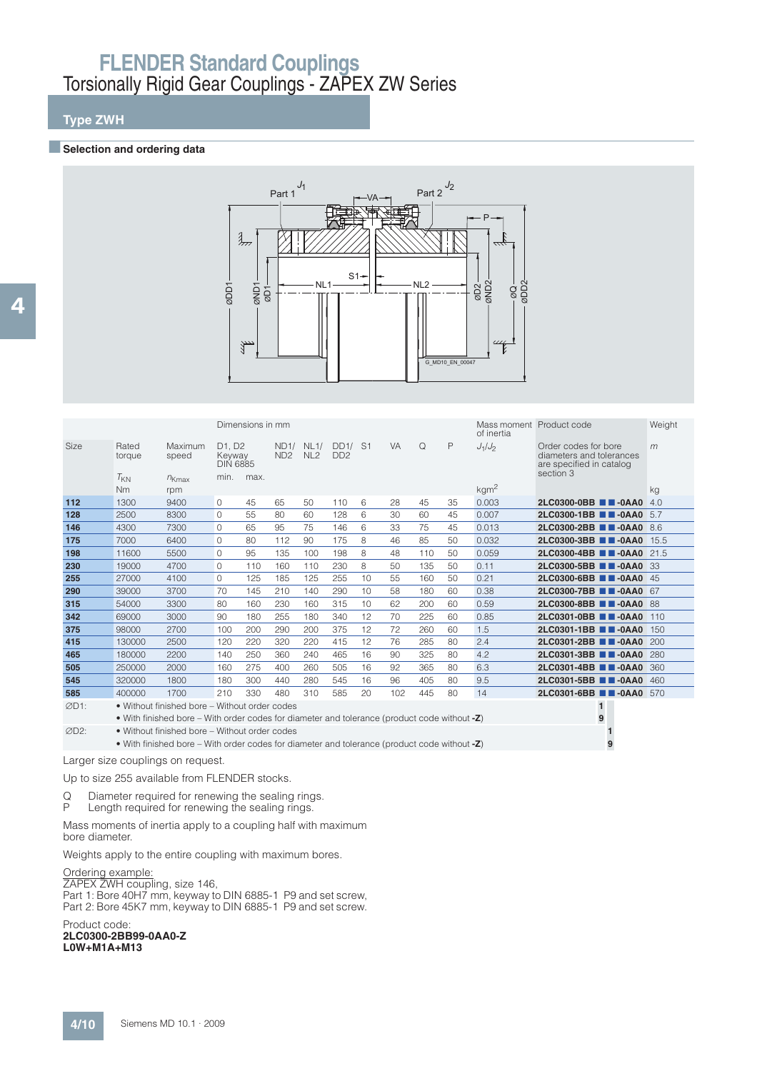## **Type ZWH**

#### **Exercise Selection and ordering data**



|                   |                       |                                                                                                 |                                                                           | Dimensions in mm |                              |                 |                            |    |           |          |    | Mass moment Product code<br>of inertia |                                                                                           | Weight |
|-------------------|-----------------------|-------------------------------------------------------------------------------------------------|---------------------------------------------------------------------------|------------------|------------------------------|-----------------|----------------------------|----|-----------|----------|----|----------------------------------------|-------------------------------------------------------------------------------------------|--------|
| Size              | Rated<br>torque       | Maximum<br>speed                                                                                | D <sub>1</sub> . D <sub>2</sub><br>Keyway<br><b>DIN 6885</b><br>min. max. |                  | ND1/ NL1/<br>ND <sub>2</sub> | NL <sub>2</sub> | DD1/ S1<br>DD <sub>2</sub> |    | <b>VA</b> | $\Omega$ | P  | $J_1/J_2$                              | Order codes for bore<br>diameters and tolerances<br>are specified in catalog<br>section 3 | m      |
|                   | $T_{KN}$<br><b>Nm</b> | $n_{Kmax}$<br>rpm                                                                               |                                                                           |                  |                              |                 |                            |    |           |          |    | kgm <sup>2</sup>                       |                                                                                           | kg     |
| 112               | 1300                  | 9400                                                                                            | $\circ$                                                                   | 45               | 65                           | 50              | 110                        | 6  | 28        | 45       | 35 | 0.003                                  | $2LC0300-0BB$ $\blacksquare$ $-0AA0$                                                      | 4.0    |
| 128               | 2500                  | 8300                                                                                            | $\Omega$                                                                  | 55               | 80                           | 60              | 128                        | 6  | 30        | 60       | 45 | 0.007                                  | 2LC0300-1BB <b>B</b> -0AA0 5.7                                                            |        |
| 146               | 4300                  | 7300                                                                                            | 0                                                                         | 65               | 95                           | 75              | 146                        | 6  | 33        | 75       | 45 | 0.013                                  | 2LC0300-2BB 2-0AA0 8.6                                                                    |        |
| 175               | 7000                  | 6400                                                                                            | $\Omega$                                                                  | 80               | 112                          | 90              | 175                        | 8  | 46        | 85       | 50 | 0.032                                  | 2LC0300-3BB 2-0AA0 15.5                                                                   |        |
| 198               | 11600                 | 5500                                                                                            | 0                                                                         | 95               | 135                          | 100             | 198                        | 8  | 48        | 110      | 50 | 0.059                                  | 2LC0300-4BB 2-0AA0 21.5                                                                   |        |
| 230               | 19000                 | 4700                                                                                            | $\Omega$                                                                  | 110              | 160                          | 110             | 230                        | 8  | 50        | 135      | 50 | 0.11                                   | 2LC0300-5BB 2-0AA0 33                                                                     |        |
| 255               | 27000                 | 4100                                                                                            | $\Omega$                                                                  | 125              | 185                          | 125             | 255                        | 10 | 55        | 160      | 50 | 0.21                                   | 2LC0300-6BB 2-0AA0 45                                                                     |        |
| 290               | 39000                 | 3700                                                                                            | 70                                                                        | 145              | 210                          | 140             | 290                        | 10 | 58        | 180      | 60 | 0.38                                   | 2LC0300-7BB 2-0AA0 67                                                                     |        |
| 315               | 54000                 | 3300                                                                                            | 80                                                                        | 160              | 230                          | 160             | 315                        | 10 | 62        | 200      | 60 | 0.59                                   | 2LC0300-8BB 2-0AA0 88                                                                     |        |
| 342               | 69000                 | 3000                                                                                            | 90                                                                        | 180              | 255                          | 180             | 340                        | 12 | 70        | 225      | 60 | 0.85                                   | 2LC0301-0BB 2-0AA0 110                                                                    |        |
| 375               | 98000                 | 2700                                                                                            | 100                                                                       | 200              | 290                          | 200             | 375                        | 12 | 72        | 260      | 60 | 1.5                                    | 2LC0301-1BB 2-0AA0 150                                                                    |        |
| 415               | 130000                | 2500                                                                                            | 120                                                                       | 220              | 320                          | 220             | 415                        | 12 | 76        | 285      | 80 | 2.4                                    | $2LC0301-2BB$ $\blacksquare$ $-0AA0$                                                      | 200    |
| 465               | 180000                | 2200                                                                                            | 140                                                                       | 250              | 360                          | 240             | 465                        | 16 | 90        | 325      | 80 | 4.2                                    | 2LC0301-3BB 2-0AA0 280                                                                    |        |
| 505               | 250000                | 2000                                                                                            | 160                                                                       | 275              | 400                          | 260             | 505                        | 16 | 92        | 365      | 80 | 6.3                                    | 2LC0301-4BB 2-0AA0 360                                                                    |        |
| 545               | 320000                | 1800                                                                                            | 180                                                                       | 300              | 440                          | 280             | 545                        | 16 | 96        | 405      | 80 | 9.5                                    | 2LC0301-5BB <b>B</b> -0AA0 460                                                            |        |
| 585               | 400000                | 1700                                                                                            | 210                                                                       | 330              | 480                          | 310             | 585                        | 20 | 102       | 445      | 80 | 14                                     | 2LC0301-6BB 2-0AA0 570                                                                    |        |
| ØD1:              |                       | • Without finished bore – Without order codes                                                   |                                                                           |                  |                              |                 |                            |    |           |          |    |                                        | $\mathbf{1}$                                                                              |        |
|                   |                       | • With finished bore – With order codes for diameter and tolerance (product code without $-Z$ ) |                                                                           |                  |                              |                 |                            |    |           |          |    |                                        | 9                                                                                         |        |
| ØD <sub>2</sub> : |                       | • Without finished bore - Without order codes                                                   |                                                                           |                  |                              |                 |                            |    |           |          |    |                                        |                                                                                           |        |
|                   |                       | • With finished bore – With order codes for diameter and tolerance (product code without -Z)    |                                                                           |                  |                              |                 |                            |    |           |          |    |                                        | 9                                                                                         |        |

Larger size couplings on request.

Up to size 255 available from FLENDER stocks.

Q Diameter required for renewing the sealing rings.

P Length required for renewing the sealing rings.

Mass moments of inertia apply to a coupling half with maximum bore diameter.

Weights apply to the entire coupling with maximum bores.

Ordering example:

ZAPEX ZWH coupling, size 146,

Part 1: Bore 40H7 mm, keyway to DIN 6885-1 P9 and set screw, Part 2: Bore 45K7 mm, keyway to DIN 6885-1 P9 and set screw.

Product code: **2LC0300-2BB99-0AA0-Z L0W+M1A+M13**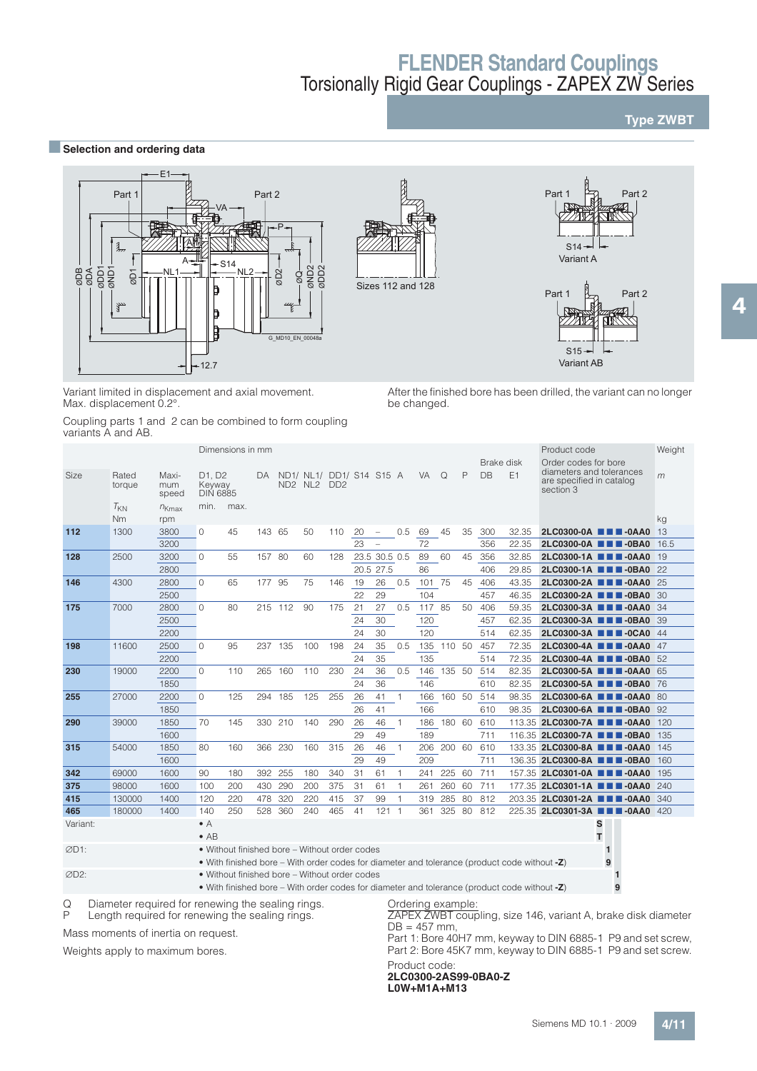### **Type ZWBT**

**■Selection and ordering data** 



Variant limited in displacement and axial movement. Max. displacement 0.2°.

After the finished bore has been drilled, the variant can no longer be changed.

Coupling parts 1 and 2 can be combined to form coupling variants A and AB.

|          |                       |                       |                                                              | Dimensions in mm                              |        |         |                                     |                             |    |                          |                |        |          |    |                         |                                                                                              | Product code                                                                              |        | Weight |
|----------|-----------------------|-----------------------|--------------------------------------------------------------|-----------------------------------------------|--------|---------|-------------------------------------|-----------------------------|----|--------------------------|----------------|--------|----------|----|-------------------------|----------------------------------------------------------------------------------------------|-------------------------------------------------------------------------------------------|--------|--------|
| Size     | Rated<br>torque       | Maxi-<br>mum<br>speed | D <sub>1</sub> . D <sub>2</sub><br>Keyway<br><b>DIN 6885</b> |                                               | DA.    |         | ND1/ NL1/ DD1/ S14 S15 A<br>ND2 NL2 | D <sub>D</sub> <sub>2</sub> |    |                          |                | VA 1   | $\Omega$ | P  | Brake disk<br><b>DB</b> | E1                                                                                           | Order codes for bore<br>diameters and tolerances<br>are specified in catalog<br>section 3 |        | m      |
|          | $T_{KN}$<br><b>Nm</b> | $n_{Kmax}$<br>rpm     | min.                                                         | max.                                          |        |         |                                     |                             |    |                          |                |        |          |    |                         |                                                                                              |                                                                                           |        | kg     |
| 112      | 1300                  | 3800                  | $\circ$                                                      | 45                                            | 143 65 |         | 50                                  | 110                         | 20 | $\overline{\phantom{a}}$ | 0.5            | 69     | 45       | 35 | 300                     | 32.35                                                                                        | $2LC0300-0A$ $\blacksquare$ $\blacksquare$ $-0AA0$                                        |        | 13     |
|          |                       | 3200                  |                                                              |                                               |        |         |                                     |                             | 23 | $\overline{\phantom{a}}$ |                | 72     |          |    | 356                     | 22.35                                                                                        | 2LC0300-0A <b>NN</b> -0BA0                                                                |        | 16.5   |
| 128      | 2500                  | 3200                  | $\Omega$                                                     | 55                                            | 157 80 |         | 60                                  | 128                         |    | 23.5 30.5 0.5            |                | 89     | 60       | 45 | 356                     | 32.85                                                                                        | 2LC0300-1A <b>1 1 -0AA0</b> 19                                                            |        |        |
|          |                       | 2800                  |                                                              |                                               |        |         |                                     |                             |    | 20.5 27.5                |                | 86     |          |    | 406                     | 29.85                                                                                        | 2LC0300-1A <b>1 1 -0BA0</b> 22                                                            |        |        |
| 146      | 4300                  | 2800                  | $\Omega$                                                     | 65                                            | 177 95 |         | 75                                  | 146                         | 19 | 26                       | 0.5            | 101 75 |          | 45 | 406                     | 43.35                                                                                        | 2LC0300-2A <b>NN</b> -0AA0 25                                                             |        |        |
|          |                       | 2500                  |                                                              |                                               |        |         |                                     |                             | 22 | 29                       |                | 104    |          |    | 457                     | 46.35                                                                                        | 2LC0300-2A <b>1 1 -0BA0</b> 30                                                            |        |        |
| 175      | 7000                  | 2800                  | $\Omega$                                                     | 80                                            |        | 215 112 | 90                                  | 175                         | 21 | 27                       | 0.5            | 117    | 85       | 50 | 406                     | 59.35                                                                                        | 2LC0300-3A <b>III</b> -0AA0 34                                                            |        |        |
|          |                       | 2500                  |                                                              |                                               |        |         |                                     |                             | 24 | 30                       |                | 120    |          |    | 457                     | 62.35                                                                                        | 2LC0300-3A <b>1 1 -0BA0</b> 39                                                            |        |        |
|          |                       | 2200                  |                                                              |                                               |        |         |                                     |                             | 24 | 30                       |                | 120    |          |    | 514                     | 62.35                                                                                        | 2LC0300-3A <b>III</b> -0CA0 44                                                            |        |        |
| 198      | 11600                 | 2500                  | $\Omega$                                                     | 95                                            |        | 237 135 | 100                                 | 198                         | 24 | 35                       | 0.5            | 135    | 110 50   |    | 457                     | 72.35                                                                                        | 2LC0300-4A <b>THE-0AA0</b> 47                                                             |        |        |
|          |                       | 2200                  |                                                              |                                               |        |         |                                     |                             | 24 | 35                       |                | 135    |          |    | 514                     | 72.35                                                                                        | 2LC0300-4A <b>THE-0BA0</b> 52                                                             |        |        |
| 230      | 19000                 | 2200                  | $\circ$                                                      | 110                                           | 265    | 160     | 110                                 | 230                         | 24 | 36                       | 0.5            | 146    | 135 50   |    | 514                     | 82.35                                                                                        | 2LC0300-5A <b>1 1 -0AA0</b> 65                                                            |        |        |
|          |                       | 1850                  |                                                              |                                               |        |         |                                     |                             | 24 | 36                       |                | 146    |          |    | 610                     | 82.35                                                                                        | 2LC0300-5A ■■■-0BA0 76                                                                    |        |        |
| 255      | 27000                 | 2200                  | $\Omega$                                                     | 125                                           | 294    | 185     | 125                                 | 255                         | 26 | 41                       | 1              | 166    | 160 50   |    | 514                     | 98.35                                                                                        | 2LC0300-6A <b>1 1 -0AA0</b> 80                                                            |        |        |
|          |                       | 1850                  |                                                              |                                               |        |         |                                     |                             | 26 | 41                       |                | 166    |          |    | 610                     | 98.35                                                                                        | 2LC0300-6A <b>III</b> -0BA0 92                                                            |        |        |
| 290      | 39000                 | 1850                  | 70                                                           | 145                                           |        | 330 210 | 140                                 | 290                         | 26 | 46                       | -1             | 186    | 180 60   |    | 610                     |                                                                                              | 113.35 2LC0300-7A <b>114</b> -0AA0                                                        |        | 120    |
|          |                       | 1600                  |                                                              |                                               |        |         |                                     |                             | 29 | 49                       |                | 189    |          |    | 711                     |                                                                                              | 116.35 2LC0300-7A <b>114-0BA0</b>                                                         |        | 135    |
| 315      | 54000                 | 1850                  | 80                                                           | 160                                           | 366    | 230     | 160                                 | 315                         | 26 | 46                       |                | 206    | 200 60   |    | 610                     |                                                                                              | 133.35 2LC0300-8A <b>11 4-0AA0</b>                                                        |        | 145    |
|          |                       | 1600                  |                                                              |                                               |        |         |                                     |                             | 29 | 49                       |                | 209    |          |    | 711                     |                                                                                              | 136.35 2LC0300-8A <b>11 4-0BA0</b>                                                        |        | 160    |
| 342      | 69000                 | 1600                  | 90                                                           | 180                                           | 392    | 255     | 180                                 | 340                         | 31 | 61                       | 1              | 241    | 225      | 60 | 711                     |                                                                                              | 157.35 2LC0301-0A <b>1 4 -0AA0</b>                                                        |        | 195    |
| 375      | 98000                 | 1600                  | 100                                                          | 200                                           | 430    | 290     | 200                                 | 375                         | 31 | 61                       |                | 261    | 260      | 60 | 711                     |                                                                                              | 177.35 2LC0301-1A <b>NN</b> -0AA0                                                         |        | 240    |
| 415      | 130000                | 1400                  | 120                                                          | 220                                           | 478    | 320     | 220                                 | 415                         | 37 | 99                       |                | 319    | 285      | 80 | 812                     |                                                                                              | 203.35 2LC0301-2A <b>1 1 -0AA0</b> 340                                                    |        |        |
| 465      | 180000                | 1400                  | 140                                                          | 250                                           | 528    | 360     | 240                                 | 465                         | 41 | 121                      | $\overline{1}$ | 361    | 325      | 80 | 812                     |                                                                                              | 225.35 2LC0301-3A <b>III-0AA0</b> 420                                                     |        |        |
| Variant: |                       |                       | $\bullet$ A<br>$\bullet$ AB                                  |                                               |        |         |                                     |                             |    |                          |                |        |          |    |                         |                                                                                              | S                                                                                         | т      |        |
| ØD1:     |                       |                       |                                                              | • Without finished bore – Without order codes |        |         |                                     |                             |    |                          |                |        |          |    |                         | • With finished bore – With order codes for diameter and tolerance (product code without -Z) |                                                                                           | 1<br>9 |        |
|          |                       |                       |                                                              |                                               |        |         |                                     |                             |    |                          |                |        |          |    |                         |                                                                                              |                                                                                           |        |        |

D2: • Without finished bore – Without order codes **1** • With finished bore – With order codes for diameter and tolerance (product code without **-Z**) **9**

Q Diameter required for renewing the sealing rings.<br>P Length required for renewing the sealing rings. P Length required for renewing the sealing rings.

Mass moments of inertia on request. Weights apply to maximum bores.

Ordering example:

ZAPEX ZWBT coupling, size 146, variant A, brake disk diameter  $DB = 457$  mm,

Part 1: Bore 40H7 mm, keyway to DIN 6885-1 P9 and set screw, Part 2: Bore 45K7 mm, keyway to DIN 6885-1 P9 and set screw. Product code:

#### **2LC0300-2AS99-0BA0-Z L0W+M1A+M13**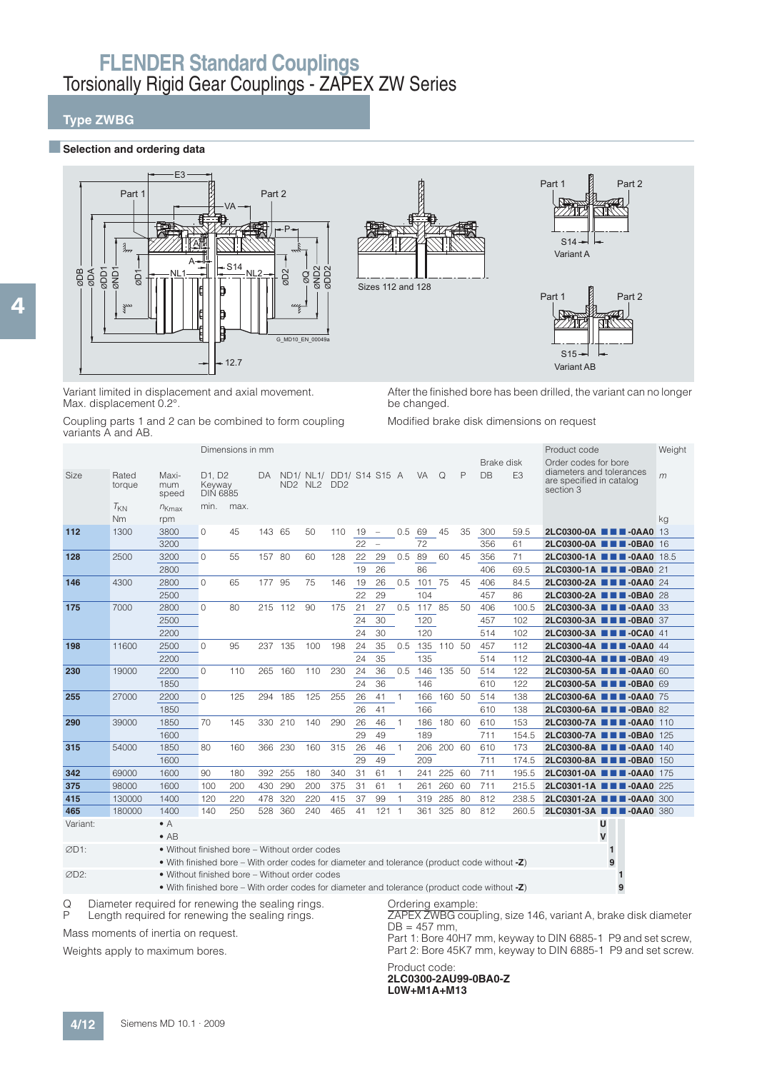### **Type ZWBG**

4

#### $\blacksquare$  Selection and ordering data



Variant limited in displacement and axial movement. Max. displacement 0.2°.

After the finished bore has been drilled, the variant can no longer be changed.

Coupling parts 1 and 2 can be combined to form coupling variants A and AB.

Modified brake disk dimensions on request

|            |                            |                                              |                                                              | Dimensions in mm |         |                                            |     |                                                         |    |                          |                |           |            |     | Brake disk |                 | Product code<br>Order codes for bore                              | Weight |
|------------|----------------------------|----------------------------------------------|--------------------------------------------------------------|------------------|---------|--------------------------------------------|-----|---------------------------------------------------------|----|--------------------------|----------------|-----------|------------|-----|------------|-----------------|-------------------------------------------------------------------|--------|
| Size       | Rated<br>torque            | Maxi-<br>mum<br>speed                        | D <sub>1</sub> . D <sub>2</sub><br>Keyway<br><b>DIN 6885</b> |                  | DA.     | ND <sub>2</sub> N <sub>L<sub>2</sub></sub> |     | ND1/ NL1/ DD1/ S14 S15 A<br>D <sub>D</sub> <sub>2</sub> |    |                          |                | <b>VA</b> | Q          | P   | DB         | E <sub>3</sub>  | diameters and tolerances<br>are specified in catalog<br>section 3 | m      |
|            | $T_{KN}$<br>N <sub>m</sub> | $n_{Kmax}$<br>rpm                            | min.                                                         | max.             |         |                                            |     |                                                         |    |                          |                |           |            |     |            |                 |                                                                   | kg     |
| 112        | 1300                       | 3800                                         | $\Omega$                                                     | 45               | 143 65  |                                            | 50  | 110                                                     | 19 | $\hspace{0.1mm}$         | 0.5            | 69        | 45         | 35  | 300        | 59.5            | 2LC0300-0A <b>N M</b> -0AA0 13                                    |        |
|            |                            | 3200                                         |                                                              |                  |         |                                            |     |                                                         | 22 | $\overline{\phantom{a}}$ |                | 72        |            |     | 356        | 61              | 2LC0300-0A <b>NN</b> -0BA0 16                                     |        |
| 128        | 2500                       | 3200                                         | $\Omega$                                                     | 55               | 157 80  |                                            | 60  | 128                                                     | 22 | 29                       | 0.5            | 89        | 60         | 45  | 356        | 71              | 2LC0300-1A <b>1 1 -0AA0</b> 18.5                                  |        |
|            |                            | 2800                                         |                                                              |                  |         |                                            |     |                                                         | 19 | 26                       |                | 86        |            |     | 406        | 69.5            | 2LC0300-1A <b>THE-0BA0</b> 21                                     |        |
| 146        | 4300                       | 2800                                         | $\Omega$                                                     | 65               | 177     | 95                                         | 75  | 146                                                     | 19 | 26                       | 0.5            | 101 75    |            | 45  | 406        | 84.5            | 2LC0300-2A <b>III</b> -0AA0 24                                    |        |
|            |                            | 2500                                         |                                                              |                  |         |                                            |     |                                                         | 22 | 29                       |                | 104       |            |     | 457        | 86              | 2LC0300-2A <b>1 1 -0BA0</b> 28                                    |        |
| 175        | 7000                       | 2800                                         | $\Omega$                                                     | 80               | 215 112 |                                            | 90  | 175                                                     | 21 | 27                       | 0.5            | 117 85    |            | 50  | 406        | 100.5           | 2LC0300-3A <b>III</b> -0AA0 33                                    |        |
|            |                            | 2500                                         |                                                              |                  |         |                                            |     |                                                         | 24 | 30                       |                | 120       |            |     | 457        | 102             | 2LC0300-3A <b>III</b> -0BA0 37                                    |        |
|            |                            | 2200                                         |                                                              |                  |         |                                            |     |                                                         | 24 | 30                       |                | 120       |            |     | 514        | 10 <sub>2</sub> | 2LC0300-3A <b>III</b> -0CA0 41                                    |        |
| 198        | 11600                      | 2500                                         | $\Omega$                                                     | 95               | 237     | 135                                        | 100 | 198                                                     | 24 | 35                       | 0.5            | 135       | 110        | -50 | 457        | 112             | 2LC0300-4A <b>TH</b> -0AA0 44                                     |        |
|            |                            | 2200                                         |                                                              |                  |         |                                            |     |                                                         | 24 | 35                       |                | 135       |            |     | 514        | 112             | 2LC0300-4A <b>III</b> -0BA0 49                                    |        |
| 230        | 19000                      | 2200                                         | $\Omega$                                                     | 110              | 265     | 160                                        | 110 | 230                                                     | 24 | 36                       | 0.5            |           | 146 135 50 |     | 514        | 122             | 2LC0300-5A <b>III</b> -0AA0 60                                    |        |
|            |                            | 1850                                         |                                                              |                  |         |                                            |     |                                                         | 24 | 36                       |                | 146       |            |     | 610        | 122             | 2LC0300-5A <b>III</b> -0BA0 69                                    |        |
| 255        | 27000                      | 2200                                         | $\Omega$                                                     | 125              | 294     | 185                                        | 125 | 255                                                     | 26 | 41                       | $\overline{1}$ | 166       | 160        | 50  | 514        | 138             | 2LC0300-6A <b>III</b> -0AA0 75                                    |        |
|            |                            | 1850                                         |                                                              |                  |         |                                            |     |                                                         | 26 | 41                       |                | 166       |            |     | 610        | 138             | 2LC0300-6A <b>NN</b> -0BA0 82                                     |        |
| 290        | 39000                      | 1850                                         | 70                                                           | 145              | 330     | 210                                        | 140 | 290                                                     | 26 | 46                       | $\mathbf{1}$   | 186       | 180 60     |     | 610        | 153             | 2LC0300-7A <b>III</b> -0AA0 110                                   |        |
|            |                            | 1600                                         |                                                              |                  |         |                                            |     |                                                         | 29 | 49                       |                | 189       |            |     | 711        | 154.5           | 2LC0300-7A <b>III</b> -0BA0 125                                   |        |
| 315        | 54000                      | 1850                                         | 80                                                           | 160              | 366     | 230                                        | 160 | 315                                                     | 26 | 46                       |                | 206       | 200        | 60  | 610        | 173             | 2LC0300-8A <b>III</b> -0AA0                                       | 140    |
|            |                            | 1600                                         |                                                              |                  |         |                                            |     |                                                         | 29 | 49                       |                | 209       |            |     | 711        | 174.5           | 2LC0300-8A ■■■-0BA0 150                                           |        |
| 342        | 69000                      | 1600                                         | 90                                                           | 180              | 392     | 255                                        | 180 | 340                                                     | 31 | 61                       | $\overline{1}$ | 241       | 225        | 60  | 711        | 195.5           | 2LC0301-0A <b>N &amp; B</b> -0AA0 175                             |        |
| 375        | 98000                      | 1600                                         | 100                                                          | 200              | 430     | 290                                        | 200 | 375                                                     | 31 | 61                       |                | 261       | 260        | 60  | 711        | 215.5           | 2LC0301-1A <b>TH</b> -0AA0 225                                    |        |
| 415        | 130000                     | 1400                                         | 120                                                          | 220              | 478     | 320                                        | 220 | 415                                                     | 37 | 99                       |                | 319       | 285        | 80  | 812        | 238.5           | 2LC0301-2A <b>III</b> -0AA0 300                                   |        |
| 465        | 180000                     | 1400                                         | 140                                                          | 250              | 528     | 360                                        | 240 | 465                                                     | 41 | 121                      | $\overline{1}$ | 361       | 325        | 80  | 812        | 260.5           | 2LC0301-3A <b>III</b> -0AA0 380                                   |        |
| Variant:   |                            | $\bullet$ A<br>$\bullet$ AB                  |                                                              |                  |         |                                            |     |                                                         |    |                          |                |           |            |     |            |                 | U<br>v                                                            |        |
| $\sim$ n+. |                            | a Without finished hore. Without ander andee |                                                              |                  |         |                                            |     |                                                         |    |                          |                |           |            |     |            |                 |                                                                   |        |

D1: • Without finished bore – Without order codes **1** • With finished bore – With order codes for diameter and tolerance (product code without **-Z**) **9**

D2: • Without finished bore – Without order codes **1**

• With finished bore – With order codes for diameter and tolerance (product code without **-Z**) **9**

Q Diameter required for renewing the sealing rings.<br>P Length required for renewing the sealing rings.

Length required for renewing the sealing rings.

Mass moments of inertia on request.

Weights apply to maximum bores.

Ordering example:

ZAPEX ZWBG coupling, size 146, variant A, brake disk diameter  $DB = 457$  mm,

Part 1: Bore 40H7 mm, keyway to DIN 6885-1 P9 and set screw, Part 2: Bore 45K7 mm, keyway to DIN 6885-1 P9 and set screw.

Product code: **2LC0300-2AU99-0BA0-Z L0W+M1A+M13**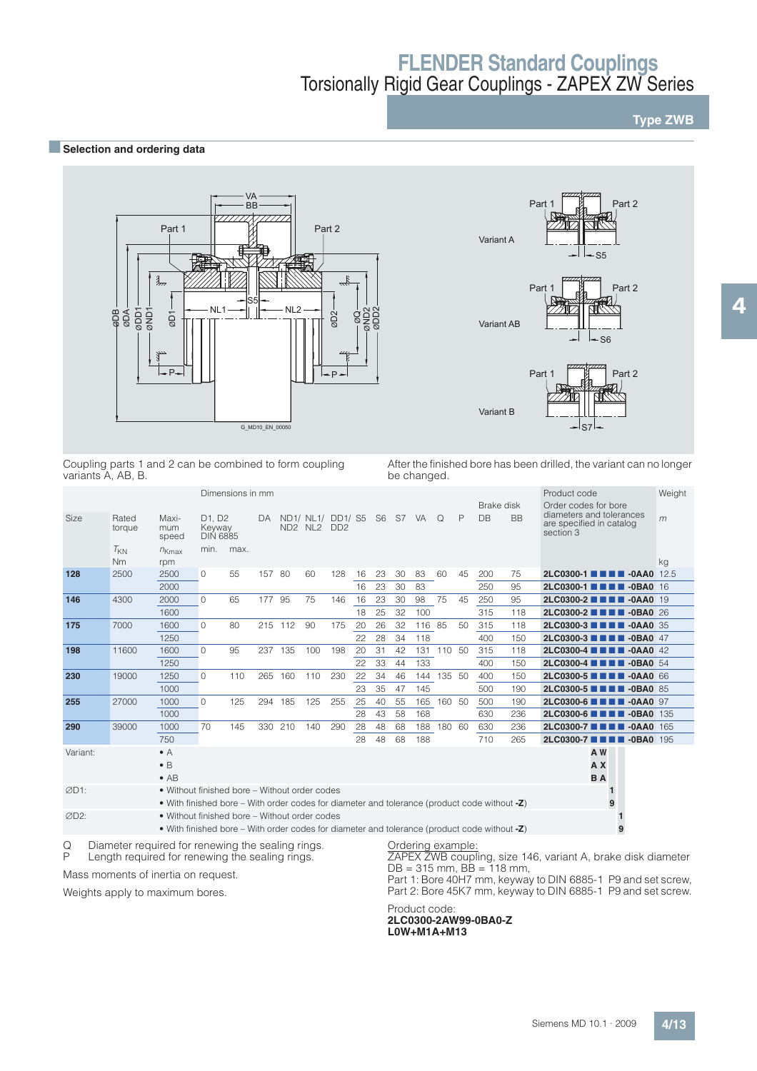### **Type ZWB**

### **BSelection and ordering data**



Coupling parts 1 and 2 can be combined to form coupling variants A, AB, B.

After the finished bore has been drilled, the variant can no longer be changed.

|          |                                                   |                                                                                                                                               |                                                              | Dimensions in mm |        |         |                                                                          |                             |    |    |    |                   |            |     |                  |           | Product code                                                                              | Weight |
|----------|---------------------------------------------------|-----------------------------------------------------------------------------------------------------------------------------------------------|--------------------------------------------------------------|------------------|--------|---------|--------------------------------------------------------------------------|-----------------------------|----|----|----|-------------------|------------|-----|------------------|-----------|-------------------------------------------------------------------------------------------|--------|
| Size     | Rated<br>torque                                   | Maxi-<br>mum<br>speed                                                                                                                         | D <sub>1</sub> . D <sub>2</sub><br>Keyway<br><b>DIN 6885</b> |                  | DA     |         | ND1/ NL1/ DD1/ S5 S6 S7 VA<br>ND <sub>2</sub> N <sub>L<sub>2</sub></sub> | D <sub>D</sub> <sub>2</sub> |    |    |    |                   | $\Omega$   | P   | Brake disk<br>DB | <b>BB</b> | Order codes for bore<br>diameters and tolerances<br>are specified in catalog<br>section 3 | m      |
|          | $T_{KN}$<br><b>Nm</b>                             | $n_{Kmax}$<br>rpm                                                                                                                             | min.                                                         | max.             |        |         |                                                                          |                             |    |    |    |                   |            |     |                  |           |                                                                                           | kg     |
| 128      | 2500                                              | 2500                                                                                                                                          | 0                                                            | 55               | 157 80 |         | 60                                                                       | 128                         | 16 | 23 | 30 | 83                | 60         | 45  | 200              | 75        | 2LC0300-1 <b>THE -0AA0</b> 12.5                                                           |        |
|          |                                                   | 2000                                                                                                                                          |                                                              |                  |        |         |                                                                          |                             | 16 | 23 | 30 | 83                |            |     | 250              | 95        |                                                                                           |        |
| 146      | 4300                                              | 2000                                                                                                                                          | $\circ$                                                      | 65               | 177 95 |         | 75                                                                       | 146                         | 16 | 23 | 30 | 98                | 75         | 45  | 250              | 95        | 2LC0300-2 <b>1 1 4</b> -0AA0 19                                                           |        |
|          |                                                   | 1600                                                                                                                                          |                                                              |                  |        |         |                                                                          |                             | 18 | 25 | 32 | 100               |            |     | 315              | 118       | 2LC0300-2 <b>1 1 1 -0BA0</b> 26                                                           |        |
| 175      | 7000                                              | 1600                                                                                                                                          | $\Omega$                                                     | 80               |        | 215 112 | 90                                                                       | 175                         | 20 | 26 | 32 | 116 85            |            | 50  | 315              | 118       | $2LC0300-3$ $\blacksquare$ $\blacksquare$ $\blacksquare$ $-0AA0$ 35                       |        |
|          |                                                   | 1250                                                                                                                                          |                                                              |                  |        |         |                                                                          |                             | 22 | 28 | 34 | 118               |            |     | 400              | 150       | 2LC0300-3 <b>THE 4DBA0</b> 47                                                             |        |
| 198      | 11600                                             | 1600                                                                                                                                          | $\Omega$                                                     | 95               | 237    | 135     | 100                                                                      | 198                         | 20 | 31 | 42 |                   | 131 110 50 |     | 315              | 118       | $2LC0300-4$ $\blacksquare$ $\blacksquare$ $\blacksquare$ $-0AA0$ 42                       |        |
|          |                                                   | 1250                                                                                                                                          |                                                              |                  |        |         |                                                                          |                             | 22 | 33 | 44 | 133               |            |     | 400              | 150       | 2LC0300-4 <b>THE -0BA0</b> 54                                                             |        |
| 230      | 19000                                             | 1250                                                                                                                                          | $\circ$                                                      | 110              | 265    | 160     | 110                                                                      | 230                         | 22 | 34 | 46 |                   | 144 135    | -50 | 400              | 150       | 2LC0300-5 <b>THE 40AA0</b> 66                                                             |        |
|          |                                                   | 1000                                                                                                                                          |                                                              |                  |        |         |                                                                          |                             | 23 | 35 | 47 | 145               |            |     | 500              | 190       | 2LC0300-5 <b>THE 4-0BA0 85</b>                                                            |        |
| 255      | 27000                                             | 1000                                                                                                                                          | $\circ$                                                      | 125              | 294    | 185     | 125                                                                      | 255                         | 25 | 40 | 55 |                   | 165 160 50 |     | 500              | 190       | 2LC0300-6 <b>THE -0AA0</b> 97                                                             |        |
|          |                                                   | 1000                                                                                                                                          |                                                              |                  |        |         |                                                                          |                             | 28 | 43 | 58 | 168               |            |     | 630              | 236       | 2LC0300-6 <b>1 1 1 -0BA0</b> 135                                                          |        |
| 290      | 39000                                             | 1000                                                                                                                                          | 70                                                           | 145              |        | 330 210 | 140                                                                      | 290                         | 28 | 48 | 68 |                   | 188 180    | 60  | 630              | 236       | 2LC0300-7 <b>1111-0AA0</b> 165                                                            |        |
|          |                                                   | 750                                                                                                                                           |                                                              |                  |        |         |                                                                          |                             | 28 | 48 | 68 | 188               |            |     | 710              | 265       | 2LC0300-7 <b>NN NN</b> -0BA0 195                                                          |        |
| Variant: |                                                   | $\bullet$ A<br>$\bullet$ B                                                                                                                    |                                                              |                  |        |         |                                                                          |                             |    |    |    |                   |            |     |                  |           | A W<br>A X                                                                                |        |
|          |                                                   | $\bullet$ AB                                                                                                                                  |                                                              |                  |        |         |                                                                          |                             |    |    |    |                   |            |     |                  |           | <b>BA</b>                                                                                 |        |
| ØD1:     |                                                   | • Without finished bore - Without order codes<br>• With finished bore – With order codes for diameter and tolerance (product code without -Z) |                                                              |                  |        |         |                                                                          |                             |    |    |    |                   |            |     |                  |           | 1<br>9                                                                                    |        |
| ØD2:     |                                                   | • Without finished bore - Without order codes<br>• With finished bore – With order codes for diameter and tolerance (product code without -Z) |                                                              |                  |        |         |                                                                          |                             |    |    |    |                   |            |     |                  |           | 9                                                                                         |        |
| Q        | Diameter required for renewing the sealing rings. |                                                                                                                                               |                                                              |                  |        |         |                                                                          |                             |    |    |    | Ordering example: |            |     |                  |           |                                                                                           |        |

P Length required for renewing the sealing rings.

Mass moments of inertia on request.

Weights apply to maximum bores.

ZAPEX ZWB coupling, size 146, variant A, brake disk diameter  $DB = 315$  mm,  $BB = 118$  mm, Part 1: Bore 40H7 mm, keyway to DIN 6885-1 P9 and set screw,

Part 2: Bore 45K7 mm, keyway to DIN 6885-1 P9 and set screw.

Product code: **2LC0300-2AW99-0BA0-Z L0W+M1A+M13**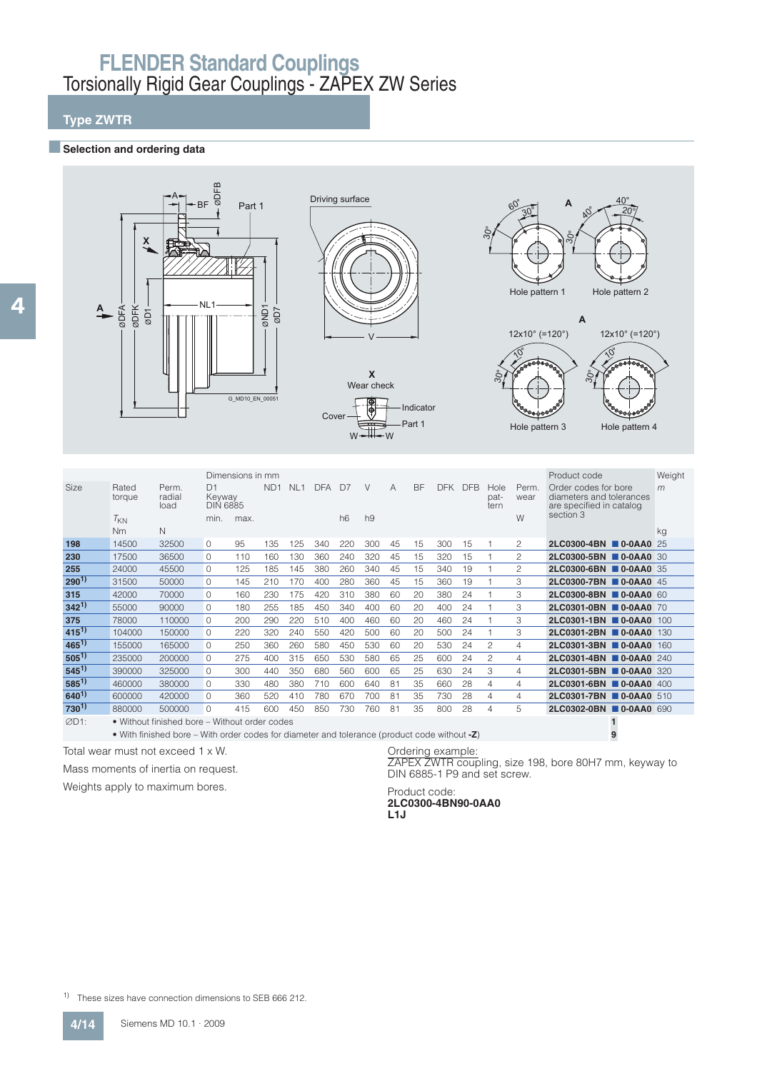### **Type ZWTR**

#### **Exercise Selection and ordering data**



|                   |                 |                                                                                                                                                                                                                                      |                                 | Dimensions in mm |                 |                 |            |                |                |    |           |            |            |                      |                | Product code                                                                 | Weight |
|-------------------|-----------------|--------------------------------------------------------------------------------------------------------------------------------------------------------------------------------------------------------------------------------------|---------------------------------|------------------|-----------------|-----------------|------------|----------------|----------------|----|-----------|------------|------------|----------------------|----------------|------------------------------------------------------------------------------|--------|
| <b>Size</b>       | Rated<br>torque | Perm.<br>radial<br>load                                                                                                                                                                                                              | D1<br>Keyway<br><b>DIN 6885</b> |                  | ND <sub>1</sub> | NL <sub>1</sub> | <b>DFA</b> | D <sub>7</sub> | $\vee$         | А  | <b>BF</b> | <b>DFK</b> | <b>DFB</b> | Hole<br>pat-<br>tern | Perm.<br>wear  | Order codes for bore<br>diameters and tolerances<br>are specified in catalog | m      |
|                   | $T_{KN}$        |                                                                                                                                                                                                                                      | min.                            | max.             |                 |                 |            | h6             | h <sub>9</sub> |    |           |            |            |                      | W              | section 3                                                                    |        |
|                   | N <sub>m</sub>  | N                                                                                                                                                                                                                                    |                                 |                  |                 |                 |            |                |                |    |           |            |            |                      |                |                                                                              | kg     |
| 198               | 14500           | 32500                                                                                                                                                                                                                                | $\Omega$                        | 95               | 135             | 125             | 340        | 220            | 300            | 45 | 15        | 300        | 15         |                      | 2              | 2LC0300-4BN 0-0AA0 25                                                        |        |
| 230               | 17500           | 36500                                                                                                                                                                                                                                | $\cap$                          | 110              | 160             | 130             | 360        | 240            | 320            | 45 | 15        | 320        | 15         |                      | 2              | 2LC0300-5BN 0-0AA0 30                                                        |        |
| 255               | 24000           | 45500                                                                                                                                                                                                                                | $\Omega$                        | 125              | 185             | 145             | 380        | 260            | 340            | 45 | 15        | 340        | 19         |                      | $\overline{c}$ | 2LC0300-6BN 0-0AA0 35                                                        |        |
| $290^{1}$         | 31500           | 50000                                                                                                                                                                                                                                | $\Omega$                        | 145              | 210             | 170             | 400        | 280            | 360            | 45 | 15        | 360        | 19         |                      | 3              | 2LC0300-7BN 0-0AA0 45                                                        |        |
| 315               | 42000           | 70000                                                                                                                                                                                                                                | $\Omega$                        | 160              | 230             | 175             | 420        | 310            | 380            | 60 | 20        | 380        | 24         |                      | 3              | 2LC0300-8BN 0-0AA0 60                                                        |        |
| $342^{1}$         | 55000           | 90000                                                                                                                                                                                                                                | $\cap$                          | 180              | 255             | 185             | 450        | 340            | 400            | 60 | 20        | 400        | 24         |                      | 3              | 2LC0301-0BN 0-0AA0 70                                                        |        |
| 375               | 78000           | 110000                                                                                                                                                                                                                               | $\cap$                          | 200              | 290             | 220             | 510        | 400            | 460            | 60 | 20        | 460        | 24         |                      | 3              | 2LC0301-1BN 0-0AA0 100                                                       |        |
| $415^{1}$         | 104000          | 150000                                                                                                                                                                                                                               | $\Omega$                        | 220              | 320             | 240             | 550        | 420            | 500            | 60 | 20        | 500        | 24         |                      | 3              | 2LC0301-2BN 0-0AA0 130                                                       |        |
| $465^{1}$         | 155000          | 165000                                                                                                                                                                                                                               | $\Omega$                        | 250              | 360             | 260             | 580        | 450            | 530            | 60 | 20        | 530        | 24         | $\mathfrak{p}$       | 4              | 2LC0301-3BN ■ 0-0AA0                                                         | 160    |
| $505^{1}$         | 235000          | 200000                                                                                                                                                                                                                               | $\Omega$                        | 275              | 400             | 315             | 650        | 530            | 580            | 65 | 25        | 600        | 24         | $\mathfrak{p}$       | 4              | 2LC0301-4BN 0-0AA0 240                                                       |        |
| $545^{1}$         | 390000          | 325000                                                                                                                                                                                                                               | $\Omega$                        | 300              | 440             | 350             | 680        | 560            | 600            | 65 | 25        | 630        | 24         | 3                    | 4              | 2LC0301-5BN 0-0AA0 320                                                       |        |
| $585^{1}$         | 460000          | 380000                                                                                                                                                                                                                               | $\Omega$                        | 330              | 480             | 380             | 710        | 600            | 640            | 81 | 35        | 660        | 28         | $\overline{4}$       | 4              | 2LC0301-6BN 0-0AA0 400                                                       |        |
| $640^{1}$         | 600000          | 420000                                                                                                                                                                                                                               | $\Omega$                        | 360              | 520             | 410             | 780        | 670            | 700            | 81 | 35        | 730        | 28         | 4                    | 4              | 2LC0301-7BN 0-0AA0 510                                                       |        |
| 730 <sup>1)</sup> | 880000          | 500000                                                                                                                                                                                                                               | $\Omega$                        | 415              | 600             | 450             | 850        | 730            | 760            | 81 | 35        | 800        | 28         | $\overline{4}$       | 5              | 2LC0302-0BN 0-0AA0 690                                                       |        |
| ØD1:              |                 | • Without finished bore – Without order codes                                                                                                                                                                                        |                                 |                  |                 |                 |            |                |                |    |           |            |            |                      |                |                                                                              |        |
|                   |                 | $\mathcal{M}^{(1)}$ , and the contract of the contract of the contract of the contract of the contract of the contract of the contract of the contract of the contract of the contract of the contract of the contract of the contra |                                 |                  |                 |                 |            |                |                |    |           |            |            |                      |                |                                                                              |        |

• With finished bore – With order codes for diameter and tolerance (product code without **-Z**) **9**

Total wear must not exceed 1 x W.

Mass moments of inertia on request.

Weights apply to maximum bores.

Ordering example: ZAPEX ZWTR coupling, size 198, bore 80H7 mm, keyway to DIN 6885-1 P9 and set screw.

Product code: **2LC0300-4BN90-0AA0 L1J**

1) These sizes have connection dimensions to SEB 666 212.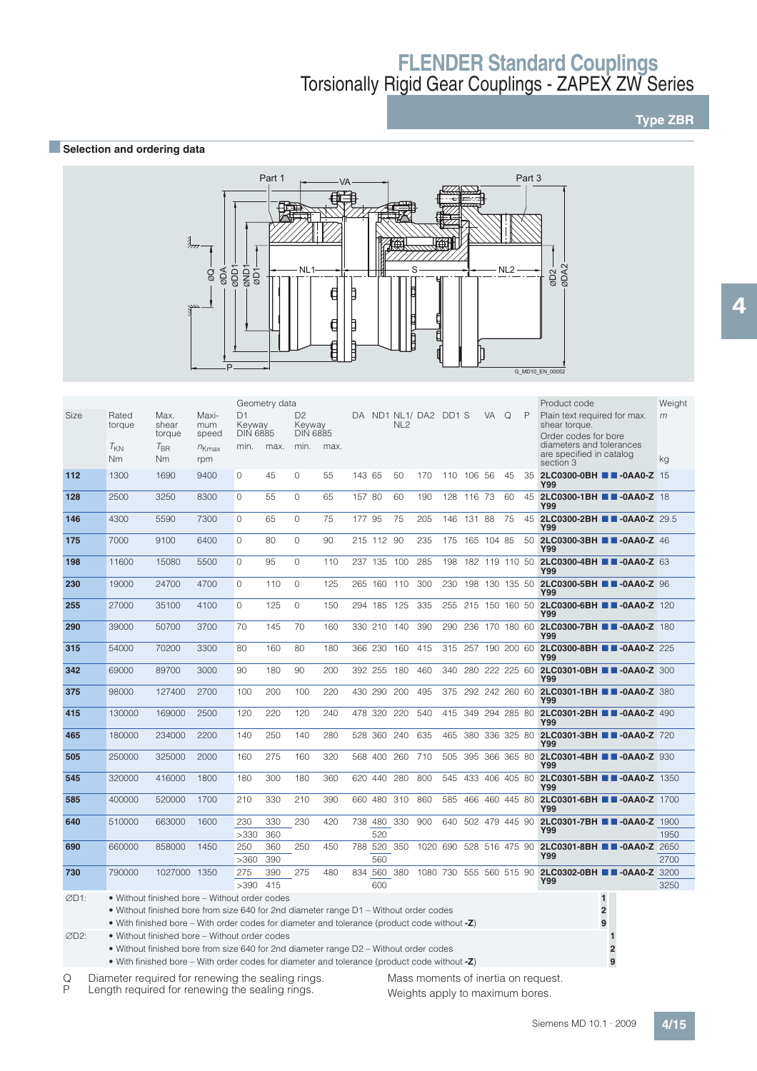## **Type ZBR**

### **BSelection and ordering data**



|      |                                                                                                                                             |                         |                       |                                 | Geometry data |                                             |      |        |                    |     |                         |            |                    |           |          |    | Product code                                                          | Weight |
|------|---------------------------------------------------------------------------------------------------------------------------------------------|-------------------------|-----------------------|---------------------------------|---------------|---------------------------------------------|------|--------|--------------------|-----|-------------------------|------------|--------------------|-----------|----------|----|-----------------------------------------------------------------------|--------|
| Size | Rated<br>torque                                                                                                                             | Max.<br>shear<br>torque | Maxi-<br>mum<br>speed | D1<br>Keyway<br><b>DIN 6885</b> |               | D <sub>2</sub><br>Keyway<br><b>DIN 6885</b> |      |        |                    | NL2 | DA ND1 NL1/DA2 DD1 S    |            |                    | <b>VA</b> | $\Omega$ | P  | Plain text required for max.<br>shear torque.<br>Order codes for bore | m      |
|      | $T_{KN}$<br>N <sub>m</sub>                                                                                                                  | $T_{\rm BR}$<br>Nm      | $n_{Kmax}$<br>rpm     | min.                            | max.          | min.                                        | max. |        |                    |     |                         |            |                    |           |          |    | diameters and tolerances<br>are specified in catalog<br>section 3     | kg     |
| 112  | 1300                                                                                                                                        | 1690                    | 9400                  | $\Omega$                        | 45            | $\circ$                                     | 55   | 143 65 |                    | 50  | 170                     | 110 106 56 |                    |           | 45       |    | 35 2LC0300-0BH <b>B B-0AA0-Z</b> 15<br>Y99                            |        |
| 128  | 2500                                                                                                                                        | 3250                    | 8300                  | $\Omega$                        | 55            | $\circ$                                     | 65   | 157 80 |                    | 60  | 190                     |            | 128 116 73         |           | 60       |    | 45 2LC0300-1BH 3-0AA0-Z 18<br>Y99                                     |        |
| 146  | 4300                                                                                                                                        | 5590                    | 7300                  | $\Omega$                        | 65            | $\circ$                                     | 75   | 177 95 |                    | 75  | 205                     |            | 146 131 88         |           | 75       | 45 | 2LC0300-2BH 3-0AA0-Z 29.5<br><b>Y99</b>                               |        |
| 175  | 7000                                                                                                                                        | 9100                    | 6400                  | $\circ$                         | 80            | $\circ$                                     | 90   |        | 215 112 90         |     | 235                     |            | 175 165 104 85     |           |          |    | 50 2LC0300-3BH 3-0AA0-Z 46<br><b>Y99</b>                              |        |
| 198  | 11600                                                                                                                                       | 15080                   | 5500                  | $\Omega$                        | 95            | $\mathbf{0}$                                | 110  |        | 237 135 100        |     | 285                     |            |                    |           |          |    | 198 182 119 110 50 <b>2LC0300-4BH B -0AA0-Z</b> 63<br>Y99             |        |
| 230  | 19000                                                                                                                                       | 24700                   | 4700                  | $\Omega$                        | 110           | $\Omega$                                    | 125  |        | 265 160 110        |     | 300                     |            |                    |           |          |    | 230 198 130 135 50 <b>2LC0300-5BH B B-0AA0-Z</b> 96<br><b>Y99</b>     |        |
| 255  | 27000                                                                                                                                       | 35100                   | 4100                  | $\Omega$                        | 125           | $\circ$                                     | 150  |        | 294 185            | 125 | 335                     | 255        | 215 150 160 50     |           |          |    | 2LC0300-6BH 2-0AA0-Z 120<br><b>Y99</b>                                |        |
| 290  | 39000                                                                                                                                       | 50700                   | 3700                  | 70                              | 145           | 70                                          | 160  |        | 330 210 140        |     | 390                     | 290        |                    |           |          |    | 236 170 180 60 2LC0300-7BH <b>B -0AA0-Z</b> 180<br><b>Y99</b>         |        |
| 315  | 54000                                                                                                                                       | 70200                   | 3300                  | 80                              | 160           | 80                                          | 180  |        | 366 230            | 160 | 415                     | 315        |                    |           |          |    | 257 190 200 60 <b>2LC0300-8BH B B-0AA0-Z</b> 225<br><b>Y99</b>        |        |
| 342  | 69000                                                                                                                                       | 89700                   | 3000                  | 90                              | 180           | 90                                          | 200  |        | 392 255            | 180 | 460                     |            |                    |           |          |    | 340 280 222 225 60 <b>2LC0301-0BH T -0AA0-Z</b> 300<br>Y99            |        |
| 375  | 98000                                                                                                                                       | 127400                  | 2700                  | 100                             | 200           | 100                                         | 220  |        | 430 290            | 200 | 495                     |            | 375 292 242 260 60 |           |          |    | 2LC0301-1BH 2-0AA0-Z 380<br><b>Y99</b>                                |        |
| 415  | 130000                                                                                                                                      | 169000                  | 2500                  | 120                             | 220           | 120                                         | 240  |        | 478 320 220        |     | 540                     |            |                    |           |          |    | 415 349 294 285 80 <b>2LC0301-2BH B -0AA0-Z</b> 490<br>Y99            |        |
| 465  | 180000                                                                                                                                      | 234000                  | 2200                  | 140                             | 250           | 140                                         | 280  |        | 528 360            | 240 | 635                     | 465        | 380 336 325 80     |           |          |    | 2LC0301-3BH 2-0AA0-Z 720<br><b>Y99</b>                                |        |
| 505  | 250000                                                                                                                                      | 325000                  | 2000                  | 160                             | 275           | 160                                         | 320  |        | 568 400            | 260 | 710                     | 505        | 395 366 365 80     |           |          |    | 2LC0301-4BH 2-0AA0-Z 930<br><b>Y99</b>                                |        |
| 545  | 320000                                                                                                                                      | 416000                  | 1800                  | 180                             | 300           | 180                                         | 360  |        | 620 440            | 280 | 800                     | 545        | 433 406 405 80     |           |          |    | 2LC0301-5BH 2-0AA0-Z 1350<br><b>Y99</b>                               |        |
| 585  | 400000                                                                                                                                      | 520000                  | 1700                  | 210                             | 330           | 210                                         | 390  |        | 660 480 310        |     | 860                     | 585        | 466 460 445 80     |           |          |    | 2LC0301-6BH <b>B</b> -0AA0-Z 1700<br><b>Y99</b>                       |        |
| 640  | 510000                                                                                                                                      | 663000                  | 1600                  | 230                             | 330           | 230                                         | 420  |        | 738 480 330        |     | 900                     |            | 640 502 479 445 90 |           |          |    | 2LC0301-7BH 2-0AA0-Z 1900                                             |        |
|      |                                                                                                                                             |                         |                       | >330                            | 360           |                                             |      |        | 520                |     |                         |            |                    |           |          |    | Y99                                                                   | 1950   |
| 690  | 660000                                                                                                                                      | 858000                  | 1450                  | 250<br>>360                     | 360<br>390    | 250                                         | 450  |        | 788 520 350<br>560 |     | 1020 690 528 516 475 90 |            |                    |           |          |    | 2LC0301-8BH 2-0AA0-Z 2650<br>Y99                                      | 2700   |
| 730  | 790000                                                                                                                                      | 1027000 1350            |                       | 275                             | 390           | 275                                         | 480  | 834    | 560                | 380 | 1080 730 555 560 515 90 |            |                    |           |          |    | 2LC0302-0BH 2-0AA0-Z 3200                                             |        |
|      |                                                                                                                                             |                         |                       | >390                            | 415           |                                             |      |        | 600                |     |                         |            |                    |           |          |    | Y99                                                                   | 3250   |
| ØD1: | • Without finished bore – Without order codes                                                                                               |                         |                       |                                 |               |                                             |      |        |                    |     |                         |            |                    |           |          |    | $\mathbf{1}$                                                          |        |
|      | • Without finished bore from size 640 for 2nd diameter range D1 – Without order codes                                                       |                         |                       |                                 |               |                                             |      |        |                    |     |                         |            |                    |           |          |    | $\overline{\mathbf{c}}$                                               |        |
|      | • With finished bore – With order codes for diameter and tolerance (product code without $-Z$ )                                             |                         |                       |                                 |               |                                             |      |        |                    |     |                         |            |                    |           |          |    | 9                                                                     |        |
| ØD2: | • Without finished bore – Without order codes<br>• Without finished bore from size $640$ for 2nd diameter range $D2 - W$ ithout order codes |                         |                       |                                 |               |                                             |      |        |                    |     |                         |            |                    |           |          |    |                                                                       |        |

• Without finished bore from size 640 for 2nd diameter range D2 – Without order codes **2**

• With finished bore – With order codes for diameter and tolerance (product code without **-Z**) **9**

Q Diameter required for renewing the sealing rings.<br>P Length required for renewing the sealing rings.

Length required for renewing the sealing rings.

Mass moments of inertia on request. Weights apply to maximum bores.

Siemens MD 10.1 · 2009 **4/15**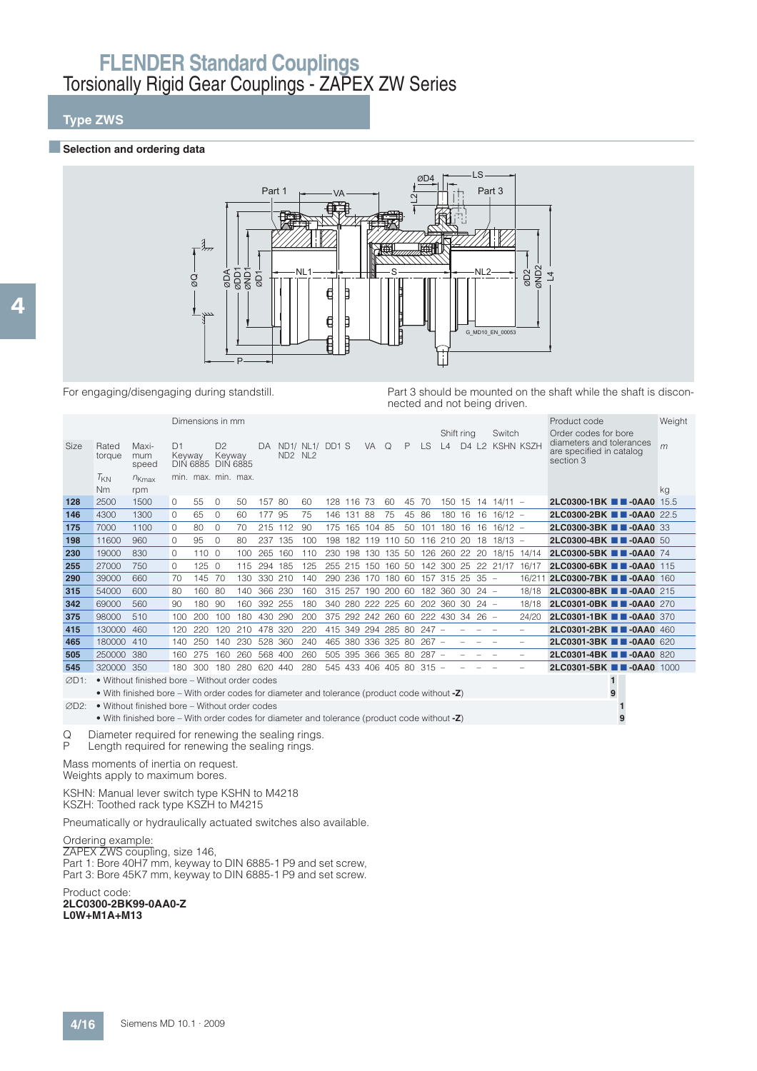## **Type ZWS**

#### **■Selection and ordering data**



For engaging/disengaging during standstill. Part 3 should be mounted on the shaft while the shaft is disconnected and not being driven.

|        |                 |                                                                                                      |              | Dimensions in mm    |                          |             |         |           |                    |     |            |                |          |       |                                    |                     |                          |                                    |                                        |                          | Product code                                     | Weight |
|--------|-----------------|------------------------------------------------------------------------------------------------------|--------------|---------------------|--------------------------|-------------|---------|-----------|--------------------|-----|------------|----------------|----------|-------|------------------------------------|---------------------|--------------------------|------------------------------------|----------------------------------------|--------------------------|--------------------------------------------------|--------|
|        |                 |                                                                                                      |              |                     |                          |             |         |           |                    |     |            |                |          |       |                                    | Shift ring          |                          |                                    | Switch                                 |                          | Order codes for bore<br>diameters and tolerances |        |
| Size   | Rated<br>torque | Maxi-<br>mum<br>speed                                                                                | D1<br>Keyway | DIN 6885 DIN 6885   | D <sub>2</sub><br>Keyway |             |         | $ND2$ NL2 | DA ND1/ NL1/ DD1 S |     |            | <b>VA</b>      | $\Omega$ | P     | <b>LS</b>                          | $\lfloor 4 \rfloor$ |                          |                                    | D4 L2 KSHN KSZH                        |                          | are specified in catalog<br>section 3            | m      |
|        | $T_{KN}$<br>Nm  | $n_{Kmax}$<br>rpm                                                                                    |              | min. max. min. max. |                          |             |         |           |                    |     |            |                |          |       |                                    |                     |                          |                                    |                                        |                          |                                                  | kg     |
| 128    | 2500            | 1500                                                                                                 | 0            | 55                  | 0                        | 50          | 157 80  |           | 60                 |     | 128 116 73 |                | 60       | 45 70 |                                    |                     |                          |                                    | $150$ 15 14 14/11 -                    |                          | 2LC0300-1BK <b>1 -0AA0</b> 15.5                  |        |
| 146    | 4300            | 1300                                                                                                 | $\Omega$     | 65                  | 0                        | 60          | 177 95  |           | 75                 |     | 146 131 88 |                | 75       | 45 86 |                                    | 180 16 16           |                          |                                    | $16/12 -$                              |                          | 2LC0300-2BK <b>TH-0AA0</b> 22.5                  |        |
| 175    | 7000            | 1100                                                                                                 | $\Omega$     | 80                  | $\Omega$                 | 70          |         | 215 112   | 90                 |     |            | 175 165 104 85 |          |       | 50 101 180 16 16                   |                     |                          |                                    | $16/12 -$                              |                          | 2LC0300-3BK <b>1 -0AA0</b> 33                    |        |
| 198    | 11600           | 960                                                                                                  | $\Omega$     | 95                  | $\Omega$                 | 80          | 237     | 135       | 100                | 198 |            |                |          |       | 182 119 110 50 116 210 20          |                     |                          | 18                                 | $18/13 -$                              |                          | 2LC0300-4BK <b>T</b> -0AA0 50                    |        |
| 230    | 19000           | 830                                                                                                  | $\Omega$     | 1100                |                          | 100         | 265     | 160       | 110                |     |            |                |          |       |                                    |                     |                          |                                    | 230 198 130 135 50 126 260 22 20 18/15 | 14/14                    | 2LC0300-5BK <b>B B-0AA0</b> 74                   |        |
| 255    | 27000           | 750                                                                                                  | 0            | 1250                |                          | 115         | 294 185 |           | 125                |     |            |                |          |       |                                    |                     |                          |                                    | 255 215 150 160 50 142 300 25 22 21/17 | 16/17                    | 2LC0300-6BK 2-0AA0 115                           |        |
| 290    | 39000           | 660                                                                                                  | 70           | 145                 | 70                       | 130         | 330 210 |           | 140                |     | 290 236    | 170 180 60     |          |       | 157 315 25 35 -                    |                     |                          |                                    |                                        | 16/211                   | 2LC0300-7BK <b>1 -0AA0</b> 160                   |        |
| 315    | 54000           | 600                                                                                                  | 80           | 160 80              |                          | 140         | 366 230 |           | 160                |     |            |                |          |       | 315 257 190 200 60 182 360 30 24 - |                     |                          |                                    |                                        | 18/18                    | 2LC0300-8BK <b>1 -0AA0</b> 215                   |        |
| 342    | 69000           | 560                                                                                                  | 90           | 180                 | 90                       | 160         | 392 255 |           | 180                |     |            |                |          |       | 340 280 222 225 60 202 360 30 24 - |                     |                          |                                    |                                        | 18/18                    | 2LC0301-0BK 2-0AA0 270                           |        |
| 375    | 98000           | 510                                                                                                  | 100          | 200                 | 100                      | 180         | 430 290 |           | 200                |     |            |                |          |       | 375 292 242 260 60 222 430 34 26 - |                     |                          |                                    |                                        | 24/20                    | 2LC0301-1BK <b>TH-0AA0</b> 370                   |        |
| 415    | 130000 460      |                                                                                                      | 120          | 220                 | 120                      | 210         | 478 320 |           | 220                |     |            |                |          |       | 415 349 294 285 80 247 -           |                     |                          |                                    |                                        | $\overline{\phantom{0}}$ | 2LC0301-2BK 2-0AA0 460                           |        |
| 465    | 180000 410      |                                                                                                      | 140          | 250                 | 140                      | 230         | 528 360 |           | 240                |     |            |                |          |       | 465 380 336 325 80 267 -           |                     | $\overline{\phantom{0}}$ | $\sim$<br>$\overline{\phantom{0}}$ |                                        | $\overline{\phantom{0}}$ | 2LC0301-3BK <b>1 -0AA0</b> 620                   |        |
| 505    | 250000 380      |                                                                                                      | 160          | 275                 | 160                      | 260         | 568 400 |           | 260                |     |            |                |          |       | 505 395 366 365 80 287 -           |                     |                          |                                    |                                        | $\overline{\phantom{0}}$ | 2LC0301-4BK <b># -0AA0</b> 820                   |        |
| 545    | 320000 350      |                                                                                                      | 180          | 300                 | 180                      | 280 620 440 |         |           | 280                |     |            |                |          |       | 545 433 406 405 80 315 -           |                     |                          |                                    |                                        |                          | 2LC0301-5BK 2-0AA0 1000                          |        |
| ØD1:   |                 | • Without finished bore – Without order codes                                                        |              |                     |                          |             |         |           |                    |     |            |                |          |       |                                    |                     |                          |                                    |                                        |                          | $\mathbf{1}$                                     |        |
|        |                 | • With finished bore – With order codes for diameter and tolerance (product code without $-Z$ )      |              |                     |                          |             |         |           |                    |     |            |                |          |       |                                    |                     |                          |                                    |                                        |                          | 9                                                |        |
| ØD2:   |                 | • Without finished bore – Without order codes                                                        |              |                     |                          |             |         |           |                    |     |            |                |          |       |                                    |                     |                          |                                    |                                        |                          |                                                  |        |
|        |                 | • With finished bore – With order codes for diameter and tolerance (product code without -Z)         |              |                     |                          |             |         |           |                    |     |            |                |          |       |                                    |                     |                          |                                    |                                        |                          | 9                                                |        |
| Q<br>Ρ |                 | Diameter required for renewing the sealing rings.<br>Length required for renewing the sealing rings. |              |                     |                          |             |         |           |                    |     |            |                |          |       |                                    |                     |                          |                                    |                                        |                          |                                                  |        |

Mass moments of inertia on request.

Weights apply to maximum bores.

KSHN: Manual lever switch type KSHN to M4218 KSZH: Toothed rack type KSZH to M4215

Pneumatically or hydraulically actuated switches also available.

Ordering example:

ZAPEX ZWS coupling, size 146, Part 1: Bore 40H7 mm, keyway to DIN 6885-1 P9 and set screw, Part 3: Bore 45K7 mm, keyway to DIN 6885-1 P9 and set screw.

Product code: **2LC0300-2BK99-0AA0-Z L0W+M1A+M13**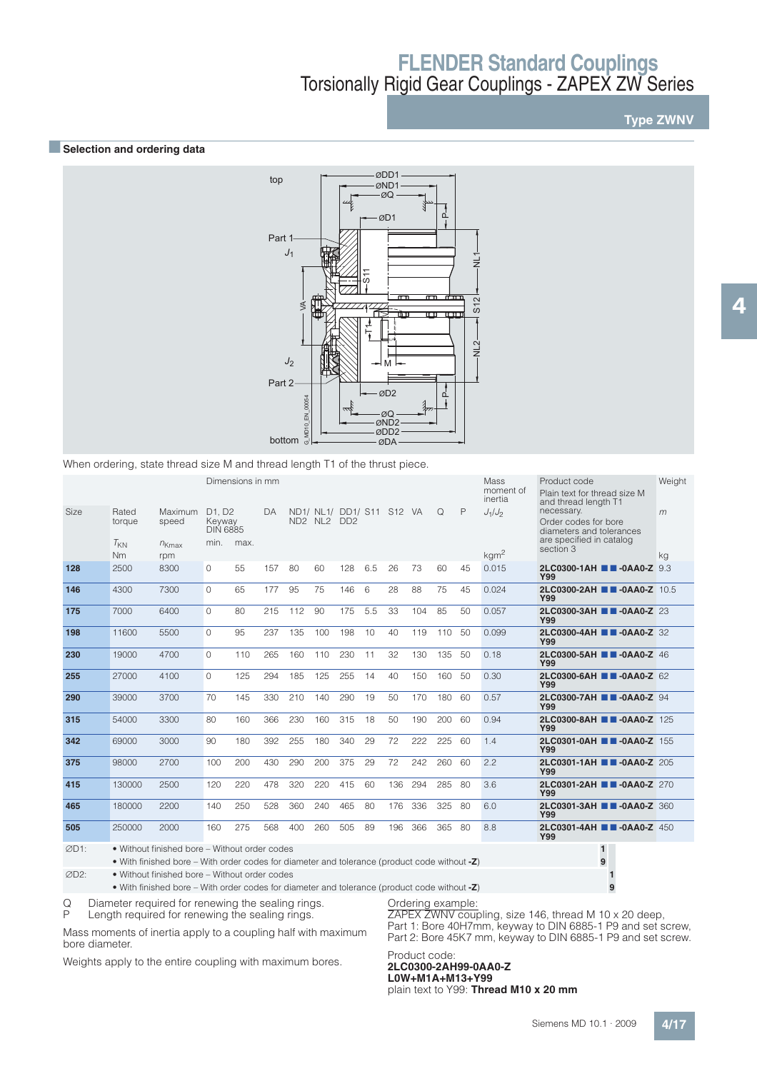**Type ZWNV**

#### **■Selection and ordering data**



|                                                                                                                                                                       |                 |                                                                                                                                                                                                   |                                                              |      | Part 2 | ≶<br>J <sub>2</sub><br>00054<br>즶<br>$\subseteq$<br>G_MD1<br>bottom |                                                                                          |     | 5<br>ਨ | $\overline{\phantom{a}}$<br>ष्ण<br>M<br>ØD <sub>2</sub><br>ØQ<br>ØND <sub>2</sub><br>ØDD <sub>2</sub><br>ØDA | Ē   | $\pi$<br>Ę<br>$\mathbf{m}$<br>മ് | S12<br>$\frac{2}{5}$ |                      |                                                                                                                    |             |
|-----------------------------------------------------------------------------------------------------------------------------------------------------------------------|-----------------|---------------------------------------------------------------------------------------------------------------------------------------------------------------------------------------------------|--------------------------------------------------------------|------|--------|---------------------------------------------------------------------|------------------------------------------------------------------------------------------|-----|--------|--------------------------------------------------------------------------------------------------------------|-----|----------------------------------|----------------------|----------------------|--------------------------------------------------------------------------------------------------------------------|-------------|
| When ordering, state thread size M and thread length T1 of the thrust piece.<br>Dimensions in mm<br>Mass<br>Product code<br>moment of<br>Plain text for thread size M |                 |                                                                                                                                                                                                   |                                                              |      |        |                                                                     |                                                                                          |     |        |                                                                                                              |     |                                  |                      |                      |                                                                                                                    |             |
| Size                                                                                                                                                                  | Rated<br>torque | Maximum<br>speed                                                                                                                                                                                  | D <sub>1</sub> . D <sub>2</sub><br>Keyway<br><b>DIN 6885</b> |      | DA     |                                                                     | ND1/ NL1/ DD1/ S11 S12 VA<br>ND <sub>2</sub> NL <sub>2</sub> D <sub>D</sub> <sub>2</sub> |     |        |                                                                                                              |     | Q                                | $\mathsf{P}$         | inertia<br>$J_1/J_2$ | and thread length T1<br>necessary.<br>Order codes for bore<br>diameters and tolerances<br>are specified in catalog | Weight<br>m |
|                                                                                                                                                                       | $T_{KN}$<br>Nm  | $n_{Kmax}$<br>rpm                                                                                                                                                                                 | min.                                                         | max. |        |                                                                     |                                                                                          |     |        |                                                                                                              |     |                                  |                      | kgm <sup>2</sup>     | section 3                                                                                                          | kg          |
| 128                                                                                                                                                                   | 2500            | 8300                                                                                                                                                                                              | 0                                                            | 55   | 157    | 80                                                                  | 60                                                                                       | 128 | 6.5    | 26                                                                                                           | 73  | 60                               | 45                   | 0.015                | 2LC0300-1AH <b>III-0AA0-Z</b> 9.3<br><b>Y99</b>                                                                    |             |
| 146                                                                                                                                                                   | 4300            | 7300                                                                                                                                                                                              | $\Omega$                                                     | 65   | 177    | 95                                                                  | 75                                                                                       | 146 | 6      | 28                                                                                                           | 88  | 75                               | 45                   | 0.024                | 2LC0300-2AH ■■-0AA0-Z 10.5<br><b>Y99</b>                                                                           |             |
| 175                                                                                                                                                                   | 7000            | 6400                                                                                                                                                                                              | $\circ$                                                      | 80   | 215    | 112                                                                 | 90                                                                                       | 175 | 5.5    | 33                                                                                                           | 104 | 85                               | 50                   | 0.057                | 2LC0300-3AH <b>DI-0AA0-Z</b> 23<br>Y99                                                                             |             |
| 198                                                                                                                                                                   | 11600           | 5500                                                                                                                                                                                              | $\circ$                                                      | 95   | 237    | 135                                                                 | 100                                                                                      | 198 | 10     | 40                                                                                                           | 119 | 110                              | 50                   | 0.099                | 2LC0300-4AH <b>III-0AA0-Z</b> 32<br><b>Y99</b>                                                                     |             |
| 230                                                                                                                                                                   | 19000           | 4700                                                                                                                                                                                              | $\mathsf{O}\xspace$                                          | 110  | 265    | 160                                                                 | 110                                                                                      | 230 | 11     | 32                                                                                                           | 130 | 135                              | 50                   | 0.18                 | 2LC0300-5AH ■■-0AA0-Z 46<br><b>Y99</b>                                                                             |             |
| 255                                                                                                                                                                   | 27000           | 4100                                                                                                                                                                                              | $\circ$                                                      | 125  | 294    | 185                                                                 | 125                                                                                      | 255 | 14     | 40                                                                                                           | 150 | 160                              | 50                   | 0.30                 | 2LC0300-6AH <b>III-0AA0-Z</b> 62<br>Y99                                                                            |             |
| 290                                                                                                                                                                   | 39000           | 3700                                                                                                                                                                                              | 70                                                           | 145  | 330    | 210                                                                 | 140                                                                                      | 290 | 19     | 50                                                                                                           | 170 | 180                              | 60                   | 0.57                 | 2LC0300-7AH 2 -0AA0-Z 94<br><b>Y99</b>                                                                             |             |
| 315                                                                                                                                                                   | 54000           | 3300                                                                                                                                                                                              | 80                                                           | 160  | 366    | 230                                                                 | 160                                                                                      | 315 | 18     | 50                                                                                                           | 190 | 200                              | 60                   | 0.94                 | 2LC0300-8AH 2-0AA0-Z 125<br><b>Y99</b>                                                                             |             |
| 342                                                                                                                                                                   | 69000           | 3000                                                                                                                                                                                              | 90                                                           | 180  | 392    | 255                                                                 | 180                                                                                      | 340 | 29     | 72                                                                                                           | 222 | 225                              | 60                   | 1.4                  | 2LC0301-0AH ■ ■ -0AA0-Z 155<br><b>Y99</b>                                                                          |             |
| 375                                                                                                                                                                   | 98000           | 2700                                                                                                                                                                                              | 100                                                          | 200  | 430    | 290                                                                 | 200                                                                                      | 375 | 29     | 72                                                                                                           | 242 | 260                              | 60                   | 2.2                  | 2LC0301-1AH <b>D</b> -0AA0-Z 205<br><b>Y99</b>                                                                     |             |
| 415                                                                                                                                                                   | 130000          | 2500                                                                                                                                                                                              | 120                                                          | 220  | 478    | 320                                                                 | 220                                                                                      | 415 | 60     | 136                                                                                                          | 294 | 285                              | 80                   | 3.6                  | 2LC0301-2AH <b>III-0AA0-Z</b> 270<br><b>Y99</b>                                                                    |             |
| 465                                                                                                                                                                   | 180000          | 2200                                                                                                                                                                                              | 140                                                          | 250  | 528    | 360                                                                 | 240                                                                                      | 465 | 80     | 176                                                                                                          | 336 | 325                              | 80                   | 6.0                  | 2LC0301-3AH 2-0AA0-Z 360<br><b>Y99</b>                                                                             |             |
| 505                                                                                                                                                                   | 250000          | 2000                                                                                                                                                                                              | 160                                                          | 275  | 568    | 400                                                                 | 260                                                                                      | 505 | 89     | 196                                                                                                          | 366 | 365                              | 80                   | 8.8                  | 2LC0301-4AH <b>2 -0AA0-Z</b> 450<br>Y99                                                                            |             |
| ØD1:<br>ØD2:                                                                                                                                                          |                 | • Without finished bore - Without order codes<br>• With finished bore – With order codes for diameter and tolerance (product code without $-Z$ )<br>• Without finished bore - Without order codes |                                                              |      |        |                                                                     |                                                                                          |     |        |                                                                                                              |     |                                  |                      |                      | $\mathbf{1}$<br>9<br>1                                                                                             |             |
|                                                                                                                                                                       |                 | • With finished bore – With order codes for diameter and tolerance (product code without $-Z$ )                                                                                                   |                                                              |      |        |                                                                     |                                                                                          |     |        |                                                                                                              |     |                                  |                      |                      | 9                                                                                                                  |             |

Q Diameter required for renewing the sealing rings.<br>P Length required for renewing the sealing rings.

Length required for renewing the sealing rings.

Mass moments of inertia apply to a coupling half with maximum bore diameter.

Weights apply to the entire coupling with maximum bores.

Ordering example:

ZAPEX ZWNV coupling, size 146, thread M 10 x 20 deep, Part 1: Bore 40H7mm, keyway to DIN 6885-1 P9 and set screw, Part 2: Bore 45K7 mm, keyway to DIN 6885-1 P9 and set screw.

#### Product code: **2LC0300-2AH99-0AA0-Z L0W+M1A+M13+Y99** plain text to Y99: **Thread M10 x 20 mm**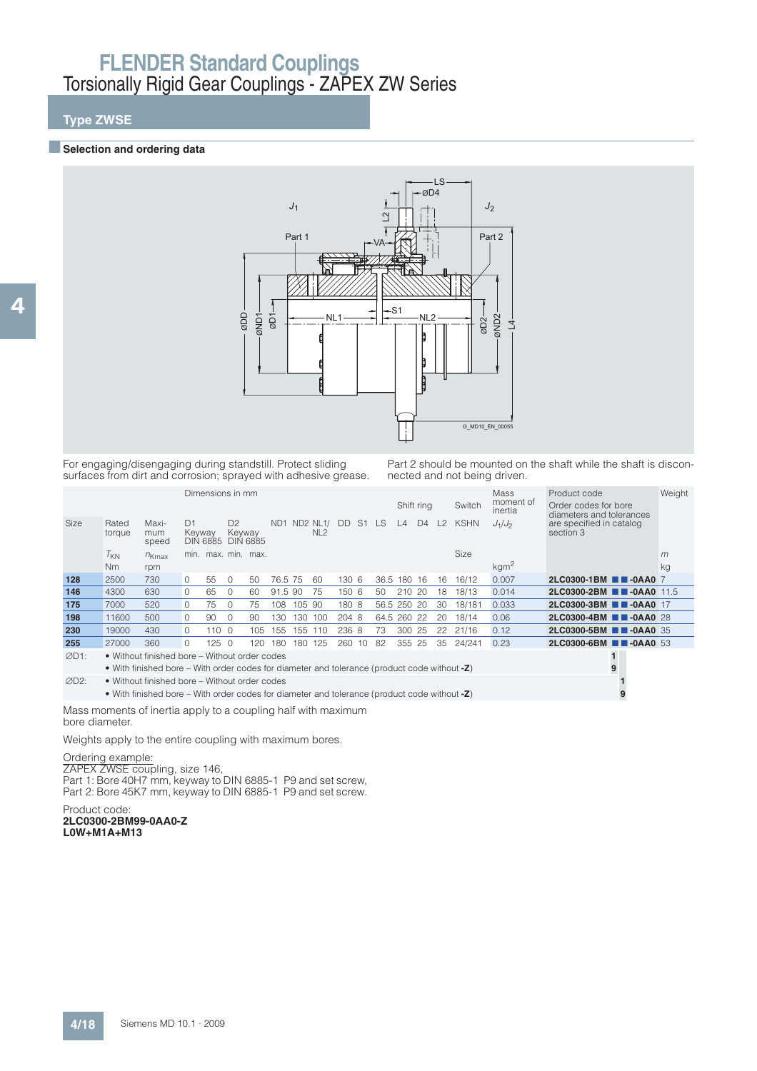## **Type ZWSE**

#### **B** Selection and ordering data



For engaging/disengaging during standstill. Protect sliding surfaces from dirt and corrosion; sprayed with adhesive grease. Part 2 should be mounted on the shaft while the shaft is disconnected and not being driven.

|              |                 |                                                                                              |              | Dimensions in mm |                          |                     |                 |        |                                    |       |                |             |             | Shift ring     |    | Switch      | Mass<br>moment of<br>inertia | Product code<br>Order codes for bore<br>diameters and tolerances | Weight |
|--------------|-----------------|----------------------------------------------------------------------------------------------|--------------|------------------|--------------------------|---------------------|-----------------|--------|------------------------------------|-------|----------------|-------------|-------------|----------------|----|-------------|------------------------------|------------------------------------------------------------------|--------|
| Size         | Rated<br>torque | Maxi-<br>mum<br>speed                                                                        | D1<br>Keyway | <b>DIN 6885</b>  | D <sup>2</sup><br>Keyway | <b>DIN 6885</b>     | ND <sub>1</sub> |        | <b>ND2 NL1/</b><br>NL <sub>2</sub> | DD.   | S <sub>1</sub> | LS.         | $\perp$     | D <sub>4</sub> | L2 | <b>KSHN</b> | $J_1/J_2$                    | are specified in catalog<br>section 3                            |        |
|              | $T_{KN}$        | $n_{Kmax}$                                                                                   |              |                  |                          | min. max. min. max. |                 |        |                                    |       |                |             |             |                |    | Size        |                              |                                                                  | m      |
|              | Nm              | rpm                                                                                          |              |                  |                          |                     |                 |        |                                    |       |                |             |             |                |    |             | $\text{kgm}^2$               |                                                                  | kg     |
| 128          | 2500            | 730                                                                                          | $\Omega$     | 55               | $\Omega$                 | 50                  | 76.5 75         |        | 60                                 | 130 6 |                | 36.5        | 180         | -16            | 16 | 16/12       | 0.007                        | 2LC0300-1BM <b>2D-0AA0</b> 7                                     |        |
| 146          | 4300            | 630                                                                                          | $\circ$      | 65               | $\Omega$                 | 60                  | 91.5 90         |        | 75                                 | 150 6 |                | 50          | 210         | 20             | 18 | 18/13       | 0.014                        | 2LC0300-2BM <b>11-0AA0</b> 11.5                                  |        |
| 175          | 7000            | 520                                                                                          | $\Omega$     | 75               | $\cap$                   | 75                  | 108             | 105 90 |                                    | 180 8 |                |             | 56.5 250 20 |                | 30 | 18/181      | 0.033                        | 2LC0300-3BM <b>1 -0AA0</b> 17                                    |        |
| 198          | 11600           | 500                                                                                          | $\circ$      | 90               | $\Omega$                 | 90                  | 130             | 130    | 100                                | 204 8 |                | 64.5 260 22 |             |                | 20 | 18/14       | 0.06                         | 2LC0300-4BM <b>1 -0AA0</b> 28                                    |        |
| 230          | 19000           | 430                                                                                          | $\Omega$     | 110 $\Omega$     |                          | 105                 | 155             | 155    | 110                                | 236 8 |                | 73          | 300         | 25             | 22 | 21/16       | 0.12                         | 2LC0300-5BM <b>1 -0AA0</b> 35                                    |        |
| 255          | 27000           | 360                                                                                          | $\Omega$     | $125 \quad 0$    |                          | 120                 | 180             | 180    | 125                                | 260   | 10             | 82          | 355         | 25             | 35 | 24/241      | 0.23                         | 2LC0300-6BM <b>1 -0AA0</b> 53                                    |        |
| ØD1:         |                 | • Without finished bore – Without order codes                                                |              |                  |                          |                     |                 |        |                                    |       |                |             |             |                |    |             |                              |                                                                  |        |
|              |                 | • With finished bore – With order codes for diameter and tolerance (product code without -Z) |              |                  |                          |                     |                 |        |                                    |       |                |             |             |                |    |             |                              | 9                                                                |        |
| $\alpha$ Do. |                 | A Mithaut finished here Mithaut seder sedes                                                  |              |                  |                          |                     |                 |        |                                    |       |                |             |             |                |    |             |                              |                                                                  |        |

D2: • Without finished bore – Without order codes **1** • With finished bore – With order codes for diameter and tolerance (product code without **-Z**) **9**

Mass moments of inertia apply to a coupling half with maximum bore diameter.

Weights apply to the entire coupling with maximum bores.

#### Ordering example:

ZAPEX ZWSE coupling, size 146, Part 1: Bore 40H7 mm, keyway to DIN 6885-1 P9 and set screw, Part 2: Bore 45K7 mm, keyway to DIN 6885-1 P9 and set screw.

Product code: **2LC0300-2BM99-0AA0-Z L0W+M1A+M13**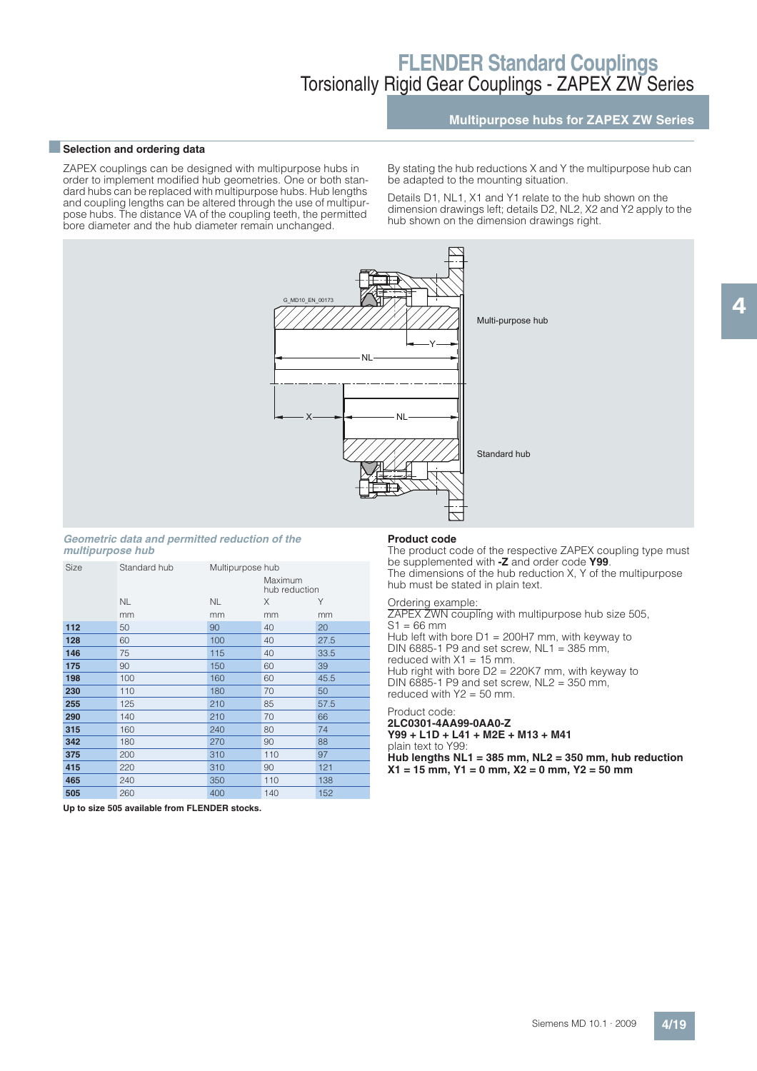### **Multipurpose hubs for ZAPEX ZW Series**

4

#### **Exerction and ordering data**

ZAPEX couplings can be designed with multipurpose hubs in order to implement modified hub geometries. One or both standard hubs can be replaced with multipurpose hubs. Hub lengths and coupling lengths can be altered through the use of multipurpose hubs. The distance VA of the coupling teeth, the permitted bore diameter and the hub diameter remain unchanged.

By stating the hub reductions X and Y the multipurpose hub can be adapted to the mounting situation.

Details D1, NL1, X1 and Y1 relate to the hub shown on the dimension drawings left; details D2, NL2, X2 and Y2 apply to the hub shown on the dimension drawings right.



#### **Geometric data and permitted reduction of the multipurpose hub**

| Size | Standard hub | Multipurpose hub | Maximum<br>hub reduction |      |
|------|--------------|------------------|--------------------------|------|
|      | <b>NL</b>    | <b>NL</b>        | X                        | Υ    |
|      | mm           | mm               | mm                       | mm   |
| 112  | 50           | 90               | 40                       | 20   |
| 128  | 60           | 100              | 40                       | 27.5 |
| 146  | 75           | 115              | 40                       | 33.5 |
| 175  | 90           | 150              | 60                       | 39   |
| 198  | 100          | 160              | 60                       | 45.5 |
| 230  | 110          | 180              | 70                       | 50   |
| 255  | 125          | 210              | 85                       | 57.5 |
| 290  | 140          | 210              | 70                       | 66   |
| 315  | 160          | 240              | 80                       | 74   |
| 342  | 180          | 270              | 90                       | 88   |
| 375  | 200          | 310              | 110                      | 97   |
| 415  | 220          | 310              | 90                       | 121  |
| 465  | 240          | 350              | 110                      | 138  |
| 505  | 260          | 400              | 140                      | 152  |

#### **Product code**

The product code of the respective ZAPEX coupling type must be supplemented with **-Z** and order code **Y99**. The dimensions of the hub reduction X, Y of the multipurpose hub must be stated in plain text.

#### Ordering example:

ZAPEX ZWN coupling with multipurpose hub size 505,  $S1 = 66$  mm Hub left with bore D1 = 200H7 mm, with keyway to DIN 6885-1 P9 and set screw,  $NL1 = 385$  mm, reduced with  $X1 = 15$  mm. Hub right with bore D2 = 220K7 mm, with keyway to DIN 6885-1 P9 and set screw, NL2 = 350 mm, reduced with  $Y2 = 50$  mm.

#### Product code: **2LC0301-4AA99-0AA0-Z**

**Y99 + L1D + L41 + M2E + M13 + M41** plain text to Y99: **Hub lengths NL1 = 385 mm, NL2 = 350 mm, hub reduction X1 = 15 mm, Y1 = 0 mm, X2 = 0 mm, Y2 = 50 mm**

**Up to size 505 available from FLENDER stocks.**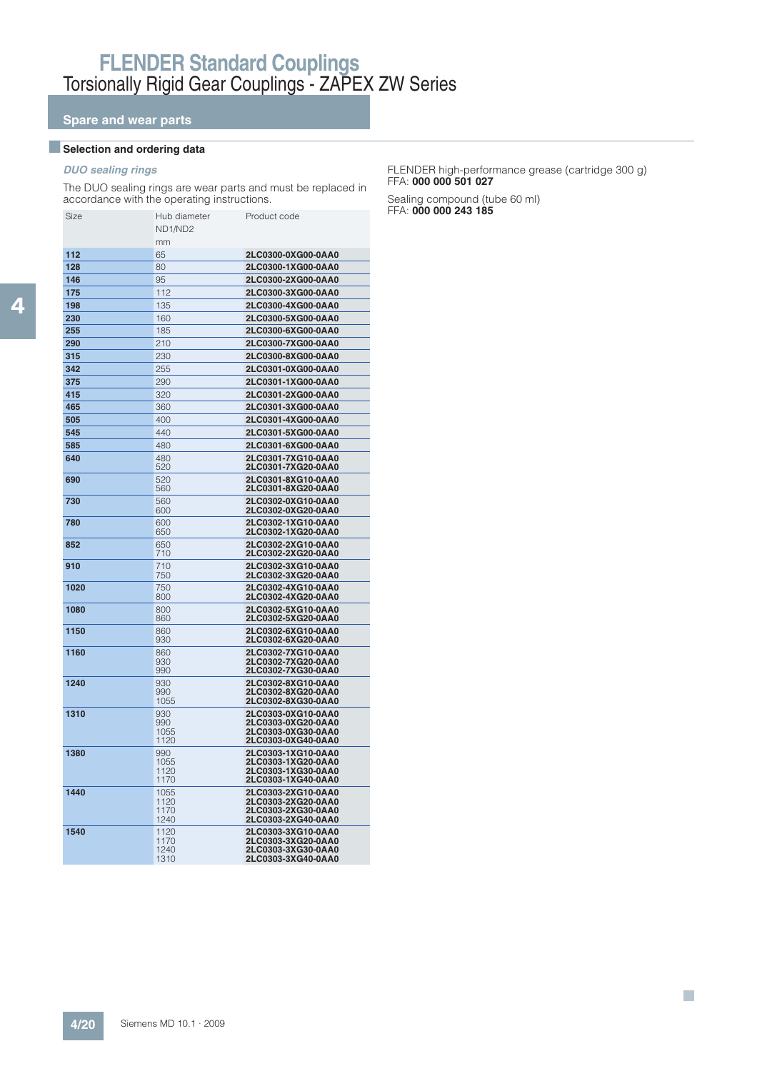## **Spare and wear parts**

### **BSelection and ordering data**

### **DUO sealing rings**

The DUO sealing rings are wear parts and must be replaced in accordance with the operating instructions.

| Size | Hub diameter<br>ND1/ND2      | Product code                                                                         |
|------|------------------------------|--------------------------------------------------------------------------------------|
|      | mm                           |                                                                                      |
| 112  | 65                           | 2LC0300-0XG00-0AA0                                                                   |
| 128  | 80                           | 2LC0300-1XG00-0AA0                                                                   |
| 146  | 95                           | 2LC0300-2XG00-0AA0                                                                   |
| 175  | 112                          | 2LC0300-3XG00-0AA0                                                                   |
| 198  | 135                          | 2LC0300-4XG00-0AA0                                                                   |
| 230  | 160                          | 2LC0300-5XG00-0AA0                                                                   |
| 255  | 185                          | 2LC0300-6XG00-0AA0                                                                   |
| 290  | 210                          | 2LC0300-7XG00-0AA0                                                                   |
| 315  | 230                          | 2LC0300-8XG00-0AA0                                                                   |
| 342  | 255                          | 2LC0301-0XG00-0AA0                                                                   |
| 375  | 290                          | 2LC0301-1XG00-0AA0                                                                   |
| 415  | 320                          | 2LC0301-2XG00-0AA0                                                                   |
| 465  | 360                          | 2LC0301-3XG00-0AA0                                                                   |
| 505  | 400                          | 2LC0301-4XG00-0AA0                                                                   |
| 545  | 440                          | 2LC0301-5XG00-0AA0                                                                   |
| 585  | 480                          | 2LC0301-6XG00-0AA0                                                                   |
| 640  | 480                          | 2LC0301-7XG10-0AA0                                                                   |
|      | 520                          | 2LC0301-7XG20-0AA0                                                                   |
| 690  | 520<br>560                   | 2LC0301-8XG10-0AA0<br>2LC0301-8XG20-0AA0                                             |
| 730  | 560<br>600                   | 2LC0302-0XG10-0AA0<br>2LC0302-0XG20-0AA0                                             |
| 780  | 600<br>650                   | 2LC0302-1XG10-0AA0<br>2LC0302-1XG20-0AA0                                             |
| 852  | 650<br>710                   | 2LC0302-2XG10-0AA0<br>2LC0302-2XG20-0AA0                                             |
| 910  | 710<br>750                   | 2LC0302-3XG10-0AA0<br>2LC0302-3XG20-0AA0                                             |
| 1020 | 750<br>800                   | 2LC0302-4XG10-0AA0<br>2LC0302-4XG20-0AA0                                             |
| 1080 | 800<br>860                   | 2LC0302-5XG10-0AA0<br>2LC0302-5XG20-0AA0                                             |
| 1150 | 860<br>930                   | 2LC0302-6XG10-0AA0<br>2LC0302-6XG20-0AA0                                             |
| 1160 | 860<br>930<br>990            | 2LC0302-7XG10-0AA0<br>2LC0302-7XG20-0AA0<br>2LC0302-7XG30-0AA0                       |
| 1240 | 930<br>990<br>1055           | 2LC0302-8XG10-0AA0<br>2LC0302-8XG20-0AA0<br>2LC0302-8XG30-0AA0                       |
| 1310 | 930<br>990<br>1055<br>1120   | 2LC0303-0XG10-0AA0<br>2LC0303-0XG20-0AA0<br>2LC0303-0XG30-0AA0<br>2LC0303-0XG40-0AA0 |
| 1380 | 990<br>1055<br>1120<br>1170  | 2LC0303-1XG10-0AA0<br>2LC0303-1XG20-0AA0<br>2LC0303-1XG30-0AA0<br>2LC0303-1XG40-0AA0 |
| 1440 | 1055<br>1120<br>1170<br>1240 | 2LC0303-2XG10-0AA0<br>2LC0303-2XG20-0AA0<br>2LC0303-2XG30-0AA0<br>2LC0303-2XG40-0AA0 |
| 1540 | 1120<br>1170<br>1240<br>1310 | 2LC0303-3XG10-0AA0<br>2LC0303-3XG20-0AA0<br>2LC0303-3XG30-0AA0<br>2LC0303-3XG40-0AA0 |

#### FLENDER high-performance grease (cartridge 300 g) FFA: **000 000 501 027**

 $\mathcal{L}_{\mathcal{A}}$ 

Sealing compound (tube 60 ml) FFA: 000 000 243 185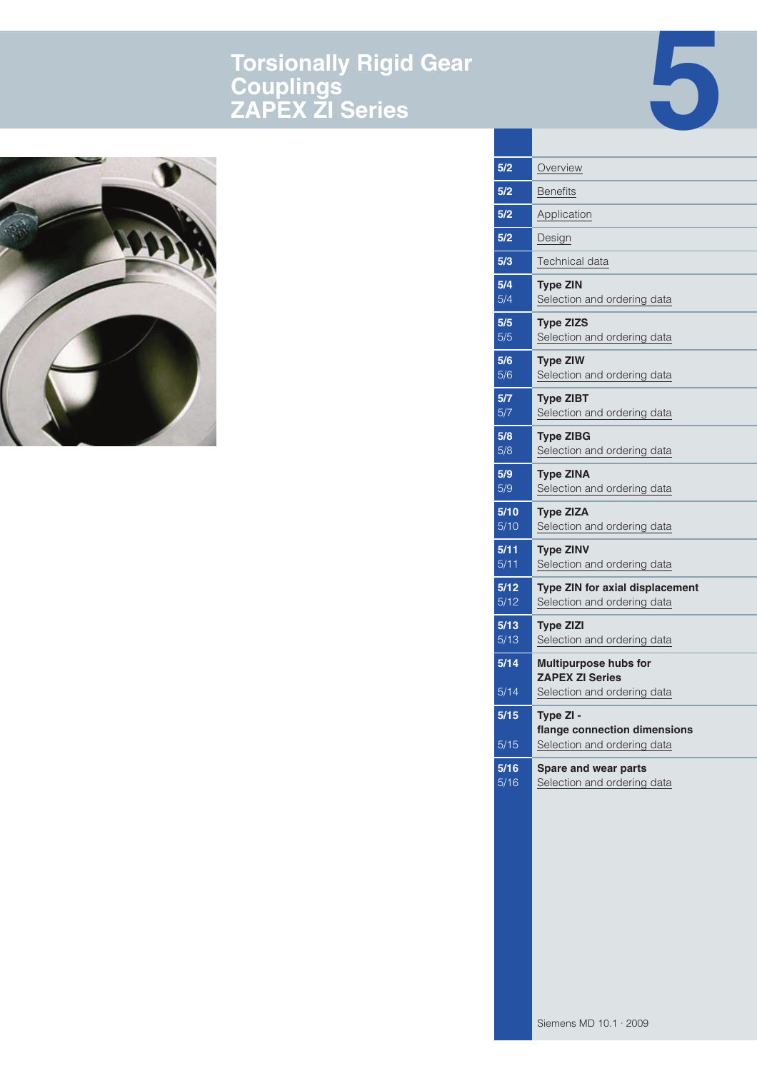# **Torsionally Rigid Gear Couplings ZAPEX ZI Series**





| Overview                                                                 |
|--------------------------------------------------------------------------|
| <b>Benefits</b>                                                          |
| Application                                                              |
| Design                                                                   |
| Technical data                                                           |
| <b>Type ZIN</b><br>Selection and ordering data                           |
| <b>Type ZIZS</b><br>Selection and ordering data                          |
| <b>Type ZIW</b><br>Selection and ordering data                           |
| <b>Type ZIBT</b><br>Selection and ordering data                          |
| <b>Type ZIBG</b><br>Selection and ordering data                          |
| <b>Type ZINA</b><br>Selection and ordering data                          |
| <b>Type ZIZA</b><br>Selection and ordering data                          |
| <b>Type ZINV</b><br>Selection and ordering data                          |
| Type ZIN for axial displacement<br>Selection and ordering data           |
| <b>Type ZIZI</b><br>Selection and ordering data                          |
| <b>Multipurpose hubs for</b><br><b>ZAPEX ZI Series</b>                   |
| Selection and ordering data                                              |
| Type ZI -<br>flange connection dimensions<br>Selection and ordering data |
|                                                                          |
| Spare and wear parts<br>Selection and ordering data                      |
|                                                                          |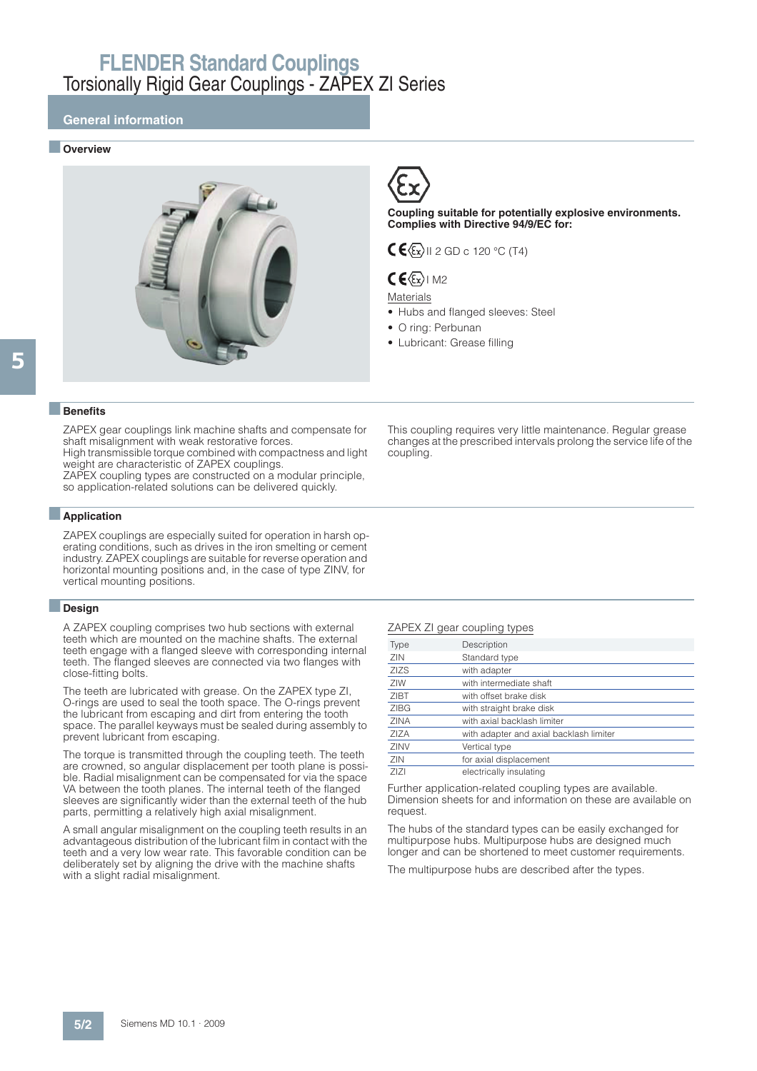### **General information**

#### ■ **Overview**





**Coupling suitable for potentially explosive environments. Complies with Directive 94/9/EC for:**

### $C \times \sqrt{\epsilon_x}$ II 2 GD c 120 °C (T4)

### $CE(Ex)$  M2

#### Materials

- Hubs and flanged sleeves: Steel
- O ring: Perbunan
- Lubricant: Grease filling

#### ■**Benefits**

ZAPEX gear couplings link machine shafts and compensate for shaft misalignment with weak restorative forces.

High transmissible torque combined with compactness and light weight are characteristic of ZAPEX couplings.

ZAPEX coupling types are constructed on a modular principle, so application-related solutions can be delivered quickly.

#### ■**Application**

ZAPEX couplings are especially suited for operation in harsh operating conditions, such as drives in the iron smelting or cement industry. ZAPEX couplings are suitable for reverse operation and horizontal mounting positions and, in the case of type ZINV, for vertical mounting positions.

#### ■**Design**

A ZAPEX coupling comprises two hub sections with external teeth which are mounted on the machine shafts. The external teeth engage with a flanged sleeve with corresponding internal teeth. The flanged sleeves are connected via two flanges with close-fitting bolts.

The teeth are lubricated with grease. On the ZAPEX type ZI, O-rings are used to seal the tooth space. The O-rings prevent the lubricant from escaping and dirt from entering the tooth space. The parallel keyways must be sealed during assembly to prevent lubricant from escaping.

The torque is transmitted through the coupling teeth. The teeth are crowned, so angular displacement per tooth plane is possible. Radial misalignment can be compensated for via the space VA between the tooth planes. The internal teeth of the flanged sleeves are significantly wider than the external teeth of the hub parts, permitting a relatively high axial misalignment.

A small angular misalignment on the coupling teeth results in an advantageous distribution of the lubricant film in contact with the teeth and a very low wear rate. This favorable condition can be deliberately set by aligning the drive with the machine shafts with a slight radial misalignment.

This coupling requires very little maintenance. Regular grease changes at the prescribed intervals prolong the service life of the coupling.

#### ZAPEX ZI gear coupling types

| Type        | Description                             |
|-------------|-----------------------------------------|
| ZIN         | Standard type                           |
| <b>ZIZS</b> | with adapter                            |
| ZIW         | with intermediate shaft                 |
| <b>ZIBT</b> | with offset brake disk                  |
| <b>ZIBG</b> | with straight brake disk                |
| <b>ZINA</b> | with axial backlash limiter             |
| ZIZA        | with adapter and axial backlash limiter |
| ZINV        | Vertical type                           |
| ZIN         | for axial displacement                  |
| ZIZI        | electrically insulating                 |

Further application-related coupling types are available. Dimension sheets for and information on these are available on request.

The hubs of the standard types can be easily exchanged for multipurpose hubs. Multipurpose hubs are designed much longer and can be shortened to meet customer requirements.

The multipurpose hubs are described after the types.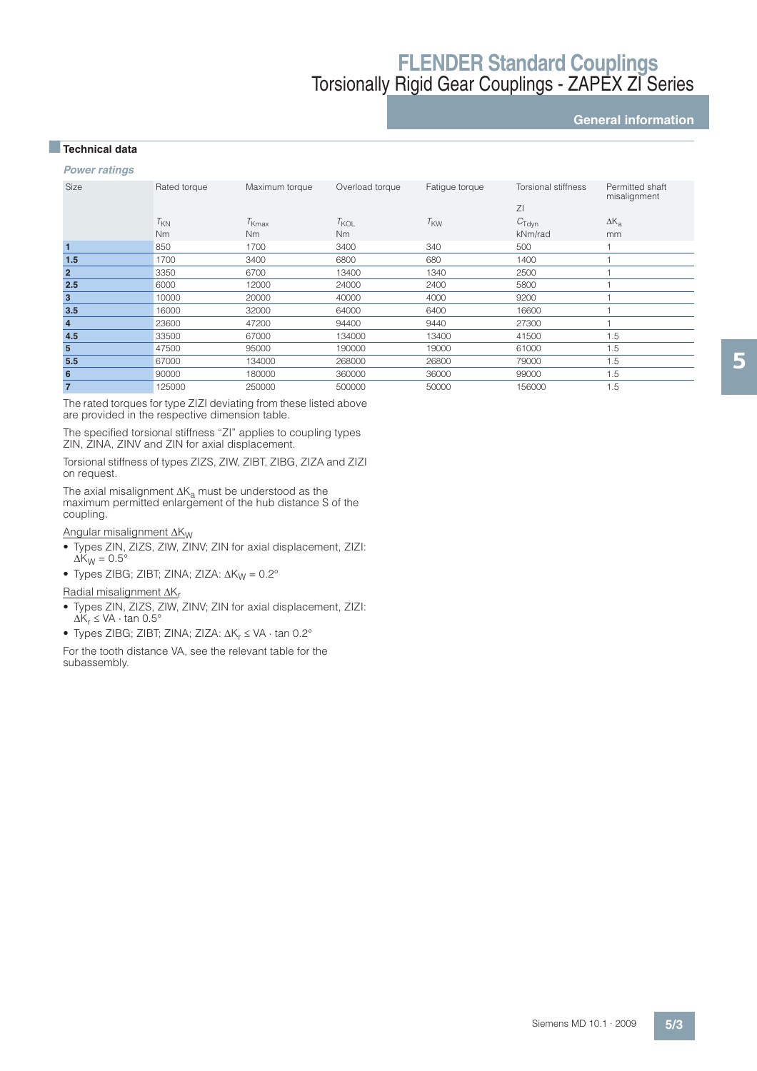### **General information**

### ■**Technical data**

**Power ratings**

| Size                    | Rated torque    | Maximum torque    | Overload torque | Fatigue torque  | Torsional stiffness     | Permitted shaft<br>misalignment |
|-------------------------|-----------------|-------------------|-----------------|-----------------|-------------------------|---------------------------------|
|                         | $T_{\text{KN}}$ | $T_{\text{Kmax}}$ | $T_{KOL}$       | $T_{\text{KW}}$ | ZI<br>$C_{\text{Tdyn}}$ | $\Delta K_{a}$                  |
|                         | <b>Nm</b>       | <b>Nm</b>         | N <sub>m</sub>  |                 | kNm/rad                 | mm                              |
| 1                       | 850             | 1700              | 3400            | 340             | 500                     |                                 |
| 1.5                     | 1700            | 3400              | 6800            | 680             | 1400                    |                                 |
| $\overline{2}$          | 3350            | 6700              | 13400           | 1340            | 2500                    |                                 |
| 2.5                     | 6000            | 12000             | 24000           | 2400            | 5800                    |                                 |
| 3                       | 10000           | 20000             | 40000           | 4000            | 9200                    |                                 |
| 3.5                     | 16000           | 32000             | 64000           | 6400            | 16600                   |                                 |
| $\overline{\mathbf{r}}$ | 23600           | 47200             | 94400           | 9440            | 27300                   |                                 |
| 4.5                     | 33500           | 67000             | 134000          | 13400           | 41500                   | 1.5                             |
| $5\phantom{.0}$         | 47500           | 95000             | 190000          | 19000           | 61000                   | 1.5                             |
| 5.5                     | 67000           | 134000            | 268000          | 26800           | 79000                   | 1.5                             |
| 6                       | 90000           | 180000            | 360000          | 36000           | 99000                   | 1.5                             |
| $\overline{7}$          | 125000          | 250000            | 500000          | 50000           | 156000                  | 1.5                             |

The rated torques for type ZIZI deviating from these listed above are provided in the respective dimension table.

The specified torsional stiffness "ZI" applies to coupling types ZIN, ZINA, ZINV and ZIN for axial displacement.

Torsional stiffness of types ZIZS, ZIW, ZIBT, ZIBG, ZIZA and ZIZI on request.

The axial misalignment  $\Delta K_a$  must be understood as the maximum permitted enlargement of the hub distance S of the coupling.

Angular misalignment  $\Delta K_W$ 

- Types ZIN, ZIZS, ZIW, ZINV; ZIN for axial displacement, ZIZI:  $\Delta K_W = 0.5^\circ$
- Types ZIBG; ZIBT; ZINA; ZIZA:  $\Delta K_W = 0.2^\circ$

### Radial misalignment  $\Delta K_r$

- Types ZIN, ZIZS, ZIW, ZINV; ZIN for axial displacement, ZIZI:  $\Delta K_r \leq VA \cdot \tan 0.5^\circ$
- Types ZIBG; ZIBT; ZINA; ZIZA:  $\Delta K_r \leq VA \cdot \tan 0.2^{\circ}$

For the tooth distance VA, see the relevant table for the subassembly.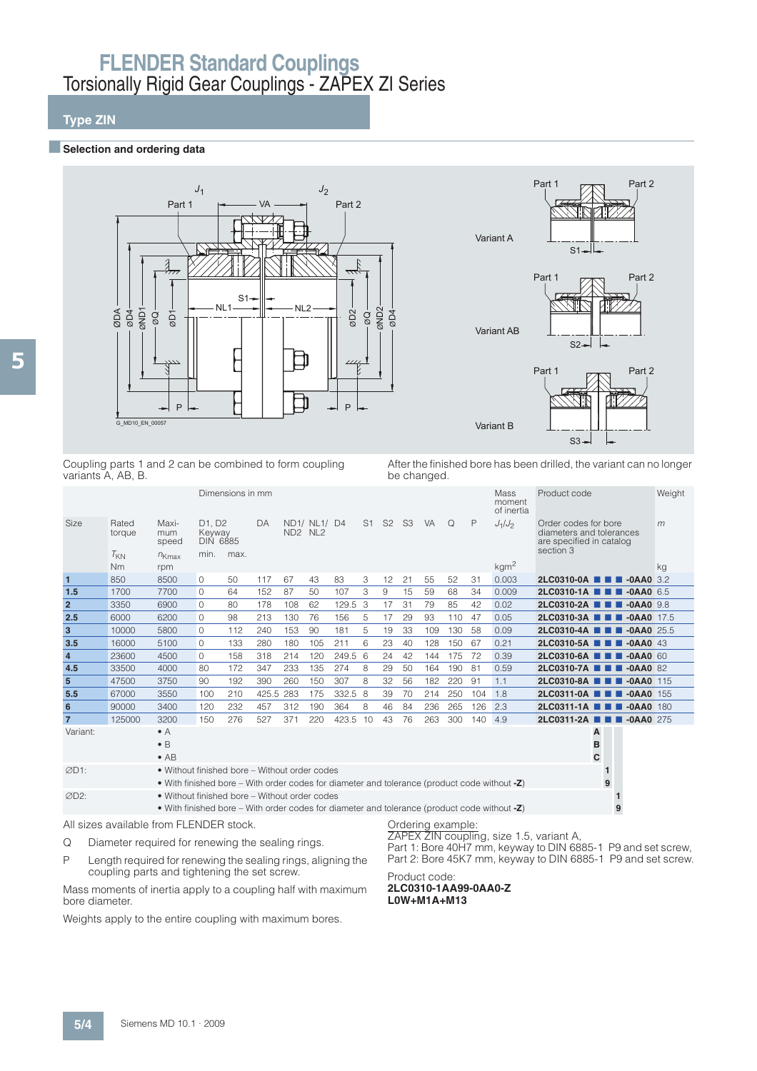## **Type ZIN**

#### **■Selection and ordering data**



Coupling parts 1 and 2 can be combined to form coupling variants A, AB, B.

After the finished bore has been drilled, the variant can no longer be changed.

|                |                                         |                                                                                                                                               |                                                              | Dimensions in mm |           |                                 |              |          |   |       |                |     |                   |     | Mass<br>moment<br>of inertia | Product code                                                                              |                   |                | Weight |
|----------------|-----------------------------------------|-----------------------------------------------------------------------------------------------------------------------------------------------|--------------------------------------------------------------|------------------|-----------|---------------------------------|--------------|----------|---|-------|----------------|-----|-------------------|-----|------------------------------|-------------------------------------------------------------------------------------------|-------------------|----------------|--------|
| Size           | Rated<br>torque                         | Maxi-<br>mum<br>speed                                                                                                                         | D <sub>1</sub> . D <sub>2</sub><br>Keyway<br><b>DIN 6885</b> |                  | DA        | ND <sub>2</sub> N <sub>L2</sub> | ND1/ NL1/ D4 |          |   | S1 S2 | S <sub>3</sub> | VA  | $\Omega$          | P   | $J_1/J_2$                    | Order codes for bore<br>diameters and tolerances<br>are specified in catalog<br>section 3 |                   |                | m      |
|                | $T_{KN}$<br>Nm                          | $n_{Kmax}$<br>rpm                                                                                                                             | min.                                                         | max.             |           |                                 |              |          |   |       |                |     |                   |     | kgm <sup>2</sup>             |                                                                                           |                   |                | kg     |
| $\mathbf{1}$   | 850                                     | 8500                                                                                                                                          | 0                                                            | 50               | 117       | 67                              | 43           | 83       | 3 | 12    | 21             | 55  | 52                | 31  | 0.003                        | $2LC0310-0A$ $\blacksquare$                                                               |                   | $-0AAA0$ 3.2   |        |
| 1.5            | 1700                                    | 7700                                                                                                                                          | 0                                                            | 64               | 152       | 87                              | 50           | 107      | 3 | 9     | 15             | 59  | 68                | 34  | 0.009                        | 2LC0310-1A <b>1 1 -0AA0</b> 6.5                                                           |                   |                |        |
| $\overline{2}$ | 3350                                    | 6900                                                                                                                                          | $\Omega$                                                     | 80               | 178       | 108                             | 62           | 129.5    | 3 | 17    | 31             | 79  | 85                | 42  | 0.02                         | 2LC0310-2A <b>1 1 -0AA0</b> 9.8                                                           |                   |                |        |
| 2.5            | 6000                                    | 6200                                                                                                                                          | $\Omega$                                                     | 98               | 213       | 130                             | 76           | 156      | 5 | 17    | 29             | 93  | 110               | 47  | 0.05                         | $2LC0310-3A$ $\blacksquare$                                                               |                   | $-0$ AA0 17.5  |        |
| 3              | 10000                                   | 5800                                                                                                                                          | 0                                                            | 112              | 240       | 153                             | 90           | 181      | 5 | 19    | 33             | 109 | 130               | 58  | 0.09                         | 2LC0310-4A <b>THE -0AA0</b> 25.5                                                          |                   |                |        |
| 3.5            | 16000                                   | 5100                                                                                                                                          | 0                                                            | 133              | 280       | 180                             | 105          | 211      | 6 | 23    | 40             | 128 | 150               | 67  | 0.21                         | 2LC0310-5A <b>N N</b> -0AA0 43                                                            |                   |                |        |
| $\overline{4}$ | 23600                                   | 4500                                                                                                                                          | $\Omega$                                                     | 158              | 318       | 214                             | 120          | 249.5 6  |   | 24    | 42             | 144 | 175               | 72  | 0.39                         | 2LC0310-6A <b>1 1</b>                                                                     |                   | $-0$ AA0 60    |        |
| 4.5            | 33500                                   | 4000                                                                                                                                          | 80                                                           | 172              | 347       | 233                             | 135          | 274      | 8 | 29    | 50             | 164 | 190               | 81  | 0.59                         | 2LC0310-7A ■■                                                                             |                   | $-0$ AA $0$ 82 |        |
| $5\phantom{1}$ | 47500                                   | 3750                                                                                                                                          | 90                                                           | 192              | 390       | 260                             | 150          | 307      | 8 | 32    | 56             | 182 | 220               | 91  | 1.1                          | 2LC0310-8A <b>THE -0AA0</b> 115                                                           |                   |                |        |
| 5.5            | 67000                                   | 3550                                                                                                                                          | 100                                                          | 210              | 425.5 283 |                                 | 175          | 332.5    | 8 | 39    | 70             | 214 | 250               | 104 | 1.8                          | 2LC0311-0A <b>N N</b> -0AA0 155                                                           |                   |                |        |
| 6              | 90000                                   | 3400                                                                                                                                          | 120                                                          | 232              | 457       | 312                             | 190          | 364      | 8 | 46    | 84             | 236 | 265               | 126 | 2.3                          | 2LC0311-1A <b>1 1 4</b> -0AA0 180                                                         |                   |                |        |
| $\overline{7}$ | 125000                                  | 3200                                                                                                                                          | 150                                                          | 276              | 527       | 371                             | 220          | 423.5 10 |   | 43    | 76             | 263 | 300               | 140 | 4.9                          | 2LC0311-2A ■ ■ ■ -0AA0 275                                                                |                   |                |        |
| Variant:       |                                         | $\bullet$ A<br>$\bullet$ B<br>$\bullet$ AB                                                                                                    |                                                              |                  |           |                                 |              |          |   |       |                |     |                   |     |                              | B                                                                                         | A<br>C            |                |        |
| ØD1:           |                                         | • Without finished bore – Without order codes<br>• With finished bore – With order codes for diameter and tolerance (product code without -Z) |                                                              |                  |           |                                 |              |          |   |       |                |     |                   |     |                              |                                                                                           | $\mathbf{1}$<br>9 |                |        |
| ØD2:           |                                         | • Without finished bore - Without order codes<br>• With finished bore – With order codes for diameter and tolerance (product code without -Z) |                                                              |                  |           |                                 |              |          |   |       |                |     |                   |     |                              |                                                                                           | 9                 |                |        |
|                | All sizes available from FLENDER stock. |                                                                                                                                               |                                                              |                  |           |                                 |              |          |   |       |                |     | Ordering example: |     |                              |                                                                                           |                   |                |        |

Q Diameter required for renewing the sealing rings.

P Length required for renewing the sealing rings, aligning the

coupling parts and tightening the set screw.

Mass moments of inertia apply to a coupling half with maximum bore diameter.

Weights apply to the entire coupling with maximum bores.

ZAPEX ZIN coupling, size 1.5, variant A,

Part 1: Bore 40H7 mm, keyway to DIN 6885-1 P9 and set screw, Part 2: Bore 45K7 mm, keyway to DIN 6885-1 P9 and set screw.

Product code: **2LC0310-1AA99-0AA0-Z L0W+M1A+M13**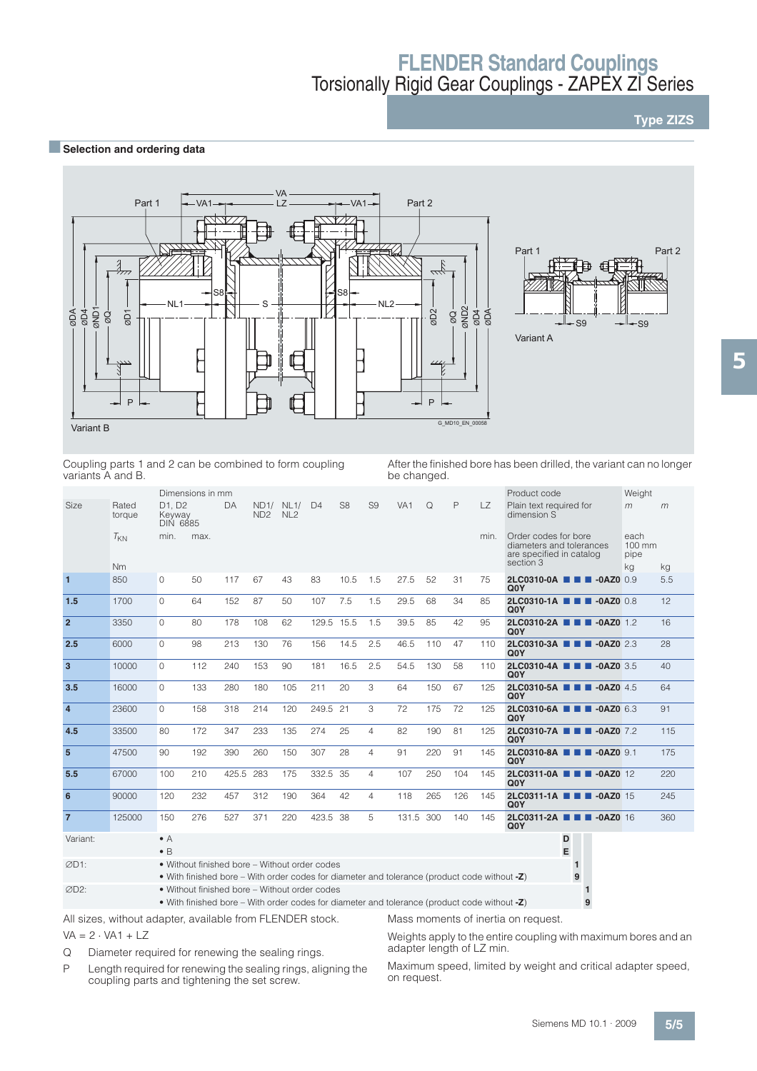## **Type ZIZS**

### **BSelection and ordering data**





Coupling parts 1 and 2 can be combined to form coupling variants A and B.

After the finished bore has been drilled, the variant can no longer be changed.

|                |                       |                                     | Dimensions in mm |       |                         |                         |                |                |                |                 |     |              |           | Product code                                                                              |   | Weight                                 |     |
|----------------|-----------------------|-------------------------------------|------------------|-------|-------------------------|-------------------------|----------------|----------------|----------------|-----------------|-----|--------------|-----------|-------------------------------------------------------------------------------------------|---|----------------------------------------|-----|
| Size           | Rated<br>torque       | D1. D2<br>Keyway<br><b>DIN 6885</b> |                  | DA    | ND1/<br>ND <sub>2</sub> | NL1/<br>NL <sub>2</sub> | D <sub>4</sub> | S <sub>8</sub> | S <sub>9</sub> | VA <sub>1</sub> | Q   | $\mathsf{P}$ | <b>LZ</b> | Plain text required for<br>dimension S                                                    |   | m                                      | m   |
|                | $T_{KN}$<br><b>Nm</b> | min.                                | max.             |       |                         |                         |                |                |                |                 |     |              | min.      | Order codes for bore<br>diameters and tolerances<br>are specified in catalog<br>section 3 |   | each<br>$100 \text{ mm}$<br>pipe<br>kg | kg  |
| $\overline{1}$ | 850                   | $\Omega$                            | 50               | 117   | 67                      | 43                      | 83             | 10.5           | 1.5            | 27.5            | 52  | 31           | 75        | 2LC0310-0A <b>1 1 40AZ0</b> 0.9                                                           |   |                                        | 5.5 |
|                |                       |                                     |                  |       |                         |                         |                |                |                |                 |     |              |           | Q <sub>0</sub> Y                                                                          |   |                                        |     |
| 1.5            | 1700                  | $\Omega$                            | 64               | 152   | 87                      | 50                      | 107            | 7.5            | 1.5            | 29.5            | 68  | 34           | 85        | 2LC0310-1A <b>1 1 40AZ0</b> 0.8<br>Q <sub>0</sub> Y                                       |   |                                        | 12  |
| $\overline{2}$ | 3350                  | $\Omega$                            | 80               | 178   | 108                     | 62                      | 129.5          | 15.5           | 1.5            | 39.5            | 85  | 42           | 95        | 2LC0310-2A <b>1 1 -0AZ0</b> 1.2<br>Q <sub>0</sub> Y                                       |   |                                        | 16  |
| 2.5            | 6000                  | $\Omega$                            | 98               | 213   | 130                     | 76                      | 156            | 14.5           | 2.5            | 46.5            | 110 | 47           | 110       | 2LC0310-3A <b>D D</b> -0AZ0 2.3<br>Q <sub>0</sub> Y                                       |   |                                        | 28  |
| $\overline{3}$ | 10000                 | $\Omega$                            | 112              | 240   | 153                     | 90                      | 181            | 16.5           | 2.5            | 54.5            | 130 | 58           | 110       | 2LC0310-4A <b>THE -0AZ0</b> 3.5<br>Q <sub>0</sub> Y                                       |   |                                        | 40  |
| 3.5            | 16000                 | $\Omega$                            | 133              | 280   | 180                     | 105                     | 211            | 20             | 3              | 64              | 150 | 67           | 125       | 2LC0310-5A <b>THE -0AZ0</b> 4.5<br>Q <sub>0</sub> Y                                       |   |                                        | 64  |
| $\overline{4}$ | 23600                 | $\Omega$                            | 158              | 318   | 214                     | 120                     | 249.5          | 21             | 3              | 72              | 175 | 72           | 125       | 2LC0310-6A <b>1 1 -0AZ0</b> 6.3<br>Q <sub>0</sub> Y                                       |   |                                        | 91  |
| 4.5            | 33500                 | 80                                  | 172              | 347   | 233                     | 135                     | 274            | 25             | $\overline{4}$ | 82              | 190 | 81           | 125       | 2LC0310-7A <b>1 1 -0AZ0</b> 7.2<br>Q <sub>0</sub> Y                                       |   |                                        | 115 |
| $5\phantom{1}$ | 47500                 | 90                                  | 192              | 390   | 260                     | 150                     | 307            | 28             | $\overline{4}$ | 91              | 220 | 91           | 145       | 2LC0310-8A <b>N D</b> -0AZ0 9.1<br>Q <sub>0</sub> Y                                       |   |                                        | 175 |
| 5.5            | 67000                 | 100                                 | 210              | 425.5 | 283                     | 175                     | 332.5          | -35            | $\overline{4}$ | 107             | 250 | 104          | 145       | 2LC0311-0A <b>1 1 4</b> -0AZ0 12<br>Q <sub>0</sub> Y                                      |   |                                        | 220 |
| 6              | 90000                 | 120                                 | 232              | 457   | 312                     | 190                     | 364            | 42             | $\overline{4}$ | 118             | 265 | 126          | 145       | 2LC0311-1A <b>N N</b> -0AZ0 15<br>Q <sub>0</sub> Y                                        |   |                                        | 245 |
| $\overline{7}$ | 125000                | 150                                 | 276              | 527   | 371                     | 220                     | 423.5          | 38             | 5              | 131.5           | 300 | 140          | 145       | 2LC0311-2A <b>1 1 -0AZ0</b> 16<br>Q <sub>0</sub> Y                                        |   |                                        | 360 |
| Variant:       |                       | $\bullet$ A                         |                  |       |                         |                         |                |                |                |                 |     |              |           |                                                                                           | D |                                        |     |

| Variant: | $\bullet$ A                                                                                  |  |
|----------|----------------------------------------------------------------------------------------------|--|
|          | $\bullet$ R                                                                                  |  |
| ØD1:     | • Without finished bore – Without order codes                                                |  |
|          | • With finished bore – With order codes for diameter and tolerance (product code without -Z) |  |
| ØD2:     | • Without finished bore – Without order codes                                                |  |
|          | • With finished bore – With order codes for diameter and tolerance (product code without -Z) |  |

All sizes, without adapter, available from FLENDER stock.

 $VA = 2 \cdot VA1 + LZ$ 

Q Diameter required for renewing the sealing rings.

Weights apply to the entire coupling with maximum bores and an adapter length of LZ min.

Mass moments of inertia on request.

P Length required for renewing the sealing rings, aligning the coupling parts and tightening the set screw.

Maximum speed, limited by weight and critical adapter speed, on request.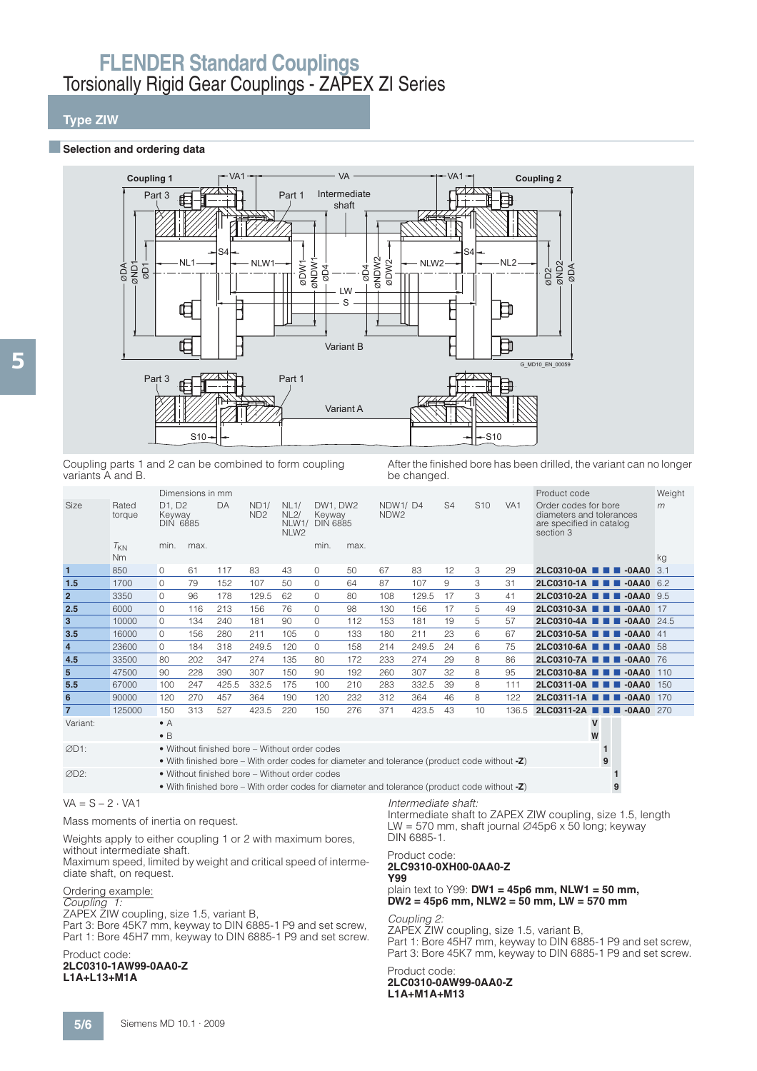## **Type ZIW**

#### $\blacksquare$  Selection and ordering data



Coupling parts 1 and 2 can be combined to form coupling variants A and B.

After the finished bore has been drilled, the variant can no longer be changed.

| Size           | Rated<br>torque       | D1, D2<br>Keyway<br><b>DIN 6885</b> | Dimensions in mm | DA    | ND1/<br>ND <sub>2</sub> | NL1/<br>NL2/<br>NLW1/<br>NLW <sub>2</sub>     | DW1. DW2<br>Keyway<br><b>DIN 6885</b> |      | NDW1/D4<br>NDW <sub>2</sub>                                                                     |       | S <sub>4</sub> | S <sub>10</sub> | VA <sub>1</sub> | Product code<br>Order codes for bore<br>diameters and tolerances<br>are specified in catalog<br>section 3 | Weight<br>m |
|----------------|-----------------------|-------------------------------------|------------------|-------|-------------------------|-----------------------------------------------|---------------------------------------|------|-------------------------------------------------------------------------------------------------|-------|----------------|-----------------|-----------------|-----------------------------------------------------------------------------------------------------------|-------------|
|                | $T_{KN}$<br><b>Nm</b> | min.                                | max.             |       |                         |                                               | min.                                  | max. |                                                                                                 |       |                |                 |                 |                                                                                                           | kg          |
| $\mathbf{1}$   | 850                   | 0                                   | 61               | 117   | 83                      | 43                                            | 0                                     | 50   | 67                                                                                              | 83    | 12             | 3               | 29              | $2LC0310-0A$ $\blacksquare$ $\blacksquare$ $-0AAO$                                                        | 3.1         |
| 1.5            | 1700                  | 0                                   | 79               | 152   | 107                     | 50                                            | 0                                     | 64   | 87                                                                                              | 107   | 9              | 3               | 31              | 2LC0310-1A <b>1 1 -0AA0</b> 6.2                                                                           |             |
| $\overline{2}$ | 3350                  | 0                                   | 96               | 178   | 129.5                   | 62                                            | 0                                     | 80   | 108                                                                                             | 129.5 | 17             | 3               | 41              | 2LC0310-2A <b>1 1 -0AA0</b> 9.5                                                                           |             |
| 2.5            | 6000                  | 0                                   | 116              | 213   | 156                     | 76                                            | 0                                     | 98   | 130                                                                                             | 156   | 17             | 5               | 49              | 2LC0310-3A <b>THE -0AA0</b> 17                                                                            |             |
| 3              | 10000                 | $\Omega$                            | 134              | 240   | 181                     | 90                                            | $\Omega$                              | 112  | 153                                                                                             | 181   | 19             | 5.              | 57              | 2LC0310-4A <b>THE -0AA0</b> 24.5                                                                          |             |
| 3.5            | 16000                 | $\Omega$                            | 156              | 280   | 211                     | 105                                           | $\Omega$                              | 133  | 180                                                                                             | 211   | 23             | 6               | 67              | 2LC0310-5A <b>THE -0AA0</b> 41                                                                            |             |
| $\overline{4}$ | 23600                 | $\Omega$                            | 184              | 318   | 249.5                   | 120                                           | $\Omega$                              | 158  | 214                                                                                             | 249.5 | 24             | 6               | 75              | 2LC0310-6A <b>N N</b> -0AA0 58                                                                            |             |
| 4.5            | 33500                 | 80                                  | 202              | 347   | 274                     | 135                                           | 80                                    | 172  | 233                                                                                             | 274   | 29             | 8               | 86              | 2LC0310-7A <b>1 1 -0AA0</b> 76                                                                            |             |
| ${\bf 5}$      | 47500                 | 90                                  | 228              | 390   | 307                     | 150                                           | 90                                    | 192  | 260                                                                                             | 307   | 32             | 8               | 95              | 2LC0310-8A <b>THE -0AA0</b>                                                                               | 110         |
| 5.5            | 67000                 | 100                                 | 247              | 425.5 | 332.5                   | 175                                           | 100                                   | 210  | 283                                                                                             | 332.5 | 39             | 8               | 111             | 2LC0311-0A <b>THE -0AA0</b>                                                                               | 150         |
| 6              | 90000                 | 120                                 | 270              | 457   | 364                     | 190                                           | 120                                   | 232  | 312                                                                                             | 364   | 46             | 8               | 122             | 2LC0311-1A <b>THE -0AA0</b>                                                                               | 170         |
| $\overline{7}$ | 125000                | 150                                 | 313              | 527   | 423.5                   | 220                                           | 150                                   | 276  | 371                                                                                             | 423.5 | 43             | 10              | 136.5           | 2LC0311-2A ■ ■ ■ -0AA0 270                                                                                |             |
| Variant:       |                       | $\bullet$ A<br>$\bullet$ B          |                  |       |                         |                                               |                                       |      |                                                                                                 |       |                |                 |                 | V<br>W                                                                                                    |             |
| ØD1:           |                       |                                     |                  |       |                         | • Without finished bore - Without order codes |                                       |      | • With finished bore – With order codes for diameter and tolerance (product code without -Z)    |       |                |                 |                 | $\mathbf{1}$<br>9                                                                                         |             |
| ØD2:           |                       |                                     |                  |       |                         | • Without finished bore - Without order codes |                                       |      | • With finished bore – With order codes for diameter and tolerance (product code without $-Z$ ) |       |                |                 |                 | 9                                                                                                         |             |

### $VA = S - 2 \cdot VA1$

Mass moments of inertia on request.

Weights apply to either coupling 1 or 2 with maximum bores,

without intermediate shaft.

Maximum speed, limited by weight and critical speed of intermediate shaft, on request.

### Ordering example:

Coupling 1:

ZAPEX ZIW coupling, size 1.5, variant B,

Part 3: Bore 45K7 mm, keyway to DIN 6885-1 P9 and set screw, Part 1: Bore 45H7 mm, keyway to DIN 6885-1 P9 and set screw.

#### Product code: **2LC0310-1AW99-0AA0-Z L1A+L13+M1A**

Intermediate shaft:

Intermediate shaft to ZAPEX ZIW coupling, size 1.5, length LW = 570 mm, shaft journal  $\varnothing$ 45p6 x 50 long; keyway DIN 6885-1.

#### Product code: **2LC9310-0XH00-0AA0-Z Y99**

plain text to Y99: **DW1 = 45p6 mm, NLW1 = 50 mm, DW2 = 45p6 mm, NLW2 = 50 mm, LW = 570 mm**

#### Coupling 2:

ZAPEX ZIW coupling, size 1.5, variant B, Part 1: Bore 45H7 mm, keyway to DIN 6885-1 P9 and set screw, Part 3: Bore 45K7 mm, keyway to DIN 6885-1 P9 and set screw.

#### Product code: **2LC0310-0AW99-0AA0-Z L1A+M1A+M13**

5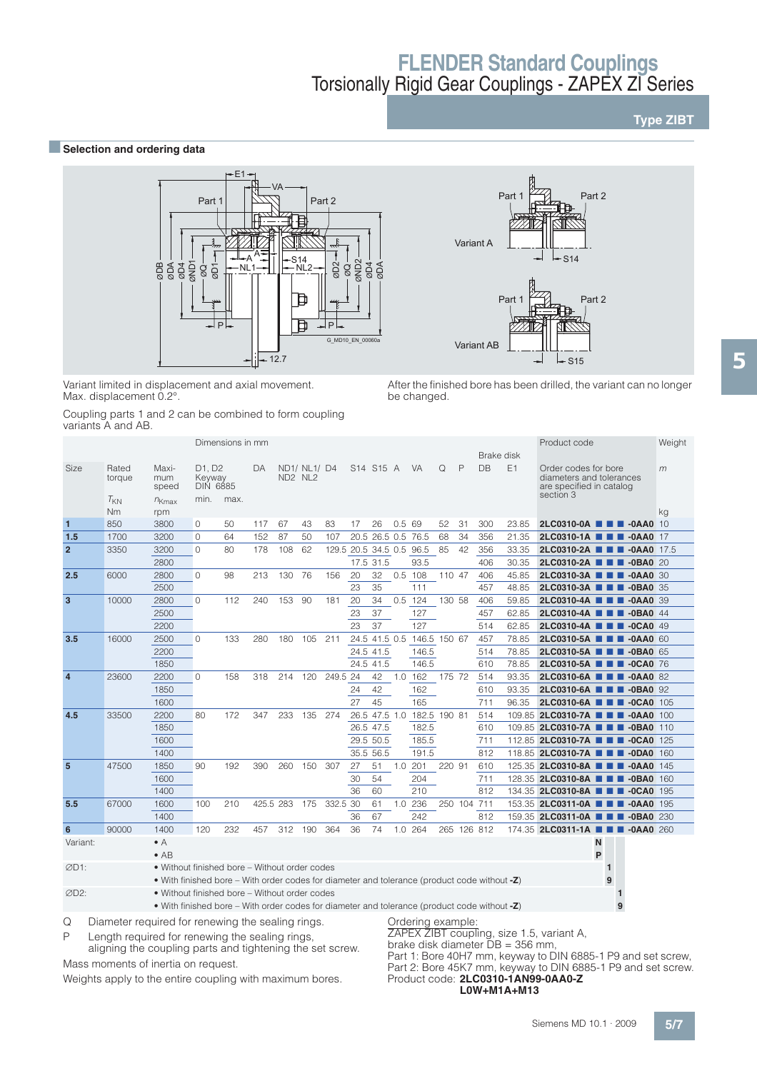### **Type ZIBT**

### **BSelection and ordering data**



Variant limited in displacement and axial movement. Max. displacement 0.2°.

Coupling parts 1 and 2 can be combined to form coupling variants A and AB.

S15 S14 Variant A Part 1  $P\rightarrow$  Part 2

After the finished bore has been drilled, the variant can no longer be changed.

|                  | $val$ ial ito $\sqcap$ al iu $\sqcap\!\sqcup$ . |                                                                                              |                                     |                                                       |           |             |              |          |                          |                    |       |                            |        |             |            |       |                                                                                           |              |        |
|------------------|-------------------------------------------------|----------------------------------------------------------------------------------------------|-------------------------------------|-------------------------------------------------------|-----------|-------------|--------------|----------|--------------------------|--------------------|-------|----------------------------|--------|-------------|------------|-------|-------------------------------------------------------------------------------------------|--------------|--------|
|                  |                                                 |                                                                                              |                                     | Dimensions in mm                                      |           |             |              |          |                          |                    |       |                            |        |             |            |       | Product code                                                                              |              | Weight |
|                  |                                                 |                                                                                              |                                     |                                                       |           |             |              |          |                          |                    |       |                            |        |             | Brake disk |       |                                                                                           |              |        |
| Size             | Rated<br>torque                                 | Maxi-<br>mum<br>speed                                                                        | D1, D2<br>Keyway<br><b>DIN 6885</b> |                                                       | DA        | $ND2$ $NL2$ | ND1/ NL1/ D4 |          |                          | S14 S15 A          |       | <b>VA</b>                  | Q      | P           | DB         | E1    | Order codes for bore<br>diameters and tolerances<br>are specified in catalog<br>section 3 |              | m      |
|                  | $T_{KN}$<br><b>Nm</b>                           | $n_{Kmax}$<br>rpm                                                                            | min.                                | max.                                                  |           |             |              |          |                          |                    |       |                            |        |             |            |       |                                                                                           |              | kg     |
| $\mathbf{1}$     | 850                                             | 3800                                                                                         | 0                                   | 50                                                    | 117       | 67          | 43           | 83       | 17                       | 26                 | 0.569 |                            | 52     | 31          | 300        | 23.85 | 2LC0310-0A <b>N N</b> -0AA0 10                                                            |              |        |
| 1.5              | 1700                                            | 3200                                                                                         | 0                                   | 64                                                    | 152       | 87          | 50           | 107      |                          | 20.5 26.5 0.5 76.5 |       |                            | 68     | 34          | 356        | 21.35 | 2LC0310-1A <b>1 1 4</b> -0AA0 17                                                          |              |        |
| $\overline{2}$   | 3350                                            | 3200                                                                                         | $\Omega$                            | 80                                                    | 178       | 108         | 62           |          | 129.5 20.5 34.5 0.5 96.5 |                    |       |                            | 85     | 42          | 356        | 33.35 | 2LC0310-2A <b>1 1 -0AA0</b> 17.5                                                          |              |        |
|                  |                                                 | 2800                                                                                         |                                     |                                                       |           |             |              |          |                          | 17.5 31.5          |       | 93.5                       |        |             | 406        | 30.35 | 2LC0310-2A <b>N N N</b> -0BA0 20                                                          |              |        |
| 2.5              | 6000                                            | 2800                                                                                         | $\Omega$                            | 98                                                    | 213       | 130         | 76           | 156      | 20                       | 32                 |       | $0.5$ 108                  | 110 47 |             | 406        | 45.85 | 2LC0310-3A ■ ■ ■ -0AA0 30                                                                 |              |        |
|                  |                                                 | 2500                                                                                         |                                     |                                                       |           |             |              |          | 23                       | 35                 |       | 111                        |        |             | 457        | 48.85 | 2LC0310-3A <b>N D D</b> -0BA0 35                                                          |              |        |
| 3                | 10000                                           | 2800                                                                                         | $\Omega$                            | 112                                                   | 240       | 153 90      |              | 181      | 20                       | 34                 |       | $0.5$ 124                  | 130 58 |             | 406        | 59.85 | 2LC0310-4A <b>THE -0AA0 39</b>                                                            |              |        |
|                  |                                                 | 2500                                                                                         |                                     |                                                       |           |             |              |          | 23                       | 37                 |       | 127                        |        |             | 457        | 62.85 | 2LC0310-4A <b>THE -0BA0</b> 44                                                            |              |        |
|                  |                                                 | 2200                                                                                         |                                     |                                                       |           |             |              |          | 23                       | 37                 |       | 127                        |        |             | 514        | 62.85 | 2LC0310-4A <b>III</b> -0CA0 49                                                            |              |        |
| 3.5              | 16000                                           | 2500                                                                                         | $\Omega$                            | 133                                                   | 280       | 180         | 105          | 211      |                          |                    |       | 24.5 41.5 0.5 146.5 150 67 |        |             | 457        | 78.85 | 2LC0310-5A <b>1 1 4</b> -0AA0 60                                                          |              |        |
|                  |                                                 | 2200                                                                                         |                                     |                                                       |           |             |              |          |                          | 24.5 41.5          |       | 146.5                      |        |             | 514        | 78.85 | 2LC0310-5A <b>1 1 -0BA0 65</b>                                                            |              |        |
|                  |                                                 | 1850                                                                                         |                                     |                                                       |           |             |              |          |                          | 24.5 41.5          |       | 146.5                      |        |             | 610        | 78.85 | 2LC0310-5A <b>1 1 -0CA0</b> 76                                                            |              |        |
| $\overline{4}$   | 23600                                           | 2200                                                                                         | $\Omega$                            | 158                                                   | 318       | 214 120     |              | 249.5 24 |                          | 42                 |       | $1.0$ 162                  | 175 72 |             | 514        | 93.35 | 2LC0310-6A <b>N D D</b> -0AA0 82                                                          |              |        |
|                  |                                                 | 1850                                                                                         |                                     |                                                       |           |             |              |          | 24                       | 42                 |       | 162                        |        |             | 610        | 93.35 | 2LC0310-6A <b>1 1 40BA0 92</b>                                                            |              |        |
|                  |                                                 | 1600                                                                                         |                                     |                                                       |           |             |              |          | 27                       | 45                 |       | 165                        |        |             | 711        | 96.35 | 2LC0310-6A <b>1 1 -0CA0</b> 105                                                           |              |        |
| 4.5              | 33500                                           | 2200                                                                                         | 80                                  | 172                                                   | 347       | 233         | 135          | 274      |                          |                    |       | 26.5 47.5 1.0 182.5 190 81 |        |             | 514        |       | 109.85 <b>2LC0310-7A THE -0AA0 100</b>                                                    |              |        |
|                  |                                                 | 1850                                                                                         |                                     |                                                       |           |             |              |          |                          | 26.5 47.5          |       | 182.5                      |        |             | 610        |       | 109.85 2LC0310-7A <b>E E -0BA0</b> 110                                                    |              |        |
|                  |                                                 | 1600                                                                                         |                                     |                                                       |           |             |              |          |                          | 29.5 50.5          |       | 185.5                      |        |             | 711        |       | 112.85 <b>2LC0310-7A N &amp; N +0CA0</b> 125                                              |              |        |
|                  |                                                 | 1400                                                                                         |                                     |                                                       |           |             |              |          |                          | 35.5 56.5          |       | 191.5                      |        |             | 812        |       | 118.85 <b>2LC0310-7A N &amp; B +0DA0</b> 160                                              |              |        |
| $5\overline{5}$  | 47500                                           | 1850                                                                                         | 90                                  | 192                                                   | 390       | 260         | 150          | 307      | 27                       | 51                 |       | 1.0 201                    | 220 91 |             | 610        |       | 125.35 2LC0310-8A <b>1 1 -0AA0</b> 145                                                    |              |        |
|                  |                                                 | 1600                                                                                         |                                     |                                                       |           |             |              |          | 30                       | 54                 |       | 204                        |        |             | 711        |       | 128.35 <b>2LC0310-8A THE -0BA0</b> 160                                                    |              |        |
|                  |                                                 | 1400                                                                                         |                                     |                                                       |           |             |              |          | 36                       | 60                 |       | 210                        |        |             | 812        |       | 134.35 <b>2LC0310-8A III 40CA0</b> 195                                                    |              |        |
| 5.5              | 67000                                           | 1600                                                                                         | 100                                 | 210                                                   | 425.5 283 |             | 175          | 332.5 30 |                          | 61                 |       | 1.0 236                    |        | 250 104 711 |            |       | 153.35 <b>2LC0311-0A T T -0AA0</b> 195                                                    |              |        |
|                  |                                                 | 1400                                                                                         |                                     |                                                       |           |             |              |          | 36                       | 67                 |       | 242                        |        |             | 812        |       | 159.35 <b>2LC0311-0A T T -0BA0</b> 230                                                    |              |        |
| 6                | 90000                                           | 1400                                                                                         | 120                                 | 232                                                   | 457       | 312 190     |              | 364      | 36                       | 74                 |       | 1.0 264                    |        | 265 126 812 |            |       | 174.35 2LC0311-1A <b>E &amp; B -0AA0</b> 260                                              |              |        |
| Variant:         |                                                 | $\bullet$ A                                                                                  |                                     |                                                       |           |             |              |          |                          |                    |       |                            |        |             |            |       |                                                                                           | N            |        |
|                  |                                                 | $\bullet$ AB                                                                                 |                                     |                                                       |           |             |              |          |                          |                    |       |                            |        |             |            |       |                                                                                           | P            |        |
| ØD1:             |                                                 | • Without finished bore – Without order codes                                                |                                     |                                                       |           |             |              |          |                          |                    |       |                            |        |             |            |       |                                                                                           | $\mathbf{1}$ |        |
|                  |                                                 | • With finished bore – With order codes for diameter and tolerance (product code without -Z) |                                     |                                                       |           |             |              |          |                          |                    |       |                            |        |             |            |       |                                                                                           | 9            |        |
| ØD <sub>2:</sub> |                                                 | • Without finished bore – Without order codes                                                |                                     |                                                       |           |             |              |          |                          |                    |       |                            |        |             |            |       |                                                                                           | $\mathbf{1}$ |        |
|                  |                                                 | • With finished bore – With order codes for diameter and tolerance (product code without -Z) |                                     |                                                       |           |             |              |          |                          |                    |       |                            |        |             |            |       |                                                                                           | 9            |        |
|                  |                                                 |                                                                                              |                                     | the first contract of the contract of the contract of |           |             |              |          |                          |                    |       |                            |        |             |            |       |                                                                                           |              |        |

Q Diameter required for renewing the sealing rings.

Ordering example: ZAPEX ZIBT coupling, size 1.5, variant A,

brake disk diameter DB = 356 mm,

P Length required for renewing the sealing rings, aligning the coupling parts and tightening the set screw. Mass moments of inertia on request.

Weights apply to the entire coupling with maximum bores.

Part 1: Bore 40H7 mm, keyway to DIN 6885-1 P9 and set screw, Part 2: Bore 45K7 mm, keyway to DIN 6885-1 P9 and set screw. Product code: **2LC0310-1AN99-0AA0-Z L0W+M1A+M13**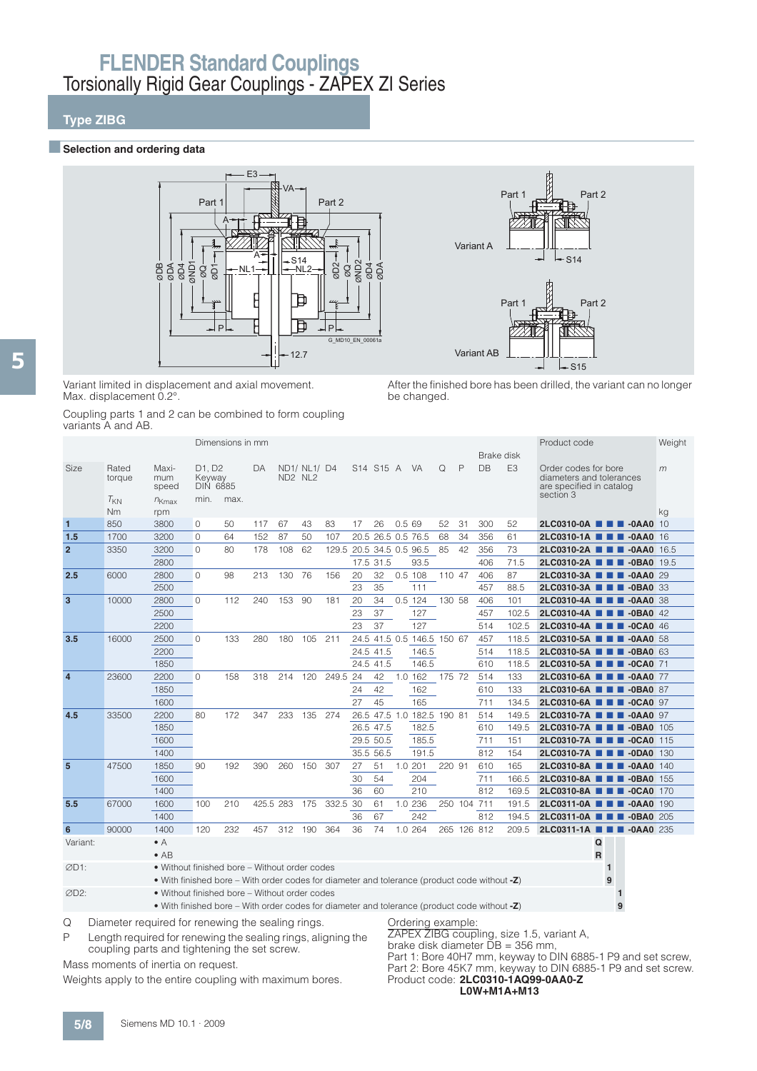## **Type ZIBG**

#### **■Selection and ordering data**





Variant limited in displacement and axial movement. Max. displacement 0.2°.

Coupling parts 1 and 2 can be combined to form coupling variants A and AB.

After the finished bore has been drilled, the variant can no longer be changed.

|                |                                                   |                                                                                                                                               |                                             | Dimensions in mm |           |                                            |              |                          |      |               |       |                            |        |              | Brake disk |                | Product code                                                                              |                   | Weight |
|----------------|---------------------------------------------------|-----------------------------------------------------------------------------------------------------------------------------------------------|---------------------------------------------|------------------|-----------|--------------------------------------------|--------------|--------------------------|------|---------------|-------|----------------------------|--------|--------------|------------|----------------|-------------------------------------------------------------------------------------------|-------------------|--------|
| <b>Size</b>    | Rated<br>torque<br>$T_{KN}$                       | Maxi-<br>mum<br>speed<br>$n_{Kmax}$                                                                                                           | D1, D2<br>Keyway<br><b>DIN 6885</b><br>min. | max.             | DA        | ND <sub>2</sub> N <sub>L<sub>2</sub></sub> | ND1/ NL1/ D4 |                          |      | S14 S15 A VA  |       |                            | Q      | $\mathsf{P}$ | DB         | E <sub>3</sub> | Order codes for bore<br>diameters and tolerances<br>are specified in catalog<br>section 3 |                   | m      |
|                | Nm                                                | rpm                                                                                                                                           |                                             |                  |           |                                            |              |                          |      |               |       |                            |        |              |            |                |                                                                                           |                   | kg     |
| 1              | 850                                               | 3800                                                                                                                                          | 0                                           | 50               | 117       | 67                                         | 43           | 83                       | 17   | 26            | 0.569 |                            | 52     | 31           | 300        | 52             | 2LC0310-0A <b>N N</b> -0AA0 10                                                            |                   |        |
| 1.5            | 1700                                              | 3200                                                                                                                                          | $\circ$                                     | 64               | 152       | 87                                         | 50           | 107                      | 20.5 | 26.5 0.5 76.5 |       |                            | 68     | 34           | 356        | 61             | 2LC0310-1A <b>III</b> -0AA0 16                                                            |                   |        |
| $\overline{2}$ | 3350                                              | 3200                                                                                                                                          | $\Omega$                                    | 80               | 178       | 108                                        | 62           | 129.5 20.5 34.5 0.5 96.5 |      |               |       |                            | 85     | 42           | 356        | 73             | 2LC0310-2A <b>III II</b> -0AA0 16.5                                                       |                   |        |
|                |                                                   | 2800                                                                                                                                          |                                             |                  |           |                                            |              |                          |      | 17.5 31.5     |       | 93.5                       |        |              | 406        | 71.5           | 2LC0310-2A ■ ■ ■ -0BA0 19.5                                                               |                   |        |
| 2.5            | 6000                                              | 2800                                                                                                                                          | $\Omega$                                    | 98               | 213       | 130 76                                     |              | 156                      | 20   | 32            |       | $0.5$ 108                  | 110 47 |              | 406        | 87             | 2LC0310-3A <b>III</b> -0AA0 29                                                            |                   |        |
|                |                                                   | 2500                                                                                                                                          |                                             |                  |           |                                            |              |                          | 23   | 35            |       | 111                        |        |              | 457        | 88.5           | 2LC0310-3A <b>N D D</b> -0BA0 33                                                          |                   |        |
| $\mathbf{3}$   | 10000                                             | 2800                                                                                                                                          | $\Omega$                                    | 112              | 240       | 153                                        | 90           | 181                      | 20   | 34            |       | $0.5$ 124                  | 130 58 |              | 406        | 101            | 2LC0310-4A <b>III</b> -0AA0 38                                                            |                   |        |
|                |                                                   | 2500                                                                                                                                          |                                             |                  |           |                                            |              |                          | 23   | 37            |       | 127                        |        |              | 457        | 102.5          | 2LC0310-4A <b>N D</b> -0BA0 42                                                            |                   |        |
|                |                                                   | 2200                                                                                                                                          |                                             |                  |           |                                            |              |                          | 23   | 37            |       | 127                        |        |              | 514        | 102.5          | 2LC0310-4A <b>III</b> -0CA0 46                                                            |                   |        |
| 3.5            | 16000                                             | 2500                                                                                                                                          | $\circ$                                     | 133              | 280       | 180                                        | 105          | 211                      |      |               |       | 24.5 41.5 0.5 146.5 150 67 |        |              | 457        | 118.5          | 2LC0310-5A <b>1 1 4</b> -0AA0 58                                                          |                   |        |
|                |                                                   | 2200                                                                                                                                          |                                             |                  |           |                                            |              |                          |      | 24.5 41.5     |       | 146.5                      |        |              | 514        | 118.5          | 2LC0310-5A <b>III</b> -0BA0 63                                                            |                   |        |
|                |                                                   | 1850                                                                                                                                          |                                             |                  |           |                                            |              |                          |      | 24.5 41.5     |       | 146.5                      |        |              | 610        | 118.5          | 2LC0310-5A ■ ■ ■ -0CA0 71                                                                 |                   |        |
| $\overline{4}$ | 23600                                             | 2200                                                                                                                                          | $\Omega$                                    | 158              | 318       | 214                                        | 120          | 249.5 24                 |      | 42            |       | 1.0 162                    | 175 72 |              | 514        | 133            | 2LC0310-6A ■ ■ ■ -0AA0 77                                                                 |                   |        |
|                |                                                   | 1850                                                                                                                                          |                                             |                  |           |                                            |              |                          | 24   | 42            |       | 162                        |        |              | 610        | 133            | 2LC0310-6A <b>N D D</b> -0BA0 87                                                          |                   |        |
|                |                                                   | 1600                                                                                                                                          |                                             |                  |           |                                            |              |                          | 27   | 45            |       | 165                        |        |              | 711        | 134.5          | 2LC0310-6A <b>III</b> -0CA0 97                                                            |                   |        |
| 4.5            | 33500                                             | 2200                                                                                                                                          | 80                                          | 172              | 347       | 233                                        | 135          | 274                      |      |               |       | 26.5 47.5 1.0 182.5 190 81 |        |              | 514        | 149.5          | 2LC0310-7A <b>III</b> -0AA0 97                                                            |                   |        |
|                |                                                   | 1850                                                                                                                                          |                                             |                  |           |                                            |              |                          |      | 26.5 47.5     |       | 182.5                      |        |              | 610        | 149.5          | 2LC0310-7A <b>1 1 -0BA0</b> 105                                                           |                   |        |
|                |                                                   | 1600                                                                                                                                          |                                             |                  |           |                                            |              |                          |      | 29.5 50.5     |       | 185.5                      |        |              | 711        | 151            | 2LC0310-7A <b>1 1 4CA0</b> 115                                                            |                   |        |
|                |                                                   | 1400                                                                                                                                          |                                             |                  |           |                                            |              |                          |      | 35.5 56.5     |       | 191.5                      |        |              | 812        | 154            | 2LC0310-7A <b>1 1 -0DA0</b> 130                                                           |                   |        |
| 5              | 47500                                             | 1850                                                                                                                                          | 90                                          | 192              | 390       | 260                                        | 150          | 307                      | 27   | 51            |       | 1.0 201                    | 220 91 |              | 610        | 165            | 2LC0310-8A <b>III</b> -0AA0 140                                                           |                   |        |
|                |                                                   | 1600                                                                                                                                          |                                             |                  |           |                                            |              |                          | 30   | 54            |       | 204                        |        |              | 711        | 166.5          | 2LC0310-8A <b>N D</b> -0BA0 155                                                           |                   |        |
|                |                                                   | 1400                                                                                                                                          |                                             |                  |           |                                            |              |                          | 36   | 60            |       | 210                        |        |              | 812        | 169.5          | 2LC0310-8A <b>III</b> -0CA0 170                                                           |                   |        |
| 5.5            | 67000                                             | 1600                                                                                                                                          | 100                                         | 210              | 425.5 283 |                                            | 175          | 332.5 30                 |      | 61            |       | 1.0 236                    |        | 250 104 711  |            | 191.5          | 2LC0311-0A <b>N N</b> -0AA0 190                                                           |                   |        |
|                |                                                   | 1400                                                                                                                                          |                                             |                  |           |                                            |              |                          | 36   | 67            |       | 242                        |        |              | 812        | 194.5          | 2LC0311-0A <b>III II</b> -0BA0 205                                                        |                   |        |
| 6              | 90000                                             | 1400                                                                                                                                          | 120                                         | 232              | 457       | 312 190                                    |              | 364                      | 36   | 74            |       | 1.0 264                    |        | 265 126 812  |            | 209.5          | 2LC0311-1A ■ ■ ■ -0AA0 235                                                                |                   |        |
| Variant:       |                                                   | $\bullet$ A<br>$\bullet$ AB                                                                                                                   |                                             |                  |           |                                            |              |                          |      |               |       |                            |        |              |            |                |                                                                                           | Q<br>$\mathsf R$  |        |
| ØD1:           |                                                   | • Without finished bore – Without order codes<br>• With finished bore – With order codes for diameter and tolerance (product code without -Z) |                                             |                  |           |                                            |              |                          |      |               |       |                            |        |              |            |                |                                                                                           | $\mathbf{1}$<br>9 |        |
| ØD2:           |                                                   | • Without finished bore – Without order codes<br>• With finished bore – With order codes for diameter and tolerance (product code without -Z) |                                             |                  |           |                                            |              |                          |      |               |       |                            |        |              |            |                |                                                                                           | 9                 |        |
| Q              | Diameter required for renewing the sealing rings. |                                                                                                                                               |                                             |                  |           |                                            |              |                          |      |               |       | Ordering example:          |        |              |            |                | 7APEX 7IBG coupling size 1.5 variant A                                                    |                   |        |

P Length required for renewing the sealing rings, aligning the coupling parts and tightening the set screw.

Mass moments of inertia on request.

Weights apply to the entire coupling with maximum bores.

coupling, size 1.5, variant A, brake disk diameter DB = 356 mm,

Part 1: Bore 40H7 mm, keyway to DIN 6885-1 P9 and set screw, Part 2: Bore 45K7 mm, keyway to DIN 6885-1 P9 and set screw. Product code: **2LC0310-1AQ99-0AA0-Z L0W+M1A+M13**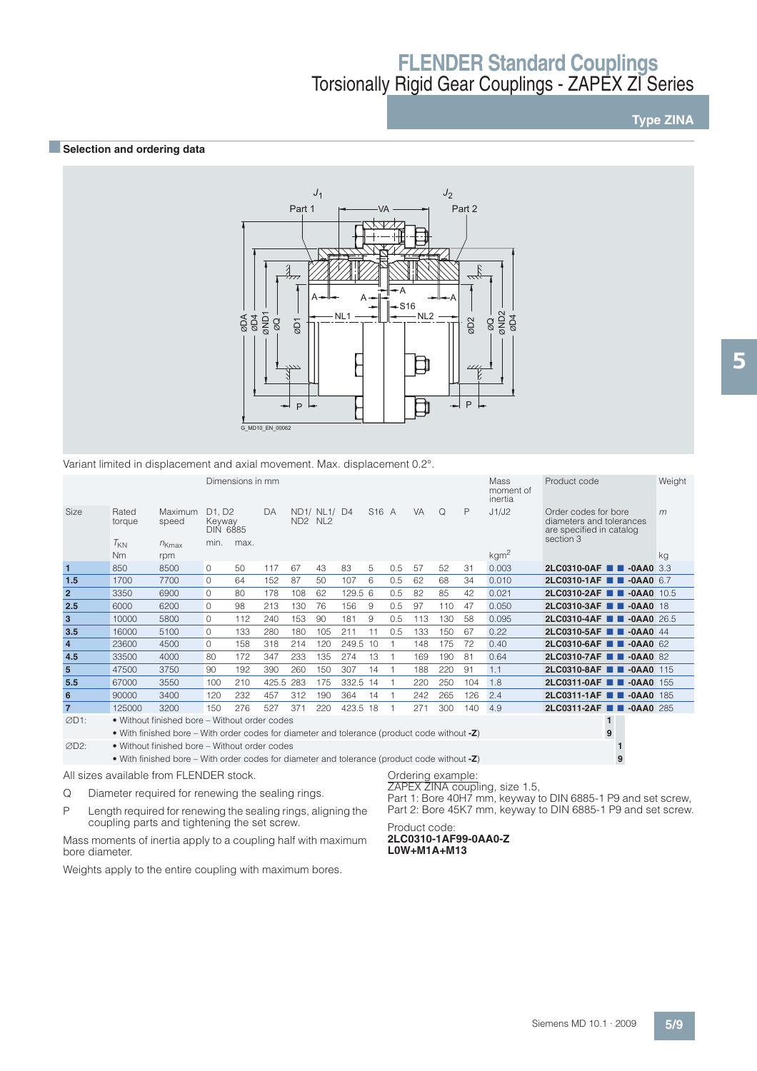**Type ZINA**

### **BSelection and ordering data**



Variant limited in displacement and axial movement. Max. displacement 0.2°.

|                |                 |                                                                                              |                                                              | Dimensions in mm |       |                                 |              |          |                   |     |           |          |     | <b>Mass</b><br>moment of<br>inertia | Product code                                                                              | Weight |
|----------------|-----------------|----------------------------------------------------------------------------------------------|--------------------------------------------------------------|------------------|-------|---------------------------------|--------------|----------|-------------------|-----|-----------|----------|-----|-------------------------------------|-------------------------------------------------------------------------------------------|--------|
| Size           | Rated<br>torque | Maximum<br>speed                                                                             | D <sub>1</sub> . D <sub>2</sub><br>Keyway<br><b>DIN 6885</b> |                  | DA    | ND <sub>2</sub> NL <sub>2</sub> | ND1/ NL1/ D4 |          | S <sub>16</sub> A |     | <b>VA</b> | $\Omega$ | P   | J1/J2                               | Order codes for bore<br>diameters and tolerances<br>are specified in catalog<br>section 3 | m      |
|                | $T_{KN}$<br>Nm  | $n_{Kmax}$<br>rpm                                                                            | min.                                                         | max.             |       |                                 |              |          |                   |     |           |          |     | kgm <sup>2</sup>                    |                                                                                           | kg     |
| $\mathbf{1}$   | 850             | 8500                                                                                         | $\Omega$                                                     | 50               | 117   | 67                              | 43           | 83       | 5                 | 0.5 | 57        | 52       | 31  | 0.003                               | 2LC0310-0AF <b>1 -0AA0</b> 3.3                                                            |        |
| 1.5            | 1700            | 7700                                                                                         | $\Omega$                                                     | 64               | 152   | 87                              | 50           | 107      | 6                 | 0.5 | 62        | 68       | 34  | 0.010                               | $2LC0310-1AF$ $\blacksquare$<br>$-0$ AA0 6.7                                              |        |
| $\overline{2}$ | 3350            | 6900                                                                                         | $\Omega$                                                     | 80               | 178   | 108                             | 62           | 129.5 6  |                   | 0.5 | 82        | 85       | 42  | 0.021                               | 2LC0310-2AF ■■<br>$-0$ AA0 $10.5$                                                         |        |
| 2.5            | 6000            | 6200                                                                                         | $\Omega$                                                     | 98               | 213   | 130                             | 76           | 156      | 9                 | 0.5 | 97        | 110      | 47  | 0.050                               | 2LC0310-3AF <b>1 4</b> -0AA0 18                                                           |        |
| 3              | 10000           | 5800                                                                                         | 0                                                            | 112              | 240   | 153                             | 90           | 181      | 9                 | 0.5 | 113       | 130      | 58  | 0.095                               | 2LC0310-4AF <b>T</b> -0AA0 26.5                                                           |        |
| 3.5            | 16000           | 5100                                                                                         | $\Omega$                                                     | 133              | 280   | 180                             | 105          | 211      | 11                | 0.5 | 133       | 150      | 67  | 0.22                                | $2LC0310-5AF$<br>$-0$ AA $0$ 44                                                           |        |
| $\overline{4}$ | 23600           | 4500                                                                                         | $\Omega$                                                     | 158              | 318   | 214                             | 120          | 249.5    | 10                |     | 148       | 175      | 72  | 0.40                                | 2LC0310-6AF <b>1 -0AA0</b> 62                                                             |        |
| 4.5            | 33500           | 4000                                                                                         | 80                                                           | 172              | 347   | 233                             | 135          | 274      | 13                |     | 169       | 190      | 81  | 0.64                                | 2LC0310-7AF<br>$-0AAA0$ 82                                                                |        |
| $5\phantom{1}$ | 47500           | 3750                                                                                         | 90                                                           | 192              | 390   | 260                             | 150          | 307      | 14                |     | 188       | 220      | 91  | 1.1                                 | 2LC0310-8AF <b>B</b> -0AA0 115                                                            |        |
| 5.5            | 67000           | 3550                                                                                         | 100                                                          | 210              | 425.5 | 283                             | 175          | 332.5 14 |                   |     | 220       | 250      | 104 | 1.8                                 | 2LC0311-0AF <b>1 -0AA0</b> 155                                                            |        |
| 6              | 90000           | 3400                                                                                         | 120                                                          | 232              | 457   | 312                             | 190          | 364      | 14                |     | 242       | 265      | 126 | 2.4                                 | $2LC0311-1AF$ $\blacksquare$<br>$-0$ AA0 185                                              |        |
| $\overline{7}$ | 125000          | 3200                                                                                         | 150                                                          | 276              | 527   | 371                             | 220          | 423.5 18 |                   |     | 271       | 300      | 140 | 4.9                                 | 2LC0311-2AF <b>TH</b> -0AA0 285                                                           |        |
| ØD1:           |                 | • Without finished bore - Without order codes                                                |                                                              |                  |       |                                 |              |          |                   |     |           |          |     |                                     | $\mathbf{1}$                                                                              |        |
|                |                 | • With finished bore – With order codes for diameter and tolerance (product code without -Z) |                                                              |                  |       |                                 |              |          |                   |     |           |          |     |                                     | 9                                                                                         |        |
| ØD2:           |                 | • Without finished bore - Without order codes                                                |                                                              |                  |       |                                 |              |          |                   |     |           |          |     |                                     |                                                                                           |        |
|                |                 | • With finished bore – With order codes for diameter and tolerance (product code without -Z) |                                                              |                  |       |                                 |              |          |                   |     |           |          |     |                                     | 9                                                                                         |        |

All sizes available from FLENDER stock.

- Q Diameter required for renewing the sealing rings.
- P Length required for renewing the sealing rings, aligning the coupling parts and tightening the set screw.

Mass moments of inertia apply to a coupling half with maximum bore diameter.

Weights apply to the entire coupling with maximum bores.

### Ordering example:

ZAPEX ZINA coupling, size 1.5,

Part 1: Bore 40H7 mm, keyway to DIN 6885-1 P9 and set screw, Part 2: Bore 45K7 mm, keyway to DIN 6885-1 P9 and set screw.

#### Product code: **2LC0310-1AF99-0AA0-Z L0W+M1A+M13**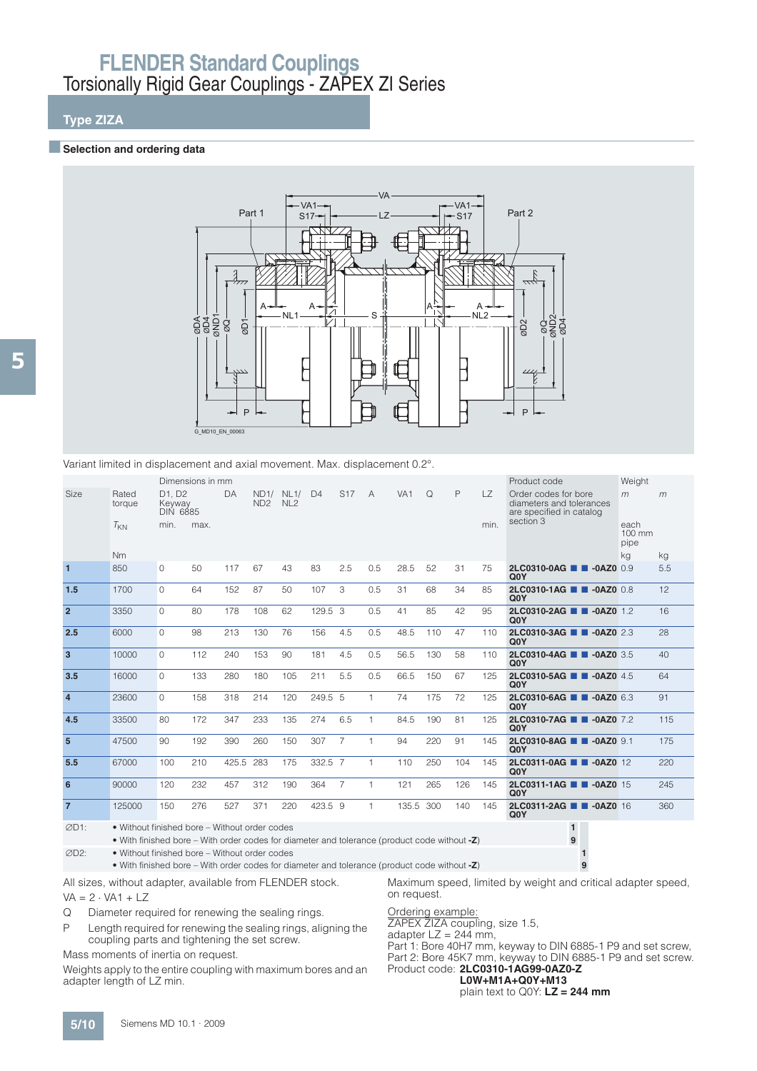## **Type ZIZA**

#### **Exercise Selection and ordering data**



Variant limited in displacement and axial movement. Max. displacement 0.2°.

|                |                 |                                     | Dimensions in mm |       |                         |                         |                |                 |              |                 |     |     |           | Product code                                                                 | Weight                           |     |
|----------------|-----------------|-------------------------------------|------------------|-------|-------------------------|-------------------------|----------------|-----------------|--------------|-----------------|-----|-----|-----------|------------------------------------------------------------------------------|----------------------------------|-----|
| <b>Size</b>    | Rated<br>torque | D1. D2<br>Keyway<br><b>DIN 6885</b> |                  | DA    | ND1/<br>ND <sub>2</sub> | NL1/<br>NL <sub>2</sub> | D <sub>4</sub> | S <sub>17</sub> | A            | VA <sub>1</sub> | Q   | P   | <b>LZ</b> | Order codes for bore<br>diameters and tolerances<br>are specified in catalog | m                                | m   |
|                | $T_{KN}$        | min.                                | max.             |       |                         |                         |                |                 |              |                 |     |     | min.      | section 3                                                                    | each<br>$100 \text{ mm}$<br>pipe |     |
|                | <b>Nm</b>       |                                     |                  |       |                         |                         |                |                 |              |                 |     |     |           |                                                                              | kg                               | kg  |
| $\mathbf{1}$   | 850             | $\Omega$                            | 50               | 117   | 67                      | 43                      | 83             | 2.5             | 0.5          | 28.5            | 52  | 31  | 75        | 2LC0310-0AG <b>1 -0AZ0</b> 0.9<br>Q <sub>0</sub> Y                           |                                  | 5.5 |
| 1.5            | 1700            | $\Omega$                            | 64               | 152   | 87                      | 50                      | 107            | 3               | 0.5          | 31              | 68  | 34  | 85        | 2LC0310-1AG 2-0AZ0 0.8<br>Q <sub>0</sub> Y                                   |                                  | 12  |
| $\overline{2}$ | 3350            | $\Omega$                            | 80               | 178   | 108                     | 62                      | 129.5 3        |                 | 0.5          | 41              | 85  | 42  | 95        | 2LC0310-2AG 2 -0AZ0 1.2<br>Q <sub>0</sub> Y                                  |                                  | 16  |
| 2.5            | 6000            | $\Omega$                            | 98               | 213   | 130                     | 76                      | 156            | 4.5             | 0.5          | 48.5            | 110 | 47  | 110       | 2LC0310-3AG <b>1 4 -0AZ0</b> 2.3<br>Q <sub>0</sub> Y                         |                                  | 28  |
| $\overline{3}$ | 10000           | $\Omega$                            | 112              | 240   | 153                     | 90                      | 181            | 4.5             | 0.5          | 56.5            | 130 | 58  | 110       | 2LC0310-4AG <b>1 -0AZ0</b> 3.5<br>Q <sub>0</sub> Y                           |                                  | 40  |
| 3.5            | 16000           | $\Omega$                            | 133              | 280   | 180                     | 105                     | 211            | 5.5             | 0.5          | 66.5            | 150 | 67  | 125       | 2LC0310-5AG 2-0AZ0 4.5<br>Q <sub>0</sub> Y                                   |                                  | 64  |
| $\overline{4}$ | 23600           | $\Omega$                            | 158              | 318   | 214                     | 120                     | 249.5 5        |                 | $\mathbf{1}$ | 74              | 175 | 72  | 125       | 2LC0310-6AG <b>1 -0AZ0</b> 6.3<br>Q <sub>0</sub> Y                           |                                  | 91  |
| 4.5            | 33500           | 80                                  | 172              | 347   | 233                     | 135                     | 274            | 6.5             | 1            | 84.5            | 190 | 81  | 125       | 2LC0310-7AG 2-0AZ0 7.2<br>Q <sub>0</sub> Y                                   |                                  | 115 |
| 5              | 47500           | 90                                  | 192              | 390   | 260                     | 150                     | 307            | 7               | $\mathbf{1}$ | 94              | 220 | 91  | 145       | 2LC0310-8AG <b>1 -0AZ0</b> 9.1<br>Q <sub>0</sub> Y                           |                                  | 175 |
| 5.5            | 67000           | 100                                 | 210              | 425.5 | 283                     | 175                     | 332.5 7        |                 | 1            | 110             | 250 | 104 | 145       | 2LC0311-0AG 2 -0AZ0 12<br>Q <sub>0</sub> Y                                   |                                  | 220 |
| 6              | 90000           | 120                                 | 232              | 457   | 312                     | 190                     | 364            | $\overline{7}$  | 1            | 121             | 265 | 126 | 145       | 2LC0311-1AG <b>1 -0AZ0</b> 15<br>Q <sub>0</sub> Y                            |                                  | 245 |
| $\overline{7}$ | 125000          | 150                                 | 276              | 527   | 371                     | 220                     | 423.5 9        |                 | 1            | 135.5           | 300 | 140 | 145       | 2LC0311-2AG <b>1 -0AZ0</b> 16<br>Q <sub>0</sub> Y                            |                                  | 360 |

D1: • Without finished bore – Without order codes **1**

• With finished bore – With order codes for diameter and tolerance (product code without **-Z**) **9**

D2: • Without finished bore – Without order codes **1**

• With finished bore – With order codes for diameter and tolerance (product code without **-Z**) **9**

All sizes, without adapter, available from FLENDER stock.

 $VA = 2 \cdot VA1 + LZ$ 

Q Diameter required for renewing the sealing rings.

P Length required for renewing the sealing rings, aligning the coupling parts and tightening the set screw.

Mass moments of inertia on request.

Weights apply to the entire coupling with maximum bores and an adapter length of LZ min.

#### Ordering example:

on request.

ZAPEX ZIZA coupling, size 1.5,

adapter  $LZ = 244$  mm,

Part 1: Bore 40H7 mm, keyway to DIN 6885-1 P9 and set screw, Part 2: Bore 45K7 mm, keyway to DIN 6885-1 P9 and set screw. Product code: **2LC0310-1AG99-0AZ0-Z**

Maximum speed, limited by weight and critical adapter speed,

**L0W+M1A+Q0Y+M13** plain text to Q0Y: **LZ = 244 mm**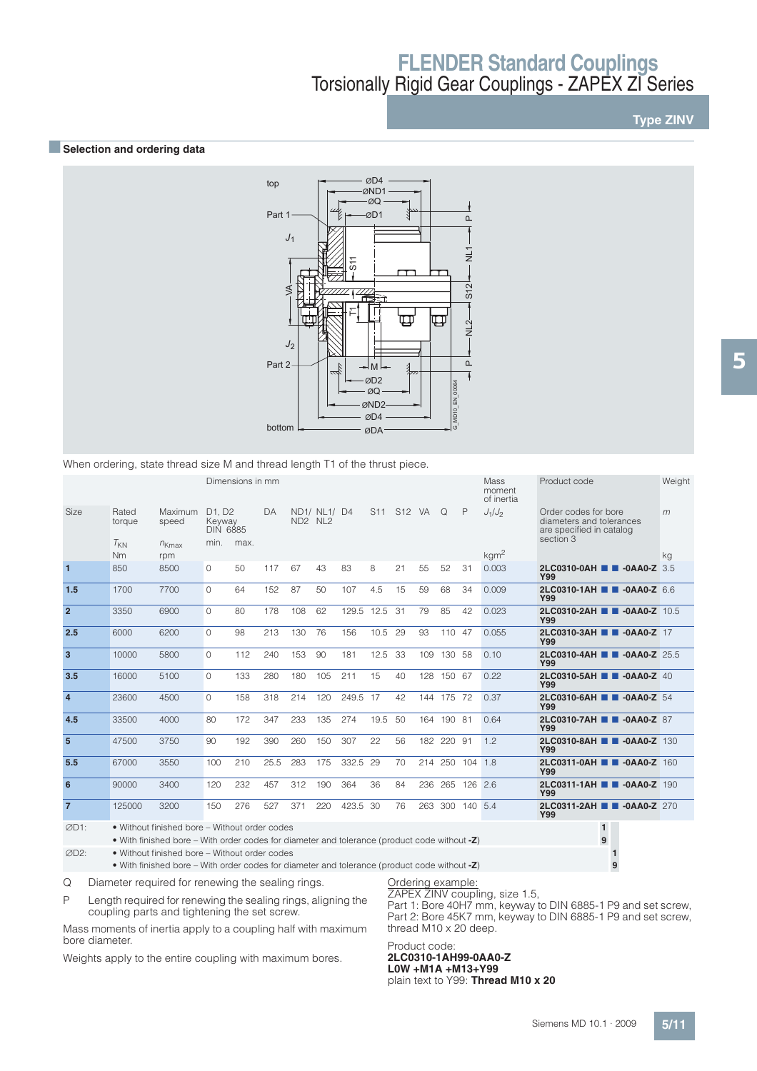**Type ZINV**

#### **■Selection and ordering data**



When ordering, state thread size M and thread length T1 of the thrust piece.

|                         |                       |                   |                                     | Dimensions in mm |      |           |              |       |                 |        |     |             |         | Mass<br>moment<br>of inertia | Product code                                                                              | Weight |
|-------------------------|-----------------------|-------------------|-------------------------------------|------------------|------|-----------|--------------|-------|-----------------|--------|-----|-------------|---------|------------------------------|-------------------------------------------------------------------------------------------|--------|
| Size                    | Rated<br>torque       | Maximum<br>speed  | D1, D2<br>Keyway<br><b>DIN 6885</b> |                  | DA   | $ND2$ NL2 | ND1/ NL1/ D4 |       | S <sub>11</sub> | S12 VA |     | $\Omega$    | P       | $J_1/J_2$                    | Order codes for bore<br>diameters and tolerances<br>are specified in catalog<br>section 3 | m      |
|                         | $T_{KN}$<br><b>Nm</b> | $n_{Kmax}$<br>rpm | min.                                | max.             |      |           |              |       |                 |        |     |             |         | kgm <sup>2</sup>             |                                                                                           | kg     |
| $\mathbf{1}$            | 850                   | 8500              | $\Omega$                            | 50               | 117  | 67        | 43           | 83    | 8               | 21     | 55  | 52          | 31      | 0.003                        | 2LC0310-0AH 2-0AA0-Z 3.5<br><b>Y99</b>                                                    |        |
| 1.5                     | 1700                  | 7700              | $\Omega$                            | 64               | 152  | 87        | 50           | 107   | 4.5             | 15     | 59  | 68          | 34      | 0.009                        | 2LC0310-1AH 2-0AA0-Z 6.6<br><b>Y99</b>                                                    |        |
| $\overline{2}$          | 3350                  | 6900              | $\Omega$                            | 80               | 178  | 108       | 62           | 129.5 | 12.5            | 31     | 79  | 85          | 42      | 0.023                        | 2LC0310-2AH <b>1 -0AA0-Z</b> 10.5<br>Y99                                                  |        |
| 2.5                     | 6000                  | 6200              | $\Omega$                            | 98               | 213  | 130       | 76           | 156   | 10.5            | 29     | 93  | 110 47      |         | 0.055                        | 2LC0310-3AH 2 -0AA0-Z 17<br><b>Y99</b>                                                    |        |
| $\overline{\mathbf{3}}$ | 10000                 | 5800              | $\Omega$                            | 112              | 240  | 153       | 90           | 181   | 12.5            | -33    | 109 | 130 58      |         | 0.10                         | 2LC0310-4AH <b>B</b> -0AA0-Z 25.5<br><b>Y99</b>                                           |        |
| 3.5                     | 16000                 | 5100              | $\Omega$                            | 133              | 280  | 180       | 105          | 211   | 15              | 40     | 128 | 150 67      |         | 0.22                         | 2LC0310-5AH 2 -0AA0-Z 40<br>Y99                                                           |        |
| $\overline{4}$          | 23600                 | 4500              | $\Omega$                            | 158              | 318  | 214       | 120          | 249.5 | 17              | 42     | 144 | 175 72      |         | 0.37                         | 2LC0310-6AH <b>1 -0AA0-Z</b> 54<br><b>Y99</b>                                             |        |
| 4.5                     | 33500                 | 4000              | 80                                  | 172              | 347  | 233       | 135          | 274   | 19.5            | 50     | 164 | 190 81      |         | 0.64                         | 2LC0310-7AH 2 -0AA0-Z 87<br><b>Y99</b>                                                    |        |
| 5                       | 47500                 | 3750              | 90                                  | 192              | 390  | 260       | 150          | 307   | 22              | 56     | 182 | 220 91      |         | 1.2                          | 2LC0310-8AH 2-0AA0-Z 130<br><b>Y99</b>                                                    |        |
| 5.5                     | 67000                 | 3550              | 100                                 | 210              | 25.5 | 283       | 175          | 332.5 | 29              | 70     |     | 214 250 104 |         | 1.8                          | 2LC0311-0AH <b>N</b> -0AA0-Z 160<br><b>Y99</b>                                            |        |
| 6                       | 90000                 | 3400              | 120                                 | 232              | 457  | 312       | 190          | 364   | 36              | 84     | 236 | 265         | 126 2.6 |                              | 2LC0311-1AH 2 -0AA0-Z 190<br><b>Y99</b>                                                   |        |
| $\overline{7}$          | 125000                | 3200              | 150                                 | 276              | 527  | 371       | 220          | 423.5 | 30              | 76     | 263 | 300         | 140     | 5.4                          | 2LC0311-2AH 2 -0AA0-Z 270<br><b>Y99</b>                                                   |        |

D1: • Without finished bore – Without order codes **1**

• With finished bore – With order codes for diameter and tolerance (product code without **-Z**) **9**

D2: • Without finished bore – Without order codes **1**

• With finished bore – With order codes for diameter and tolerance (product code without **-Z**) **9**

Q Diameter required for renewing the sealing rings.

P Length required for renewing the sealing rings, aligning the coupling parts and tightening the set screw.

Mass moments of inertia apply to a coupling half with maximum bore diameter.

Weights apply to the entire coupling with maximum bores.

Ordering example:

ZAPEX ZINV coupling, size 1.5, Part 1: Bore 40H7 mm, keyway to DIN 6885-1 P9 and set screw, Part 2: Bore 45K7 mm, keyway to DIN 6885-1 P9 and set screw, thread M10 x 20 deep.

### Product code: **2LC0310-1AH99-0AA0-Z L0W +M1A +M13+Y99**

plain text to Y99: **Thread M10 x 20**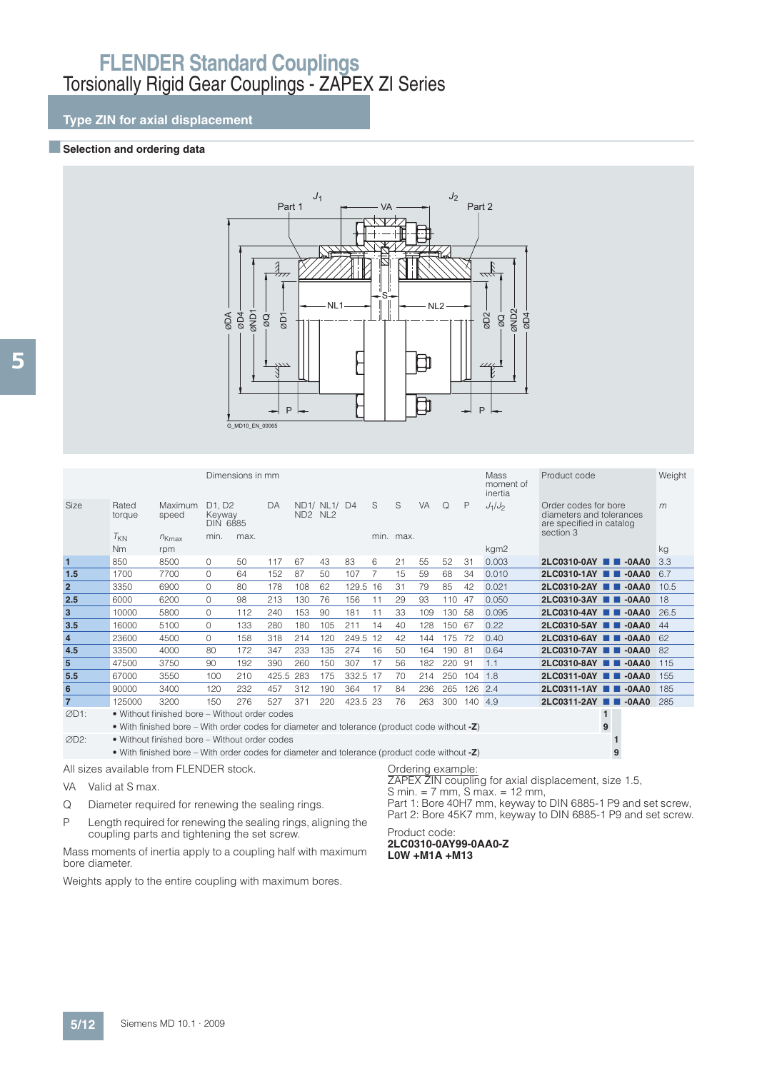## **Type ZIN for axial displacement**

#### **Exercise Selection and ordering data**



|                                         |                       |                                                                                                 |                                                                      | Dimensions in mm |           |                 |                                 |          |    |                                |           |     |     | <b>Mass</b><br>moment of<br>inertia | Product code                                                                              | Weight |
|-----------------------------------------|-----------------------|-------------------------------------------------------------------------------------------------|----------------------------------------------------------------------|------------------|-----------|-----------------|---------------------------------|----------|----|--------------------------------|-----------|-----|-----|-------------------------------------|-------------------------------------------------------------------------------------------|--------|
| Size                                    | Rated<br>torque       | Maximum<br>speed                                                                                | D <sub>1</sub> . D <sub>2</sub><br>Keyway<br><b>DIN 6885</b><br>min. | max.             | DA        | ND <sub>2</sub> | ND1/ NL1/ D4<br>NL <sub>2</sub> |          | S  | S<br>min. max.                 | <b>VA</b> | Q   | P   | $J_1/J_2$                           | Order codes for bore<br>diameters and tolerances<br>are specified in catalog<br>section 3 | m      |
|                                         | $T_{KN}$<br><b>Nm</b> | $n_{Kmax}$<br>rpm                                                                               |                                                                      |                  |           |                 |                                 |          |    |                                |           |     |     | kgm2                                |                                                                                           | kg     |
| $\mathbf{1}$                            | 850                   | 8500                                                                                            | $\Omega$                                                             | 50               | 117       | 67              | 43                              | 83       | 6  | 21                             | 55        | 52  | 31  | 0.003                               | 2LC0310-0AY <b>2D</b> -0AA0                                                               | 3.3    |
| 1.5                                     | 1700                  | 7700                                                                                            | $\Omega$                                                             | 64               | 152       | 87              | 50                              | 107      | 7  | 15                             | 59        | 68  | 34  | 0.010                               | 2LC0310-1AY <b>2D</b> -0AA0                                                               | 6.7    |
| $\overline{2}$                          | 3350                  | 6900                                                                                            | $\Omega$                                                             | 80               | 178       | 108             | 62                              | 129.5 16 |    | 31                             | 79        | 85  | 42  | 0.021                               | 2LC0310-2AY <b>2D</b> -0AA0                                                               | 10.5   |
| 2.5                                     | 6000                  | 6200                                                                                            | $\Omega$                                                             | 98               | 213       | 130             | 76                              | 156      | 11 | 29                             | 93        | 110 | 47  | 0.050                               | 2LC0310-3AY 2 -0AA0                                                                       | 18     |
| 3                                       | 10000                 | 5800                                                                                            | $\Omega$                                                             | 112              | 240       | 153             | 90                              | 181      | 11 | 33                             | 109       | 130 | 58  | 0.095                               | 2LC0310-4AY <b>2D</b> -0AA0                                                               | 26.5   |
| 3.5                                     | 16000                 | 5100                                                                                            | $\Omega$                                                             | 133              | 280       | 180             | 105                             | 211      | 14 | 40                             | 128       | 150 | 67  | 0.22                                | 2LC0310-5AY <b>N</b><br>$-0AA0$                                                           | 44     |
| $\overline{4}$                          | 23600                 | 4500                                                                                            | $\Omega$                                                             | 158              | 318       | 214             | 120                             | 249.5    | 12 | 42                             | 144       | 175 | 72  | 0.40                                | 2LC0310-6AY <b>2D</b> -0AA0                                                               | 62     |
| 4.5                                     | 33500                 | 4000                                                                                            | 80                                                                   | 172              | 347       | 233             | 135                             | 274      | 16 | 50                             | 164       | 190 | 81  | 0.64                                | 2LC0310-7AY <b>2D</b> -0AA0                                                               | 82     |
| 5                                       | 47500                 | 3750                                                                                            | 90                                                                   | 192              | 390       | 260             | 150                             | 307      | 17 | 56                             | 182       | 220 | 91  | 1.1                                 | 2LC0310-8AY <b>2D</b> -0AA0                                                               | 115    |
| 5.5                                     | 67000                 | 3550                                                                                            | 100                                                                  | 210              | 425.5 283 |                 | 175                             | 332.5 17 |    | 70                             | 214       | 250 | 104 | 1.8                                 | 2LC0311-0AY <b>N</b><br>$-0AA0$                                                           | 155    |
| 6                                       | 90000                 | 3400                                                                                            | 120                                                                  | 232              | 457       | 312             | 190                             | 364      | 17 | 84                             | 236       | 265 | 126 | 2.4                                 | 2LC0311-1AY <b>2D</b> -0AA0                                                               | 185    |
| $\overline{7}$                          | 125000                | 3200                                                                                            | 150                                                                  | 276              | 527       | 371             | 220                             | 423.5 23 |    | 76                             | 263       | 300 | 140 | 4.9                                 | 2LC0311-2AY <b>N</b> -0AA0                                                                | 285    |
| ØD1:                                    |                       | • Without finished bore - Without order codes                                                   |                                                                      |                  |           |                 |                                 |          |    |                                |           |     |     |                                     | $\mathbf{1}$                                                                              |        |
|                                         |                       | • With finished bore – With order codes for diameter and tolerance (product code without -Z)    |                                                                      |                  |           |                 |                                 |          |    |                                |           |     |     |                                     | 9                                                                                         |        |
| ØD2:                                    |                       | • Without finished bore – Without order codes                                                   |                                                                      |                  |           |                 |                                 |          |    |                                |           |     |     |                                     |                                                                                           |        |
|                                         |                       | • With finished bore – With order codes for diameter and tolerance (product code without $-Z$ ) |                                                                      |                  |           |                 |                                 |          |    |                                |           |     |     |                                     | 9                                                                                         |        |
| All sizes available from FLENDER stock. |                       |                                                                                                 |                                                                      |                  |           |                 |                                 |          |    | Ordering example:<br>710017711 |           |     |     | $\sim$<br>.                         |                                                                                           |        |

- VA Valid at S max.
- Q Diameter required for renewing the sealing rings.
- P Length required for renewing the sealing rings, aligning the coupling parts and tightening the set screw.

Mass moments of inertia apply to a coupling half with maximum bore diameter.

Weights apply to the entire coupling with maximum bores.

ZAPEX ZIN coupling for axial displacement, size 1.5,  $S min. = 7 mm, S max. = 12 mm,$ 

Part 1: Bore 40H7 mm, keyway to DIN 6885-1 P9 and set screw, Part 2: Bore 45K7 mm, keyway to DIN 6885-1 P9 and set screw.

#### Product code: **2LC0310-0AY99-0AA0-Z L0W +M1A +M13**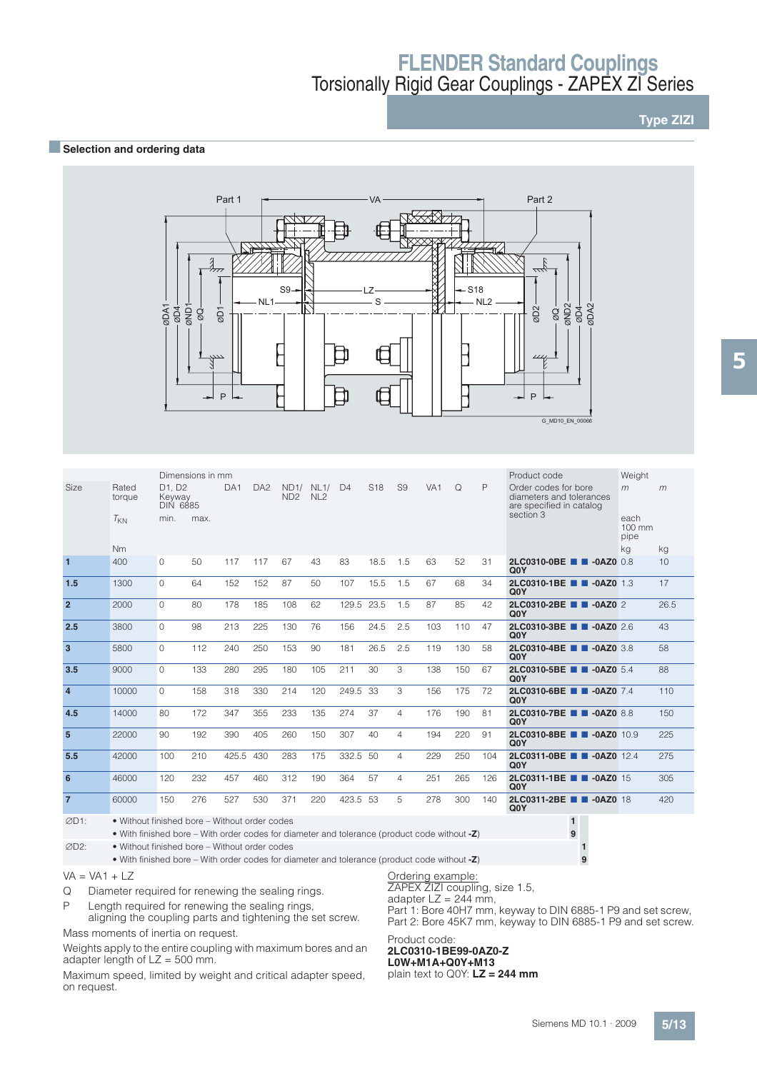## **Type ZIZI**

### **BSelection and ordering data**



|                 |                 |                                                              | Dimensions in mm |                 |                 |                         |                         |                |                 |                |                 |     |     | Product code                                                                 | Weight                           |      |
|-----------------|-----------------|--------------------------------------------------------------|------------------|-----------------|-----------------|-------------------------|-------------------------|----------------|-----------------|----------------|-----------------|-----|-----|------------------------------------------------------------------------------|----------------------------------|------|
| Size            | Rated<br>torque | D <sub>1</sub> . D <sub>2</sub><br>Keyway<br><b>DIN 6885</b> |                  | DA <sub>1</sub> | DA <sub>2</sub> | ND1/<br>ND <sub>2</sub> | NL1/<br>NL <sub>2</sub> | D <sub>4</sub> | S <sub>18</sub> | S <sub>9</sub> | VA <sub>1</sub> | Q   | P   | Order codes for bore<br>diameters and tolerances<br>are specified in catalog | m                                | m    |
|                 | $T_{KN}$        | min.                                                         | max.             |                 |                 |                         |                         |                |                 |                |                 |     |     | section 3                                                                    | each<br>$100 \text{ mm}$<br>pipe |      |
|                 | <b>Nm</b>       |                                                              |                  |                 |                 |                         |                         |                |                 |                |                 |     |     |                                                                              | kg                               | kg   |
| $\overline{1}$  | 400             | $\Omega$                                                     | 50               | 117             | 117             | 67                      | 43                      | 83             | 18.5            | 1.5            | 63              | 52  | 31  | 2LC0310-0BE<br>$-0AZ0$ 0.8<br>Q <sub>0</sub> Y                               |                                  | 10   |
| 1.5             | 1300            | $\Omega$                                                     | 64               | 152             | 152             | 87                      | 50                      | 107            | 15.5            | 1.5            | 67              | 68  | 34  | 2LC0310-1BE <b>1 -0AZ0</b> 1.3<br>Q <sub>0</sub> Y                           |                                  | 17   |
| $\overline{2}$  | 2000            | $\Omega$                                                     | 80               | 178             | 185             | 108                     | 62                      | 129.5          | 23.5            | 1.5            | 87              | 85  | 42  | 2LC0310-2BE <b>1 -0AZ0</b> 2<br>Q <sub>0</sub> Y                             |                                  | 26.5 |
| 2.5             | 3800            | $\Omega$                                                     | 98               | 213             | 225             | 130                     | 76                      | 156            | 24.5            | 2.5            | 103             | 110 | 47  | 2LC0310-3BE <b>1 -0AZ0</b> 2.6<br>Q <sub>0</sub> Y                           |                                  | 43   |
| $\overline{3}$  | 5800            | $\Omega$                                                     | 112              | 240             | 250             | 153                     | 90                      | 181            | 26.5            | 2.5            | 119             | 130 | 58  | 2LC0310-4BE <b>1 -0AZ0</b> 3.8<br>Q <sub>0</sub> Y                           |                                  | 58   |
| 3.5             | 9000            | $\Omega$                                                     | 133              | 280             | 295             | 180                     | 105                     | 211            | 30              | 3              | 138             | 150 | 67  | 2LC0310-5BE <b>1 -0AZ0</b> 5.4<br>Q <sub>0</sub> Y                           |                                  | 88   |
| $\overline{4}$  | 10000           | $\Omega$                                                     | 158              | 318             | 330             | 214                     | 120                     | 249.5 33       |                 | 3              | 156             | 175 | 72  | 2LC0310-6BE <b>1 -0AZ0</b> 7.4<br>Q <sub>0</sub> Y                           |                                  | 110  |
| 4.5             | 14000           | 80                                                           | 172              | 347             | 355             | 233                     | 135                     | 274            | 37              | 4              | 176             | 190 | 81  | 2LC0310-7BE <b>1 -0AZ0</b> 8.8<br>Q <sub>0</sub> Y                           |                                  | 150  |
| $5\overline{5}$ | 22000           | 90                                                           | 192              | 390             | 405             | 260                     | 150                     | 307            | 40              | 4              | 194             | 220 | 91  | 2LC0310-8BE <b>1 -0AZ0</b> 10.9<br>Q <sub>0</sub> Y                          |                                  | 225  |
| 5.5             | 42000           | 100                                                          | 210              | 425.5           | 430             | 283                     | 175                     | 332.5 50       |                 | 4              | 229             | 250 | 104 | 2LC0311-0BE <b>B B</b> -0AZ0 12.4<br>Q <sub>0</sub> Y                        |                                  | 275  |
| 6               | 46000           | 120                                                          | 232              | 457             | 460             | 312                     | 190                     | 364            | 57              | 4              | 251             | 265 | 126 | 2LC0311-1BE <b>1 -0AZ0</b> 15<br>Q <sub>0</sub> Y                            |                                  | 305  |
| $\overline{7}$  | 60000           | 150                                                          | 276              | 527             | 530             | 371                     | 220                     | 423.5 53       |                 | 5              | 278             | 300 | 140 | 2LC0311-2BE <b>1 -0AZ0</b> 18<br>Q <sub>0</sub> Y                            |                                  | 420  |

D1: • Without finished bore – Without order codes **1** • With finished bore – With order codes for diameter and tolerance (product code without **-Z**) **9** D2: • Without finished bore – Without order codes **1**

• With finished bore – With order codes for diameter and tolerance (product code without **-Z**) **9**

### $VA = VA1 + LZ$

Q Diameter required for renewing the sealing rings.

P Length required for renewing the sealing rings,

aligning the coupling parts and tightening the set screw. Mass moments of inertia on request.

Weights apply to the entire coupling with maximum bores and an adapter length of  $LZ = 500$  mm.

Maximum speed, limited by weight and critical adapter speed, on request.

Ordering example:

ZAPEX ZIZI coupling, size 1.5,

adapter  $LZ = 244$  mm,

Part 1: Bore 40H7 mm, keyway to DIN 6885-1 P9 and set screw, Part 2: Bore 45K7 mm, keyway to DIN 6885-1 P9 and set screw.

#### Product code: **2LC0310-1BE99-0AZ0-Z L0W+M1A+Q0Y+M13**

plain text to Q0Y: **LZ = 244 mm**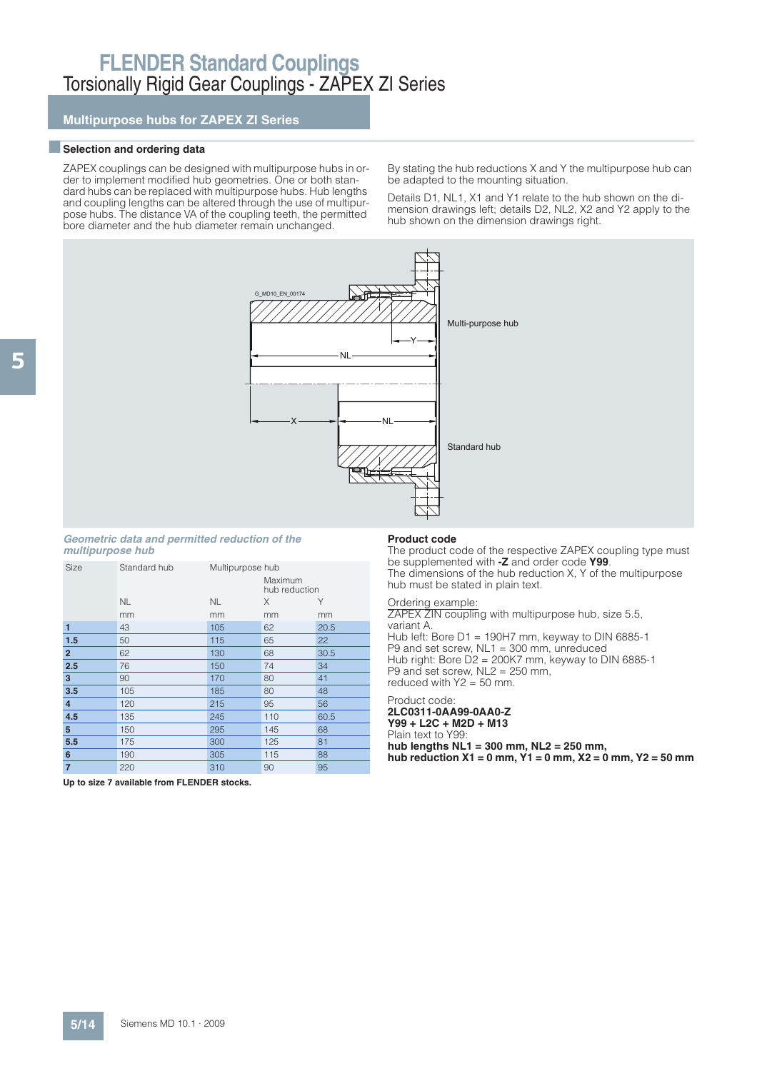**Multipurpose hubs for ZAPEX ZI Series**

#### $\blacksquare$  Selection and ordering data

ZAPEX couplings can be designed with multipurpose hubs in order to implement modified hub geometries. One or both standard hubs can be replaced with multipurpose hubs. Hub lengths and coupling lengths can be altered through the use of multipurpose hubs. The distance VA of the coupling teeth, the permitted bore diameter and the hub diameter remain unchanged.

By stating the hub reductions X and Y the multipurpose hub can be adapted to the mounting situation.

Details D1, NL1, X1 and Y1 relate to the hub shown on the dimension drawings left; details D2, NL2, X2 and Y2 apply to the hub shown on the dimension drawings right.



#### **Geometric data and permitted reduction of the multipurpose hub**

| <b>Size</b>             | Standard hub | Multipurpose hub |                          |      |
|-------------------------|--------------|------------------|--------------------------|------|
|                         |              |                  | Maximum<br>hub reduction |      |
|                         | <b>NL</b>    | <b>NL</b>        | X                        | Υ    |
|                         | mm           | mm               | mm                       | mm   |
| 1                       | 43           | 105              | 62                       | 20.5 |
| 1.5                     | 50           | 115              | 65                       | 22   |
| $\overline{2}$          | 62           | 130              | 68                       | 30.5 |
| 2.5                     | 76           | 150              | 74                       | 34   |
| 3                       | 90           | 170              | 80                       | 41   |
| 3.5                     | 105          | 185              | 80                       | 48   |
| $\overline{\mathbf{4}}$ | 120          | 215              | 95                       | 56   |
| 4.5                     | 135          | 245              | 110                      | 60.5 |
| 5                       | 150          | 295              | 145                      | 68   |
| 5.5                     | 175          | 300              | 125                      | 81   |
| 6                       | 190          | 305              | 115                      | 88   |
| $\overline{7}$          | 220          | 310              | 90                       | 95   |

#### **Product code**

The product code of the respective ZAPEX coupling type must be supplemented with **-Z** and order code **Y99**. The dimensions of the hub reduction X, Y of the multipurpose hub must be stated in plain text.

#### Ordering example:

ZAPEX ZIN coupling with multipurpose hub, size 5.5, variant A. Hub left: Bore D1 = 190H7 mm, keyway to DIN 6885-1 P9 and set screw, NL1 = 300 mm, unreduced Hub right: Bore D2 = 200K7 mm, keyway to DIN 6885-1 P9 and set screw, NL2 = 250 mm, reduced with  $Y2 = 50$  mm.

#### Product code: **2LC0311-0AA99-0AA0-Z Y99 + L2C + M2D + M13** Plain text to Y99 **hub lengths NL1 = 300 mm, NL2 = 250 mm, hub reduction X1 = 0 mm, Y1 = 0 mm, X2 = 0 mm, Y2 = 50 mm**

**Up to size 7 available from FLENDER stocks.**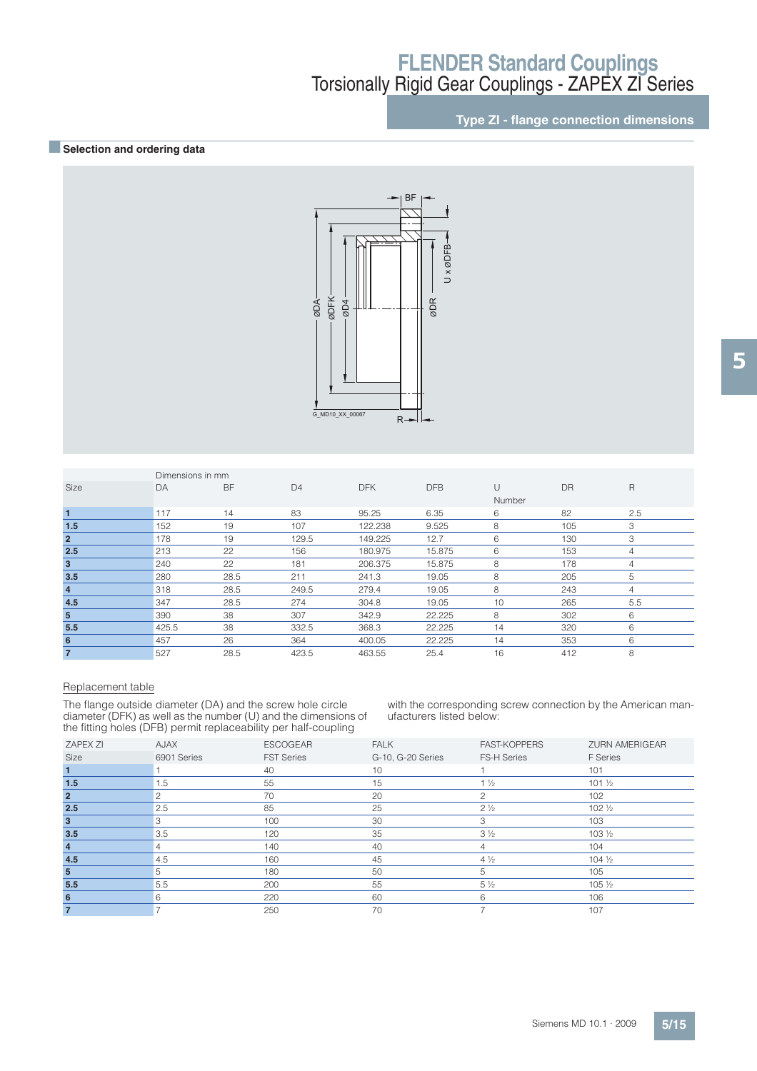## **Type ZI - flange connection dimensions**

### **BSelection and ordering data**



|                | Dimensions in mm |           |                |            |            |        |           |              |
|----------------|------------------|-----------|----------------|------------|------------|--------|-----------|--------------|
| <b>Size</b>    | DA               | <b>BF</b> | D <sub>4</sub> | <b>DFK</b> | <b>DFB</b> | $\cup$ | <b>DR</b> | $\mathsf{R}$ |
|                |                  |           |                |            |            | Number |           |              |
| $\blacksquare$ | 117              | 14        | 83             | 95.25      | 6.35       | 6      | 82        | 2.5          |
| 1.5            | 152              | 19        | 107            | 122.238    | 9.525      | 8      | 105       | 3            |
| $\overline{2}$ | 178              | 19        | 129.5          | 149.225    | 12.7       | 6      | 130       | 3            |
| 2.5            | 213              | 22        | 156            | 180.975    | 15.875     | 6      | 153       | 4            |
| 3              | 240              | 22        | 181            | 206.375    | 15.875     | 8      | 178       | 4            |
| 3.5            | 280              | 28.5      | 211            | 241.3      | 19.05      | 8      | 205       | 5            |
| $\overline{4}$ | 318              | 28.5      | 249.5          | 279.4      | 19.05      | 8      | 243       | 4            |
| 4.5            | 347              | 28.5      | 274            | 304.8      | 19.05      | 10     | 265       | 5.5          |
| 5              | 390              | 38        | 307            | 342.9      | 22.225     | 8      | 302       | 6            |
| 5.5            | 425.5            | 38        | 332.5          | 368.3      | 22.225     | 14     | 320       | 6            |
| 6              | 457              | 26        | 364            | 400.05     | 22.225     | 14     | 353       | 6            |
| $\overline{7}$ | 527              | 28.5      | 423.5          | 463.55     | 25.4       | 16     | 412       | 8            |

#### Replacement table

The flange outside diameter (DA) and the screw hole circle diameter (DFK) as well as the number (U) and the dimensions of the fitting holes (DFB) permit replaceability per half-coupling

with the corresponding screw connection by the American manufacturers listed below:

|                 | $\overline{\phantom{a}}$ | . .<br>$\tilde{\phantom{a}}$ |                   |                     |                       |
|-----------------|--------------------------|------------------------------|-------------------|---------------------|-----------------------|
| <b>ZAPEX ZI</b> | AJAX                     | <b>ESCOGEAR</b>              | <b>FALK</b>       | <b>FAST-KOPPERS</b> | <b>ZURN AMERIGEAR</b> |
| Size            | 6901 Series              | <b>FST Series</b>            | G-10, G-20 Series | <b>FS-H Series</b>  | <b>F</b> Series       |
|                 |                          | 40                           | 10                |                     | 101                   |
| 1.5             | 1.5                      | 55                           | 15                | $1\frac{1}{2}$      | $101\frac{1}{2}$      |
| $\overline{2}$  |                          | 70                           | 20                | 2                   | 102                   |
| 2.5             | 2.5                      | 85                           | 25                | $2\frac{1}{2}$      | $102\frac{1}{2}$      |
| 3               | 3                        | 100                          | 30                | 3                   | 103                   |
| 3.5             | 3.5                      | 120                          | 35                | $3\frac{1}{2}$      | $103\frac{1}{2}$      |
| $\overline{4}$  | 4                        | 140                          | 40                | 4                   | 104                   |
| 4.5             | 4.5                      | 160                          | 45                | $4\frac{1}{2}$      | $104\frac{1}{2}$      |
| 5               | 5                        | 180                          | 50                | 5                   | 105                   |
| 5.5             | 5.5                      | 200                          | 55                | $5\frac{1}{2}$      | 105 1/2               |
| 6               | 6                        | 220                          | 60                | 6                   | 106                   |
|                 |                          | 250                          | 70                |                     | 107                   |